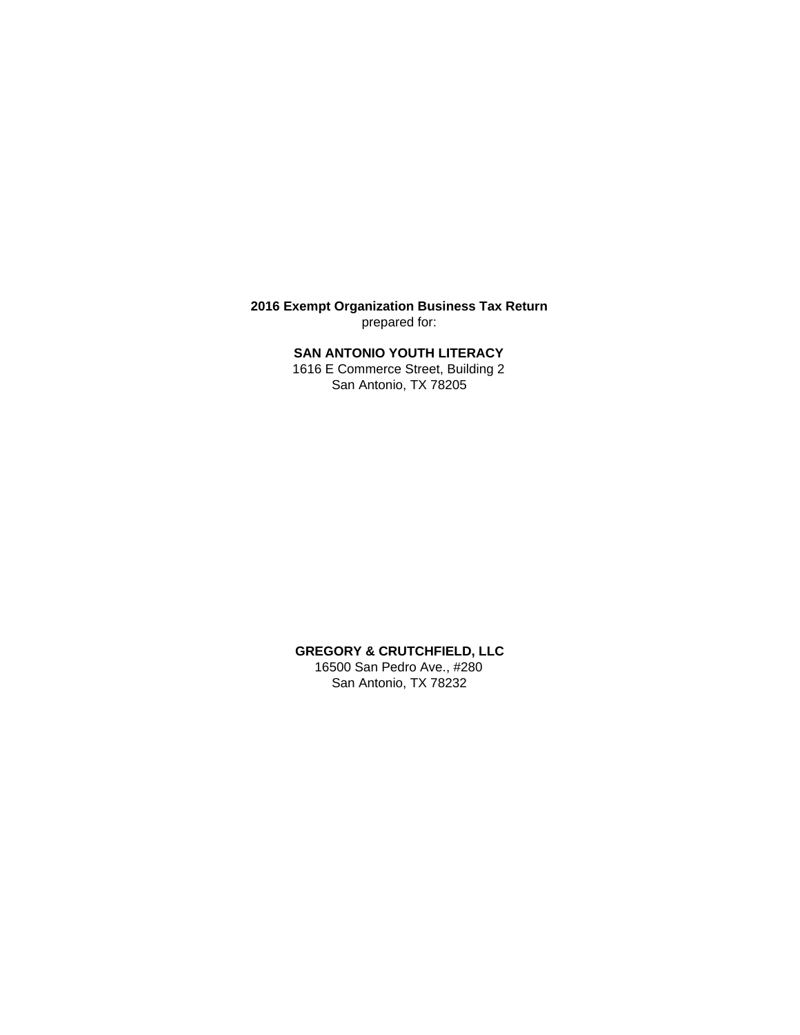**2016 Exempt Organization Business Tax Return** prepared for:

## **SAN ANTONIO YOUTH LITERACY**

1616 E Commerce Street, Building 2 San Antonio, TX 78205

**GREGORY & CRUTCHFIELD, LLC** 16500 San Pedro Ave., #280 San Antonio, TX 78232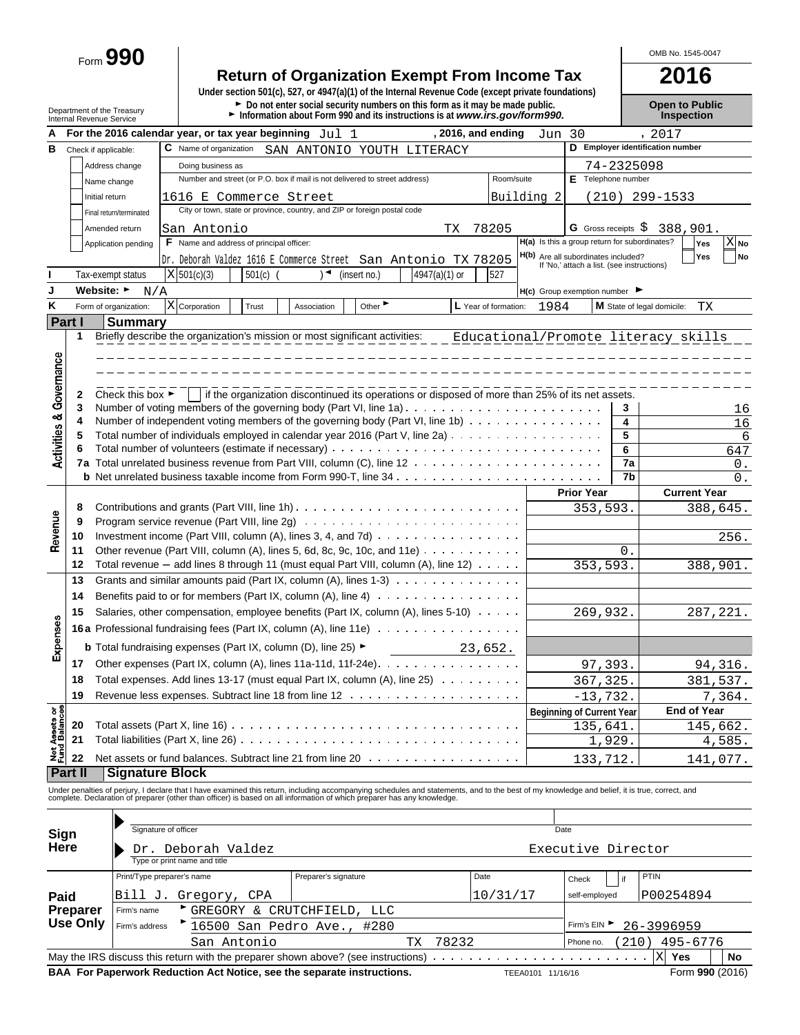Form **990**

# **Return of Organization Exempt From Income Tax 2016**

**Under section 501(c), 527, or 4947(a)(1) of the Internal Revenue Code (except private foundations)** Department of the Treasury **Depen to Public**<br>Department of the Treasury **Depen to Public**<br>Internal Revenue Service **Depen to Public Depen internal Revenue Service internal Revenue Service <b>Depen to Public** 

OMB No. 1545-0047

|                                        | Internal Revenue Service |                                      |                                                                                                                         |            |                                                                            |                             | <b>INTO THE UP TO BE THE 21 THAN 10 THE UP TO BE UP TO BE UP TO BE UP TO BE THE UP TO BE THE UP TO BE THE UP TO B</b>                                                                         |                      |        |                                                                                   |            | mspection                           |
|----------------------------------------|--------------------------|--------------------------------------|-------------------------------------------------------------------------------------------------------------------------|------------|----------------------------------------------------------------------------|-----------------------------|-----------------------------------------------------------------------------------------------------------------------------------------------------------------------------------------------|----------------------|--------|-----------------------------------------------------------------------------------|------------|-------------------------------------|
| А                                      |                          |                                      | For the 2016 calendar year, or tax year beginning $Jul 1$                                                               |            |                                                                            |                             |                                                                                                                                                                                               | $, 2016,$ and ending | Jun 30 |                                                                                   |            | , 2017                              |
| в                                      | Check if applicable:     |                                      | C Name of organization                                                                                                  |            |                                                                            |                             | SAN ANTONIO YOUTH LITERACY                                                                                                                                                                    |                      |        |                                                                                   |            | D Employer identification number    |
|                                        |                          | Address change                       | Doing business as                                                                                                       |            |                                                                            |                             |                                                                                                                                                                                               |                      |        |                                                                                   | 74-2325098 |                                     |
|                                        | Name change              |                                      |                                                                                                                         |            | Number and street (or P.O. box if mail is not delivered to street address) |                             |                                                                                                                                                                                               | Room/suite           |        | E Telephone number                                                                |            |                                     |
|                                        | Initial return           |                                      | 1616 E Commerce Street                                                                                                  |            |                                                                            |                             |                                                                                                                                                                                               | Building 2           |        |                                                                                   |            | $(210)$ 299-1533                    |
|                                        |                          | Final return/terminated              |                                                                                                                         |            | City or town, state or province, country, and ZIP or foreign postal code   |                             |                                                                                                                                                                                               |                      |        |                                                                                   |            |                                     |
|                                        |                          | Amended return                       | San Antonio                                                                                                             |            |                                                                            |                             | TХ                                                                                                                                                                                            | 78205                |        | G Gross receipts $\hat{S}$                                                        |            | 388,901.                            |
|                                        |                          | Application pending                  | F Name and address of principal officer:                                                                                |            |                                                                            |                             |                                                                                                                                                                                               |                      |        | H(a) Is this a group return for subordinates?                                     |            | $\overline{X}$ No<br>Yes            |
|                                        |                          |                                      |                                                                                                                         |            |                                                                            |                             | Dr. Deborah Valdez 1616 E Commerce Street San Antonio TX 78205                                                                                                                                |                      |        | H(b) Are all subordinates included?<br>If 'No,' attach a list. (see instructions) |            | No<br>Yes                           |
|                                        | Tax-exempt status        |                                      | X 501(c)(3)                                                                                                             | $501(c)$ ( |                                                                            | (insert no.)                | 4947(a)(1) or                                                                                                                                                                                 | 527                  |        |                                                                                   |            |                                     |
| J                                      | Website: ►               | N/A                                  |                                                                                                                         |            |                                                                            |                             |                                                                                                                                                                                               |                      |        | $H(c)$ Group exemption number $\blacktriangleright$                               |            |                                     |
| Κ                                      |                          | Form of organization:                | $X$ Corporation                                                                                                         | Trust      | Association                                                                | Other $\blacktriangleright$ |                                                                                                                                                                                               | L Year of formation: | 1984   |                                                                                   |            | M State of legal domicile:<br>TХ    |
| <b>Part I</b>                          |                          | <b>Summary</b>                       |                                                                                                                         |            |                                                                            |                             |                                                                                                                                                                                               |                      |        |                                                                                   |            |                                     |
|                                        | 1                        |                                      | Briefly describe the organization's mission or most significant activities:                                             |            |                                                                            |                             |                                                                                                                                                                                               |                      |        |                                                                                   |            | Educational/Promote literacy skills |
|                                        |                          |                                      |                                                                                                                         |            |                                                                            |                             |                                                                                                                                                                                               |                      |        |                                                                                   |            |                                     |
|                                        |                          |                                      |                                                                                                                         |            |                                                                            |                             |                                                                                                                                                                                               |                      |        |                                                                                   |            |                                     |
| <b>Activities &amp; Governance</b>     |                          |                                      |                                                                                                                         |            |                                                                            |                             |                                                                                                                                                                                               |                      |        |                                                                                   |            |                                     |
|                                        | 2                        | Check this box $\blacktriangleright$ |                                                                                                                         |            |                                                                            |                             | if the organization discontinued its operations or disposed of more than 25% of its net assets.                                                                                               |                      |        |                                                                                   |            |                                     |
|                                        | 3                        |                                      |                                                                                                                         |            |                                                                            |                             |                                                                                                                                                                                               |                      |        |                                                                                   | 3          | 16                                  |
|                                        | 4<br>5                   |                                      |                                                                                                                         |            |                                                                            |                             | Number of independent voting members of the governing body (Part VI, line 1b)<br>Total number of individuals employed in calendar year 2016 (Part V, line 2a)                                 |                      |        |                                                                                   | 4<br>5     | 16                                  |
|                                        | 6                        |                                      |                                                                                                                         |            |                                                                            |                             |                                                                                                                                                                                               |                      |        |                                                                                   | 6          | 6<br>647                            |
|                                        |                          |                                      |                                                                                                                         |            |                                                                            |                             |                                                                                                                                                                                               |                      |        |                                                                                   | 7a         | 0.                                  |
|                                        |                          |                                      |                                                                                                                         |            |                                                                            |                             |                                                                                                                                                                                               |                      |        |                                                                                   | 7b         | $\mathbf{0}$ .                      |
|                                        |                          |                                      |                                                                                                                         |            |                                                                            |                             |                                                                                                                                                                                               |                      |        | <b>Prior Year</b>                                                                 |            | <b>Current Year</b>                 |
|                                        | 8                        |                                      |                                                                                                                         |            |                                                                            |                             |                                                                                                                                                                                               |                      |        | 353,593.                                                                          |            | 388,645.                            |
| Revenue                                | 9                        |                                      |                                                                                                                         |            |                                                                            |                             |                                                                                                                                                                                               |                      |        |                                                                                   |            |                                     |
|                                        | 10                       |                                      |                                                                                                                         |            |                                                                            |                             | Investment income (Part VIII, column $(A)$ , lines 3, 4, and 7d) $\ldots$ , , , ,                                                                                                             |                      |        |                                                                                   |            | 256.                                |
|                                        | 11                       |                                      |                                                                                                                         |            |                                                                            |                             | Other revenue (Part VIII, column $(A)$ , lines 5, 6d, 8c, 9c, 10c, and 11e) $\cdots$                                                                                                          |                      |        |                                                                                   | 0.         |                                     |
|                                        | 12                       |                                      |                                                                                                                         |            |                                                                            |                             | Total revenue $-$ add lines 8 through 11 (must equal Part VIII, column (A), line 12) $\ldots \ldots$                                                                                          |                      |        | 353,593.                                                                          |            | 388,901.                            |
|                                        | 13                       |                                      |                                                                                                                         |            |                                                                            |                             | Grants and similar amounts paid (Part IX, column (A), lines $1-3$ ) $\ldots$                                                                                                                  |                      |        |                                                                                   |            |                                     |
|                                        | 14                       |                                      |                                                                                                                         |            |                                                                            |                             | Benefits paid to or for members (Part IX, column (A), line 4)                                                                                                                                 |                      |        |                                                                                   |            |                                     |
|                                        | 15                       |                                      |                                                                                                                         |            |                                                                            |                             | Salaries, other compensation, employee benefits (Part IX, column (A), lines 5-10)                                                                                                             |                      |        | 269,932.                                                                          |            | 287, 221.                           |
| Expenses                               |                          |                                      |                                                                                                                         |            |                                                                            |                             | <b>16a</b> Professional fundraising fees (Part IX, column (A), line 11e)                                                                                                                      |                      |        |                                                                                   |            |                                     |
|                                        |                          |                                      | <b>b</b> Total fundraising expenses (Part IX, column (D), line 25) $\blacktriangleright$                                |            |                                                                            |                             |                                                                                                                                                                                               | 23,652.              |        |                                                                                   |            |                                     |
|                                        | 17                       |                                      |                                                                                                                         |            |                                                                            |                             | Other expenses (Part IX, column (A), lines 11a-11d, 11f-24e).                                                                                                                                 |                      |        | 97,393.                                                                           |            | 94,316.                             |
|                                        | 18                       |                                      |                                                                                                                         |            |                                                                            |                             | Total expenses. Add lines 13-17 (must equal Part IX, column (A), line 25)                                                                                                                     |                      |        | 367, 325.                                                                         |            | 381,537.                            |
|                                        | 19                       |                                      |                                                                                                                         |            |                                                                            |                             |                                                                                                                                                                                               |                      |        | $-13,732.$                                                                        |            | 7,364.                              |
|                                        |                          |                                      |                                                                                                                         |            |                                                                            |                             |                                                                                                                                                                                               |                      |        | <b>Beginning of Current Year</b>                                                  |            | <b>End of Year</b>                  |
|                                        | 20                       |                                      |                                                                                                                         |            |                                                                            |                             |                                                                                                                                                                                               |                      |        | 135,641.                                                                          |            | 145,662.                            |
|                                        | 21                       |                                      | Total liabilities (Part X, line 26)                                                                                     |            |                                                                            |                             |                                                                                                                                                                                               |                      |        |                                                                                   | 1,929.     | 4,585.                              |
| <b>Net Assets or<br/>Fund Balances</b> | 22                       |                                      |                                                                                                                         |            |                                                                            |                             | Net assets or fund balances. Subtract line 21 from line 20                                                                                                                                    |                      |        | 133,712.                                                                          |            | 141,077.                            |
|                                        | Part II                  | <b>Signature Block</b>               |                                                                                                                         |            |                                                                            |                             |                                                                                                                                                                                               |                      |        |                                                                                   |            |                                     |
|                                        |                          |                                      |                                                                                                                         |            |                                                                            |                             | Under penalties of perjury, I declare that I have examined this return, including accompanying schedules and statements, and to the best of my knowledge and belief, it is true, correct, and |                      |        |                                                                                   |            |                                     |
|                                        |                          |                                      | complete. Declaration of preparer (other than officer) is based on all information of which preparer has any knowledge. |            |                                                                            |                             |                                                                                                                                                                                               |                      |        |                                                                                   |            |                                     |
|                                        |                          |                                      |                                                                                                                         |            |                                                                            |                             |                                                                                                                                                                                               |                      |        |                                                                                   |            |                                     |
| Sign                                   |                          |                                      | Signature of officer                                                                                                    |            |                                                                            |                             |                                                                                                                                                                                               |                      | Date   |                                                                                   |            |                                     |
| Here                                   |                          |                                      | Dr. Deborah Valdez                                                                                                      |            |                                                                            |                             |                                                                                                                                                                                               |                      |        | Executive Director                                                                |            |                                     |
|                                        |                          |                                      | Type or print name and title                                                                                            |            |                                                                            |                             |                                                                                                                                                                                               |                      |        |                                                                                   |            |                                     |
|                                        |                          |                                      | Print/Type preparer's name                                                                                              |            | Preparer's signature                                                       |                             |                                                                                                                                                                                               | Date                 |        | Check                                                                             | if         | <b>PTIN</b>                         |
| Paid                                   |                          |                                      | Bill J. Gregory, CPA                                                                                                    |            |                                                                            |                             |                                                                                                                                                                                               | 10/31/17             |        | self-employed                                                                     |            | P00254894                           |
|                                        | <b>Preparer</b>          | Firm's name                          |                                                                                                                         |            | GREGORY & CRUTCHFIELD,                                                     | LLC                         |                                                                                                                                                                                               |                      |        |                                                                                   |            |                                     |
|                                        | Use Only                 | Firm's address                       |                                                                                                                         |            | 16500 San Pedro Ave.,                                                      | #280                        |                                                                                                                                                                                               |                      |        | Firm's EIN                                                                        |            | 26-3996959                          |
|                                        |                          |                                      |                                                                                                                         |            |                                                                            |                             |                                                                                                                                                                                               |                      |        |                                                                                   |            |                                     |

 Phone no. San Antonio TX 78232 (210) 495-6776 May the IRS discuss this return with the preparer shown above? (see instructions) **Yes No BAA For Paperwork Reduction Act Notice, see the separate instructions.** TEEA0101 11/16/16 Form 990 (2016) X Yes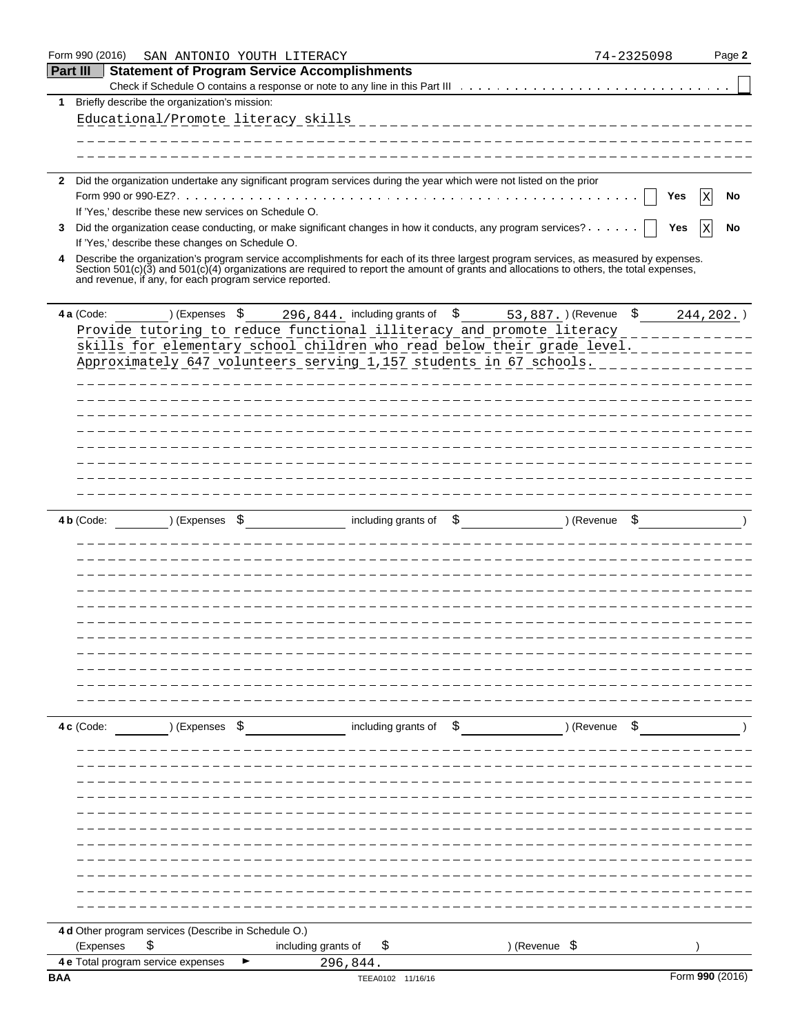| Form 990 (2016) | SAN ANTONIO YOUTH LITERACY                                                                                                                                                                                                                                                                                                                      |                                 | 74-2325098                           | Page 2          |
|-----------------|-------------------------------------------------------------------------------------------------------------------------------------------------------------------------------------------------------------------------------------------------------------------------------------------------------------------------------------------------|---------------------------------|--------------------------------------|-----------------|
| <b>Part III</b> | <b>Statement of Program Service Accomplishments</b>                                                                                                                                                                                                                                                                                             |                                 |                                      |                 |
|                 |                                                                                                                                                                                                                                                                                                                                                 |                                 |                                      |                 |
| 1               | Briefly describe the organization's mission:                                                                                                                                                                                                                                                                                                    |                                 |                                      |                 |
|                 | Educational/Promote literacy skills                                                                                                                                                                                                                                                                                                             |                                 | ____________________________________ |                 |
|                 |                                                                                                                                                                                                                                                                                                                                                 |                                 | ________________________________     |                 |
|                 |                                                                                                                                                                                                                                                                                                                                                 |                                 |                                      |                 |
|                 |                                                                                                                                                                                                                                                                                                                                                 |                                 |                                      |                 |
| 2.              | Did the organization undertake any significant program services during the year which were not listed on the prior                                                                                                                                                                                                                              |                                 |                                      |                 |
|                 | If 'Yes,' describe these new services on Schedule O.                                                                                                                                                                                                                                                                                            |                                 |                                      | Yes<br>No<br>Χ  |
| 3.              | Did the organization cease conducting, or make significant changes in how it conducts, any program services?                                                                                                                                                                                                                                    |                                 |                                      | X<br>No<br>Yes  |
|                 | If 'Yes,' describe these changes on Schedule O.                                                                                                                                                                                                                                                                                                 |                                 |                                      |                 |
| 4               | Describe the organization's program service accomplishments for each of its three largest program services, as measured by expenses.<br>Section $501(c)(3)$ and $501(c)(4)$ organizations are required to report the amount of grants and allocations to others, the total expenses,<br>and revenue, if any, for each program service reported. |                                 |                                      |                 |
| 4 a (Code:      | ) (Expenses \$                                                                                                                                                                                                                                                                                                                                  | 296,844. including grants of \$ | 53,887.) (Revenue \$                 | $244, 202.$ )   |
|                 | Provide tutoring to reduce functional illiteracy and promote literacy __________                                                                                                                                                                                                                                                                |                                 |                                      |                 |
|                 | skills for elementary school children who read below their grade level.                                                                                                                                                                                                                                                                         |                                 |                                      |                 |
|                 | Approximately 647 volunteers serving 1,157 students in 67 schools.                                                                                                                                                                                                                                                                              |                                 |                                      |                 |
|                 |                                                                                                                                                                                                                                                                                                                                                 |                                 | ___________________________          |                 |
|                 |                                                                                                                                                                                                                                                                                                                                                 |                                 |                                      |                 |
|                 |                                                                                                                                                                                                                                                                                                                                                 |                                 |                                      |                 |
|                 |                                                                                                                                                                                                                                                                                                                                                 |                                 |                                      |                 |
|                 |                                                                                                                                                                                                                                                                                                                                                 |                                 |                                      |                 |
|                 |                                                                                                                                                                                                                                                                                                                                                 |                                 |                                      |                 |
|                 |                                                                                                                                                                                                                                                                                                                                                 |                                 |                                      |                 |
|                 |                                                                                                                                                                                                                                                                                                                                                 |                                 |                                      |                 |
|                 |                                                                                                                                                                                                                                                                                                                                                 |                                 |                                      |                 |
| 4 b (Code:      | ) (Expenses \$                                                                                                                                                                                                                                                                                                                                  | including grants of<br>\$       | ) (Revenue                           |                 |
|                 |                                                                                                                                                                                                                                                                                                                                                 |                                 |                                      |                 |
|                 |                                                                                                                                                                                                                                                                                                                                                 |                                 |                                      |                 |
|                 |                                                                                                                                                                                                                                                                                                                                                 |                                 |                                      |                 |
|                 |                                                                                                                                                                                                                                                                                                                                                 |                                 |                                      |                 |
|                 |                                                                                                                                                                                                                                                                                                                                                 |                                 |                                      |                 |
|                 |                                                                                                                                                                                                                                                                                                                                                 |                                 |                                      |                 |
|                 |                                                                                                                                                                                                                                                                                                                                                 |                                 |                                      |                 |
|                 |                                                                                                                                                                                                                                                                                                                                                 |                                 |                                      |                 |
|                 |                                                                                                                                                                                                                                                                                                                                                 |                                 |                                      |                 |
|                 |                                                                                                                                                                                                                                                                                                                                                 |                                 |                                      |                 |
|                 |                                                                                                                                                                                                                                                                                                                                                 |                                 |                                      |                 |
| 4 c (Code:      | ) (Expenses \$                                                                                                                                                                                                                                                                                                                                  | including grants of \$          | ) (Revenue \$                        |                 |
|                 |                                                                                                                                                                                                                                                                                                                                                 |                                 |                                      |                 |
|                 |                                                                                                                                                                                                                                                                                                                                                 |                                 |                                      |                 |
|                 |                                                                                                                                                                                                                                                                                                                                                 |                                 |                                      |                 |
|                 |                                                                                                                                                                                                                                                                                                                                                 |                                 |                                      |                 |
|                 |                                                                                                                                                                                                                                                                                                                                                 |                                 |                                      |                 |
|                 |                                                                                                                                                                                                                                                                                                                                                 |                                 |                                      |                 |
|                 |                                                                                                                                                                                                                                                                                                                                                 |                                 |                                      |                 |
|                 |                                                                                                                                                                                                                                                                                                                                                 |                                 |                                      |                 |
|                 |                                                                                                                                                                                                                                                                                                                                                 |                                 |                                      |                 |
|                 |                                                                                                                                                                                                                                                                                                                                                 |                                 |                                      |                 |
|                 |                                                                                                                                                                                                                                                                                                                                                 |                                 |                                      |                 |
|                 |                                                                                                                                                                                                                                                                                                                                                 |                                 |                                      |                 |
|                 | 4 d Other program services (Describe in Schedule O.)                                                                                                                                                                                                                                                                                            |                                 |                                      |                 |
|                 | (Expenses<br>\$                                                                                                                                                                                                                                                                                                                                 | including grants of<br>\$       | ) (Revenue \$                        |                 |
|                 | 4 e Total program service expenses                                                                                                                                                                                                                                                                                                              | 296,844.                        |                                      | Form 990 (2016) |
| <b>BAA</b>      |                                                                                                                                                                                                                                                                                                                                                 | TEEA0102 11/16/16               |                                      |                 |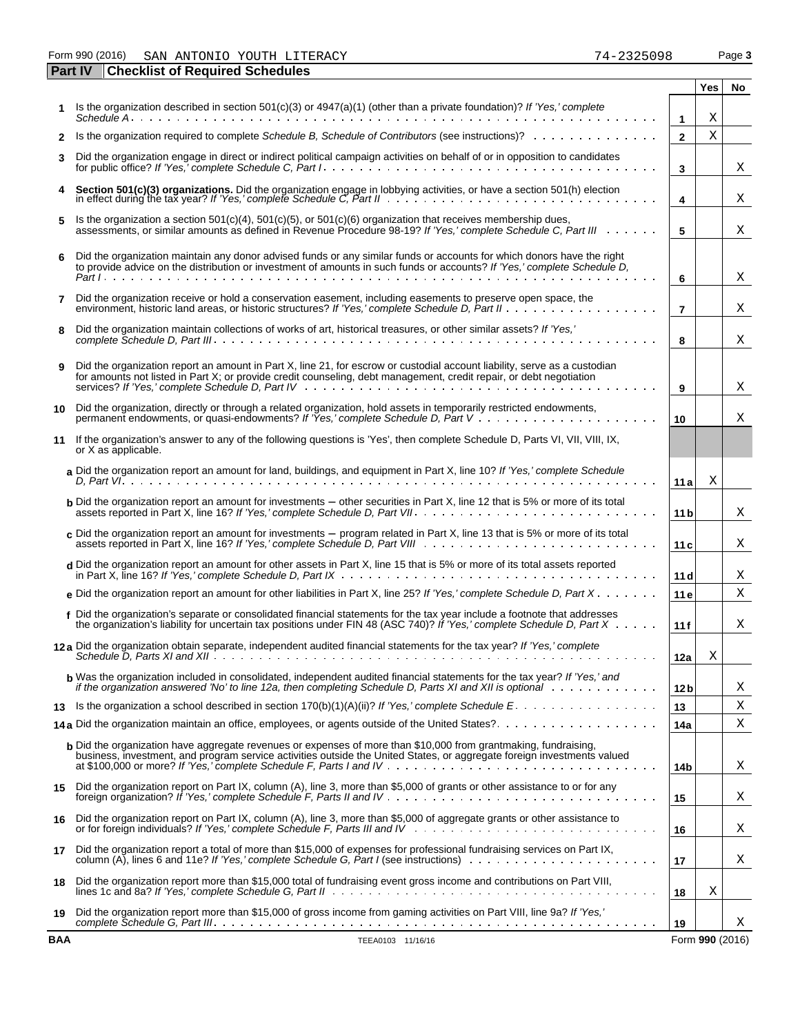Form 990 (2016) Page **3** SAN ANTONIO YOUTH LITERACY 74-2325098

|              | <b>Checklist of Required Schedules</b><br><b>Part IV</b>                                                                                                                                                                                                |                 |     |                 |
|--------------|---------------------------------------------------------------------------------------------------------------------------------------------------------------------------------------------------------------------------------------------------------|-----------------|-----|-----------------|
|              |                                                                                                                                                                                                                                                         |                 | Yes | No.             |
|              | Is the organization described in section 501(c)(3) or $4947(a)(1)$ (other than a private foundation)? If 'Yes,' complete                                                                                                                                |                 | Χ   |                 |
|              | Is the organization required to complete Schedule B, Schedule of Contributors (see instructions)?                                                                                                                                                       | $\mathbf{1}$    | X   |                 |
| $\mathbf{2}$ |                                                                                                                                                                                                                                                         | $\mathbf{2}$    |     |                 |
| 3            | Did the organization engage in direct or indirect political campaign activities on behalf of or in opposition to candidates                                                                                                                             | 3               |     | Χ               |
| 4            | Section 501(c)(3) organizations. Did the organization engage in lobbying activities, or have a section 501(h) election<br>in effect during the tax year? If 'Yes,' complete Schedule C, Part II                                                         | 4               |     | Χ               |
| 5            | Is the organization a section $501(c)(4)$ , $501(c)(5)$ , or $501(c)(6)$ organization that receives membership dues,<br>assessments, or similar amounts as defined in Revenue Procedure 98-19? If 'Yes,' complete Schedule C, Part III                  | 5               |     | Χ               |
| 6            | Did the organization maintain any donor advised funds or any similar funds or accounts for which donors have the right<br>to provide advice on the distribution or investment of amounts in such funds or accounts? If 'Yes,' complete Schedule D,      | 6               |     | Χ               |
| 7            | Did the organization receive or hold a conservation easement, including easements to preserve open space, the                                                                                                                                           | $\overline{7}$  |     | Χ               |
| 8            | Did the organization maintain collections of works of art, historical treasures, or other similar assets? If 'Yes,'                                                                                                                                     | 8               |     | Χ               |
| 9            | Did the organization report an amount in Part X, line 21, for escrow or custodial account liability, serve as a custodian<br>for amounts not listed in Part X; or provide credit counseling, debt management, credit repair, or debt negotiation        | 9               |     | Χ               |
| 10           | Did the organization, directly or through a related organization, hold assets in temporarily restricted endowments,                                                                                                                                     | 10              |     | Χ               |
| 11           | If the organization's answer to any of the following questions is 'Yes', then complete Schedule D, Parts VI, VII, VIII, IX,<br>or X as applicable.                                                                                                      |                 |     |                 |
|              | a Did the organization report an amount for land, buildings, and equipment in Part X, line 10? If 'Yes,' complete Schedule                                                                                                                              | 11 a            | Χ   |                 |
|              | <b>b</b> Did the organization report an amount for investments – other securities in Part X, line 12 that is 5% or more of its total                                                                                                                    | 11 <sub>b</sub> |     | Χ               |
|              | c Did the organization report an amount for investments $-$ program related in Part X, line 13 that is 5% or more of its total                                                                                                                          | 11c             |     | Χ               |
|              | d Did the organization report an amount for other assets in Part X, line 15 that is 5% or more of its total assets reported                                                                                                                             | 11d             |     | Χ               |
|              | e Did the organization report an amount for other liabilities in Part X, line 25? If 'Yes,' complete Schedule D, Part X                                                                                                                                 | 11 <sub>e</sub> |     | Χ               |
|              | f Did the organization's separate or consolidated financial statements for the tax year include a footnote that addresses<br>the organization's liability for uncertain tax positions under FIN 48 (ASC 740)? If 'Yes,' complete Schedule D, Part X     | 11f             |     | Χ               |
|              | 12a Did the organization obtain separate, independent audited financial statements for the tax year? If 'Yes,' complete                                                                                                                                 | 12a             | Χ   |                 |
|              | <b>b</b> Was the organization included in consolidated, independent audited financial statements for the tax year? If 'Yes,' and<br>if the organization answered 'No' to line 12a, then completing Schedule D, Parts XI and XII is optional weaks weaks | 12 <sub>b</sub> |     | Χ               |
| 13           |                                                                                                                                                                                                                                                         | 13              |     | Χ               |
|              |                                                                                                                                                                                                                                                         | 14a             |     | Χ               |
|              | <b>b</b> Did the organization have aggregate revenues or expenses of more than \$10,000 from grantmaking, fundraising,<br>business, investment, and program service activities outside the United States, or aggregate foreign investments valued       | 14b             |     | Χ               |
| 15           | Did the organization report on Part IX, column (A), line 3, more than \$5,000 of grants or other assistance to or for any                                                                                                                               | 15              |     | Χ               |
| 16           | Did the organization report on Part IX, column (A), line 3, more than \$5,000 of aggregate grants or other assistance to                                                                                                                                | 16              |     | Χ               |
| 17           | Did the organization report a total of more than \$15,000 of expenses for professional fundraising services on Part IX,                                                                                                                                 | 17              |     | Χ               |
| 18           | Did the organization report more than \$15,000 total of fundraising event gross income and contributions on Part VIII,                                                                                                                                  | 18              | Χ   |                 |
| 19           | Did the organization report more than \$15,000 of gross income from gaming activities on Part VIII, line 9a? If 'Yes,'                                                                                                                                  | 19              |     | Χ               |
| <b>BAA</b>   | TEEA0103 11/16/16                                                                                                                                                                                                                                       |                 |     | Form 990 (2016) |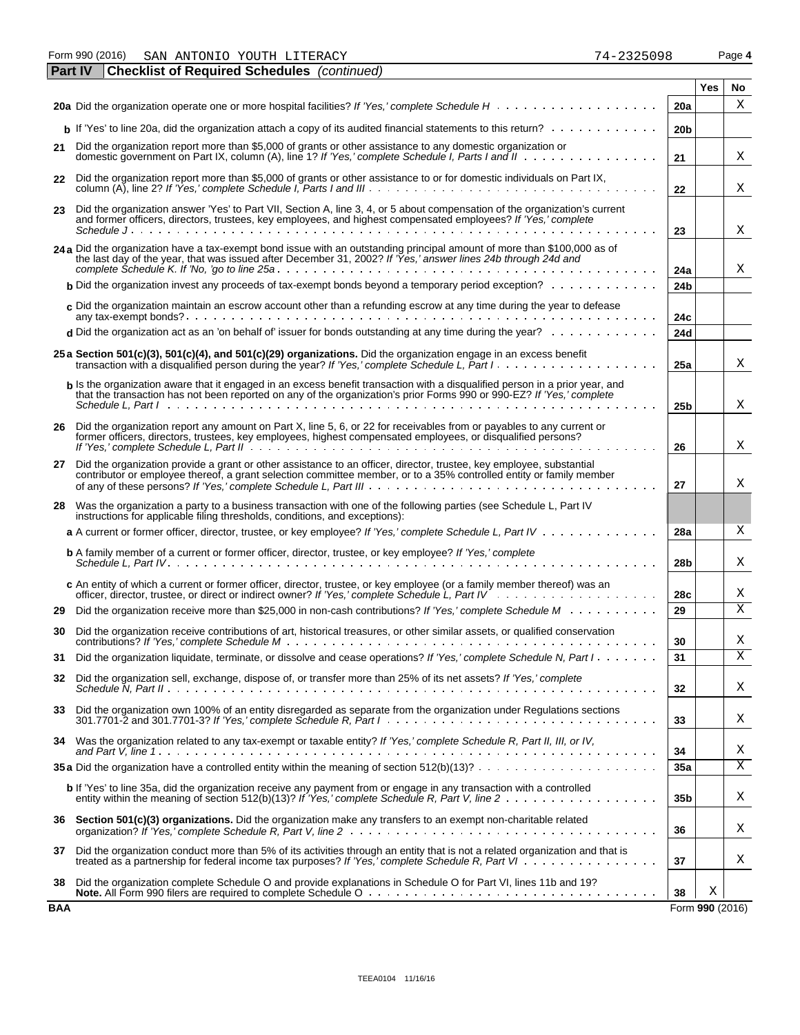Form 990 (2016) Page **4** SAN ANTONIO YOUTH LITERACY 74-2325098

|     | <b>Checklist of Required Schedules</b> (continued)<br><b>Part IV</b>                                                                                                                                                                                  |                 |                 |    |
|-----|-------------------------------------------------------------------------------------------------------------------------------------------------------------------------------------------------------------------------------------------------------|-----------------|-----------------|----|
|     |                                                                                                                                                                                                                                                       |                 | Yes             | No |
|     |                                                                                                                                                                                                                                                       | 20a             |                 | X  |
|     | $\mathbf b$ If 'Yes' to line 20a, did the organization attach a copy of its audited financial statements to this return?                                                                                                                              | 20 <sub>b</sub> |                 |    |
| 21  | Did the organization report more than \$5,000 of grants or other assistance to any domestic organization or                                                                                                                                           | 21              |                 | Χ  |
| 22  | Did the organization report more than \$5,000 of grants or other assistance to or for domestic individuals on Part IX,                                                                                                                                | 22              |                 | Χ  |
| 23  | Did the organization answer 'Yes' to Part VII, Section A, line 3, 4, or 5 about compensation of the organization's current<br>and former officers, directors, trustees, key employees, and highest compensated employees? If 'Yes,' complete          |                 |                 |    |
|     |                                                                                                                                                                                                                                                       | 23              |                 | х  |
|     | 24 a Did the organization have a tax-exempt bond issue with an outstanding principal amount of more than \$100,000 as of the last day of the year, that was issued after December 31, 2002? If 'Yes,' answer lines 24b through                        | 24a             |                 | Χ  |
|     | <b>b</b> Did the organization invest any proceeds of tax-exempt bonds beyond a temporary period exception? $\ldots \ldots \ldots$                                                                                                                     | 24 <sub>b</sub> |                 |    |
|     | $c$ Did the organization maintain an escrow account other than a refunding escrow at any time during the year to defease                                                                                                                              | 24c             |                 |    |
|     | d Did the organization act as an 'on behalf of' issuer for bonds outstanding at any time during the year? $\ldots \ldots \ldots$                                                                                                                      | 24d             |                 |    |
|     | 25 a Section 501(c)(3), 501(c)(4), and 501(c)(29) organizations. Did the organization engage in an excess benefit<br>transaction with a disqualified person during the year? If 'Yes,' complete Schedule L, Part I                                    | 25a             |                 | X  |
|     | b Is the organization aware that it engaged in an excess benefit transaction with a disqualified person in a prior year, and<br>that the transaction has not been reported on any of the organization's prior Forms 990 or 990-EZ? If 'Yes,' complete |                 |                 |    |
|     | Schedule L. Part Industrial and a state of the contract of the contract of the contract of the contract of the                                                                                                                                        | 25 <sub>b</sub> |                 | Χ  |
|     | 26 Did the organization report any amount on Part X, line 5, 6, or 22 for receivables from or payables to any current or<br>former officers, directors, trustees, key employees, highest compensated employees, or disqualified persons?              | 26              |                 | Χ  |
| 27  | Did the organization provide a grant or other assistance to an officer, director, trustee, key employee, substantial<br>contributor or employee thereof, a grant selection committee member, or to a 35% controlled entity or family member           | 27              |                 | Χ  |
| 28  | Was the organization a party to a business transaction with one of the following parties (see Schedule L, Part IV<br>instructions for applicable filing thresholds, conditions, and exceptions):                                                      |                 |                 |    |
|     | a A current or former officer, director, trustee, or key employee? If 'Yes,' complete Schedule L, Part IV                                                                                                                                             | 28a             |                 | X  |
|     | <b>b</b> A family member of a current or former officer, director, trustee, or key employee? If 'Yes,' complete                                                                                                                                       | 28 <sub>b</sub> |                 | Χ  |
|     | c An entity of which a current or former officer, director, trustee, or key employee (or a family member thereof) was an                                                                                                                              | 28c             |                 | Χ  |
| 29  | Did the organization receive more than \$25,000 in non-cash contributions? If 'Yes,' complete Schedule M                                                                                                                                              | 29              |                 | Х  |
| 30  | Did the organization receive contributions of art, historical treasures, or other similar assets, or qualified conservation                                                                                                                           | 30              |                 | Χ  |
| 31  | Did the organization liquidate, terminate, or dissolve and cease operations? If 'Yes,' complete Schedule N, Part I                                                                                                                                    | 31              |                 | X  |
| 32  | Did the organization sell, exchange, dispose of, or transfer more than 25% of its net assets? If 'Yes,' complete                                                                                                                                      | 32              |                 | Χ  |
| 33  | Did the organization own 100% of an entity disregarded as separate from the organization under Regulations sections                                                                                                                                   | 33              |                 | Χ  |
|     | 34 Was the organization related to any tax-exempt or taxable entity? If 'Yes,' complete Schedule R, Part II, III, or IV,                                                                                                                              | 34              |                 | Χ  |
|     |                                                                                                                                                                                                                                                       | 35a             |                 | Χ  |
|     | b If 'Yes' to line 35a, did the organization receive any payment from or engage in any transaction with a controlled                                                                                                                                  | 35 <sub>b</sub> |                 | Χ  |
|     | 36 Section 501(c)(3) organizations. Did the organization make any transfers to an exempt non-charitable related                                                                                                                                       | 36              |                 | Χ  |
| 37  | Did the organization conduct more than 5% of its activities through an entity that is not a related organization and that is                                                                                                                          | 37              |                 | Χ  |
| 38  | Did the organization complete Schedule O and provide explanations in Schedule O for Part VI, lines 11b and 19?                                                                                                                                        | 38              | Χ               |    |
| BAA |                                                                                                                                                                                                                                                       |                 | Form 990 (2016) |    |

|  | 74-2325098 |  |  |
|--|------------|--|--|

| SAN ANTONIO YOUTH LITERAC |  |  | Form 990 (2016) |  |  |  |  |
|---------------------------|--|--|-----------------|--|--|--|--|
|---------------------------|--|--|-----------------|--|--|--|--|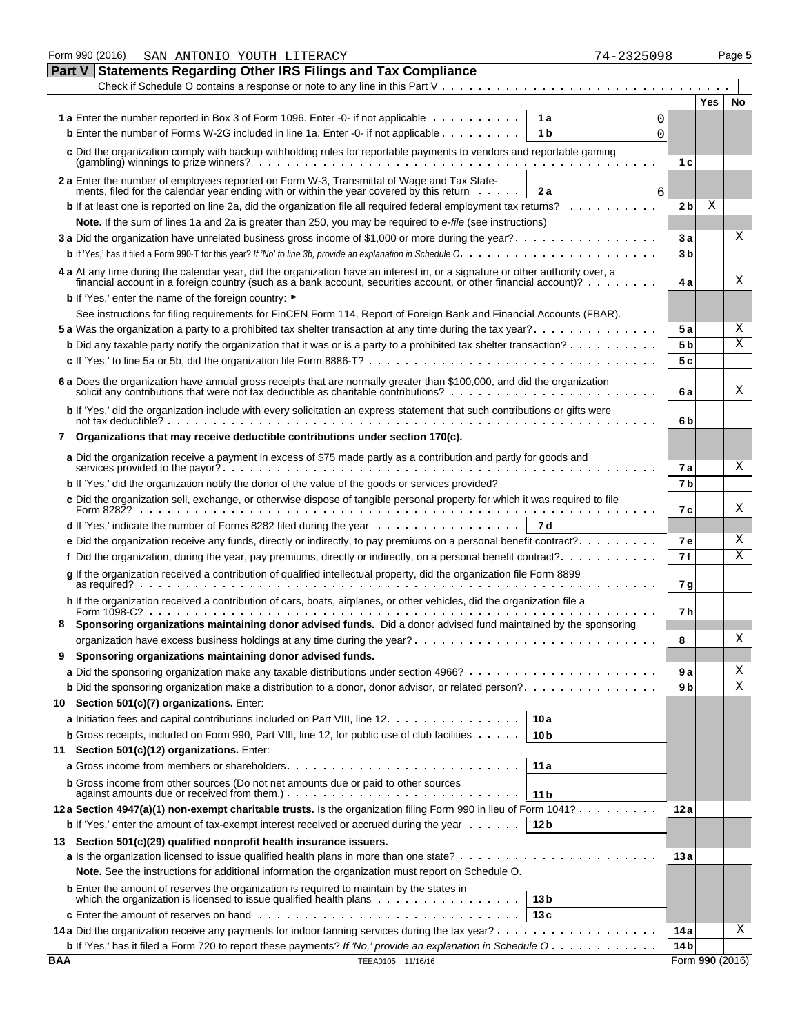|               | Form 990 (2016)<br>74-2325098<br>SAN ANTONIO YOUTH LITERACY                                                                                                                                                                                           |                |                 | Page 5                  |
|---------------|-------------------------------------------------------------------------------------------------------------------------------------------------------------------------------------------------------------------------------------------------------|----------------|-----------------|-------------------------|
| <b>Part V</b> | <b>Statements Regarding Other IRS Filings and Tax Compliance</b>                                                                                                                                                                                      |                |                 |                         |
|               | Check if Schedule O contains a response or note to any line in this Part $V_1, \ldots, \ldots, \ldots, \ldots, \ldots, \ldots, \ldots$                                                                                                                |                |                 |                         |
|               |                                                                                                                                                                                                                                                       |                | Yes             | No                      |
|               | 1 a Enter the number reported in Box 3 of Form 1096. Enter -0- if not applicable<br>1a<br>0                                                                                                                                                           |                |                 |                         |
|               | <b>b</b> Enter the number of Forms W-2G included in line 1a. Enter -0- if not applicable $\dots$<br>1 <sub>b</sub><br>$\Omega$                                                                                                                        |                |                 |                         |
|               | c Did the organization comply with backup withholding rules for reportable payments to vendors and reportable gaming<br>$(gambling)$ winnings to prize winners? $\ldots$ , $\ldots$ , $\ldots$ , $\ldots$ , $\ldots$ , $\ldots$ , $\ldots$ , $\ldots$ | 1 c            |                 |                         |
|               |                                                                                                                                                                                                                                                       |                |                 |                         |
|               | 2 a Enter the number of employees reported on Form W-3, Transmittal of Wage and Tax State-<br>ments, filed for the calendar year ending with or within the year covered by this return<br>2a<br>6                                                     |                |                 |                         |
|               | <b>b</b> If at least one is reported on line 2a, did the organization file all required federal employment tax returns?                                                                                                                               | 2 <sub>b</sub> | Χ               |                         |
|               | Note. If the sum of lines 1a and 2a is greater than 250, you may be required to e-file (see instructions)                                                                                                                                             |                |                 |                         |
|               | 3a Did the organization have unrelated business gross income of \$1,000 or more during the year?                                                                                                                                                      | 3a             |                 | Χ                       |
|               |                                                                                                                                                                                                                                                       | 3 <sub>b</sub> |                 |                         |
|               | 4 a At any time during the calendar year, did the organization have an interest in, or a signature or other authority over, a<br>financial account in a foreign country (such as a bank account, securities account, or other financial account)?     | 4 a            |                 | Χ                       |
|               | <b>b</b> If 'Yes,' enter the name of the foreign country: ►                                                                                                                                                                                           |                |                 |                         |
|               | See instructions for filing requirements for FinCEN Form 114, Report of Foreign Bank and Financial Accounts (FBAR).                                                                                                                                   |                |                 |                         |
|               | 5 a Was the organization a party to a prohibited tax shelter transaction at any time during the tax year?                                                                                                                                             | 5 a            |                 | Χ                       |
|               | <b>b</b> Did any taxable party notify the organization that it was or is a party to a prohibited tax shelter transaction? $\ldots \ldots \ldots$                                                                                                      | 5 <sub>b</sub> |                 | $\overline{\mathrm{x}}$ |
|               |                                                                                                                                                                                                                                                       | 5c             |                 |                         |
|               |                                                                                                                                                                                                                                                       |                |                 |                         |
|               | 6 a Does the organization have annual gross receipts that are normally greater than \$100,000, and did the organization solicit any contributions that were not tax deductible as charitable contributions?                                           | 6 a            |                 | Χ                       |
|               | b If 'Yes,' did the organization include with every solicitation an express statement that such contributions or gifts were                                                                                                                           | 6b             |                 |                         |
| 7             | Organizations that may receive deductible contributions under section 170(c).                                                                                                                                                                         |                |                 |                         |
|               | a Did the organization receive a payment in excess of \$75 made partly as a contribution and partly for goods and                                                                                                                                     |                |                 | Χ                       |
|               |                                                                                                                                                                                                                                                       | 7а             |                 |                         |
|               | <b>b</b> If 'Yes,' did the organization notify the donor of the value of the goods or services provided?                                                                                                                                              | 7 <sub>b</sub> |                 |                         |
|               | c Did the organization sell, exchange, or otherwise dispose of tangible personal property for which it was required to file                                                                                                                           | 7 с            |                 | X                       |
|               | 7 dl                                                                                                                                                                                                                                                  |                |                 |                         |
|               | <b>e</b> Did the organization receive any funds, directly or indirectly, to pay premiums on a personal benefit contract?. $\dots$ .                                                                                                                   | <b>7e</b>      |                 | Χ                       |
|               | f Did the organization, during the year, pay premiums, directly or indirectly, on a personal benefit contract?                                                                                                                                        | 7f             |                 | Χ                       |
|               |                                                                                                                                                                                                                                                       |                |                 |                         |
|               | g If the organization received a contribution of qualified intellectual property, did the organization file Form 8899<br>as required? $\cdots$ $\cdots$ $\cdots$ $\cdots$ $\cdots$ $\cdots$                                                           | 7 g            |                 |                         |
|               | h If the organization received a contribution of cars, boats, airplanes, or other vehicles, did the organization file a                                                                                                                               | 7 h            |                 |                         |
|               | Sponsoring organizations maintaining donor advised funds. Did a donor advised fund maintained by the sponsoring                                                                                                                                       |                |                 |                         |
|               |                                                                                                                                                                                                                                                       | 8              |                 | Χ                       |
| 9             | Sponsoring organizations maintaining donor advised funds.                                                                                                                                                                                             |                |                 |                         |
|               |                                                                                                                                                                                                                                                       | 9а             |                 | Χ                       |
|               | <b>b</b> Did the sponsoring organization make a distribution to a donor, donor advisor, or related person?                                                                                                                                            | 9 b            |                 | Χ                       |
| 10            | Section 501(c)(7) organizations. Enter:                                                                                                                                                                                                               |                |                 |                         |
|               | a Initiation fees and capital contributions included on Part VIII, line 12.<br>10a                                                                                                                                                                    |                |                 |                         |
|               | <b>b</b> Gross receipts, included on Form 990, Part VIII, line 12, for public use of club facilities $\cdots$ .<br>10 <sub>b</sub>                                                                                                                    |                |                 |                         |
| 11            | Section 501(c)(12) organizations. Enter:                                                                                                                                                                                                              |                |                 |                         |
|               | 11 a                                                                                                                                                                                                                                                  |                |                 |                         |
|               | <b>b</b> Gross income from other sources (Do not net amounts due or paid to other sources                                                                                                                                                             |                |                 |                         |
|               | 11 <sub>b</sub>                                                                                                                                                                                                                                       |                |                 |                         |
|               | 12a Section 4947(a)(1) non-exempt charitable trusts. Is the organization filing Form 990 in lieu of Form 1041?                                                                                                                                        | 12a            |                 |                         |
|               | 12 <sub>b</sub><br><b>b</b> If 'Yes,' enter the amount of tax-exempt interest received or accrued during the year $\dots \dots$                                                                                                                       |                |                 |                         |
|               | 13 Section 501(c)(29) qualified nonprofit health insurance issuers.                                                                                                                                                                                   |                |                 |                         |
|               |                                                                                                                                                                                                                                                       | 13 a           |                 |                         |
|               | Note. See the instructions for additional information the organization must report on Schedule O.                                                                                                                                                     |                |                 |                         |
|               | <b>b</b> Enter the amount of reserves the organization is required to maintain by the states in                                                                                                                                                       |                |                 |                         |
|               | which the organization is licensed to issue qualified health plans $\ldots$ ,<br>13 <sub>b</sub><br>13 с                                                                                                                                              |                |                 |                         |
|               |                                                                                                                                                                                                                                                       | 14 a           |                 | X                       |
|               | <b>b</b> If 'Yes,' has it filed a Form 720 to report these payments? If 'No,' provide an explanation in Schedule O                                                                                                                                    | 14 b           |                 |                         |
| BAA           | TEEA0105 11/16/16                                                                                                                                                                                                                                     |                | Form 990 (2016) |                         |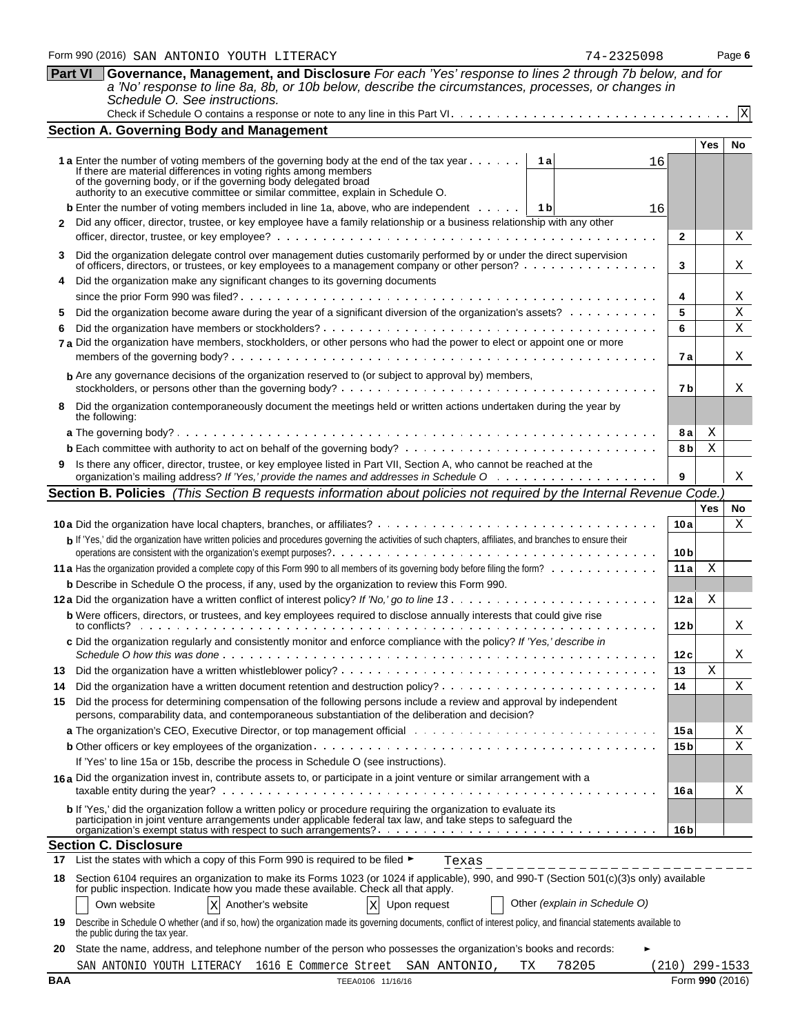| 5098 |  |
|------|--|
|      |  |

|              | Schedule O. See instructions.                                                                                                                                                                                                                                                                                                         |                        |            |                 |
|--------------|---------------------------------------------------------------------------------------------------------------------------------------------------------------------------------------------------------------------------------------------------------------------------------------------------------------------------------------|------------------------|------------|-----------------|
|              |                                                                                                                                                                                                                                                                                                                                       |                        |            | $\overline{X}$  |
|              | <b>Section A. Governing Body and Management</b>                                                                                                                                                                                                                                                                                       |                        |            |                 |
|              | <b>1 a</b> Enter the number of voting members of the governing body at the end of the tax year<br>1a<br>16<br>If there are material differences in voting rights among members<br>of the governing body, or if the governing body delegated broad<br>authority to an executive committee or similar committee, explain in Schedule O. |                        | <b>Yes</b> | No              |
| $\mathbf{2}$ | 16<br>Did any officer, director, trustee, or key employee have a family relationship or a business relationship with any other                                                                                                                                                                                                        |                        |            |                 |
|              |                                                                                                                                                                                                                                                                                                                                       | $\mathbf{2}$           |            | Χ               |
|              | Did the organization delegate control over management duties customarily performed by or under the direct supervision<br>of officers, directors, or trustees, or key employees to a management company or other person?                                                                                                               | 3                      |            | Χ               |
|              | Did the organization make any significant changes to its governing documents                                                                                                                                                                                                                                                          | 4                      |            | Χ               |
| 5            | Did the organization become aware during the year of a significant diversion of the organization's assets?                                                                                                                                                                                                                            | 5                      |            | Χ               |
| 6            | 7 a Did the organization have members, stockholders, or other persons who had the power to elect or appoint one or more                                                                                                                                                                                                               | 6<br>7 a               |            | X<br>Χ          |
|              | <b>b</b> Are any governance decisions of the organization reserved to (or subject to approval by) members,                                                                                                                                                                                                                            | 7 b                    |            | Χ               |
| 8            | Did the organization contemporaneously document the meetings held or written actions undertaken during the year by<br>the following:                                                                                                                                                                                                  |                        |            |                 |
|              |                                                                                                                                                                                                                                                                                                                                       | 8а                     | Χ          |                 |
|              |                                                                                                                                                                                                                                                                                                                                       | 8 <sub>b</sub>         | Х          |                 |
| 9            | Is there any officer, director, trustee, or key employee listed in Part VII, Section A, who cannot be reached at the                                                                                                                                                                                                                  | 9                      |            | Χ               |
|              | Section B. Policies (This Section B requests information about policies not required by the Internal Revenue Code.                                                                                                                                                                                                                    |                        |            |                 |
|              |                                                                                                                                                                                                                                                                                                                                       |                        | Yes        | No              |
|              |                                                                                                                                                                                                                                                                                                                                       | 10a                    |            | Х               |
|              | b If 'Yes,' did the organization have written policies and procedures governing the activities of such chapters, affiliates, and branches to ensure their                                                                                                                                                                             |                        |            |                 |
|              |                                                                                                                                                                                                                                                                                                                                       | 10 <sub>b</sub>        |            |                 |
|              |                                                                                                                                                                                                                                                                                                                                       | 11a                    | Χ          |                 |
|              | <b>b</b> Describe in Schedule O the process, if any, used by the organization to review this Form 990.                                                                                                                                                                                                                                |                        |            |                 |
|              |                                                                                                                                                                                                                                                                                                                                       | 12a                    | Χ          |                 |
|              | <b>b</b> Were officers, directors, or trustees, and key employees required to disclose annually interests that could give rise<br>c Did the organization regularly and consistently monitor and enforce compliance with the policy? If 'Yes,' describe in                                                                             | 12 <sub>b</sub>        |            | Χ               |
|              |                                                                                                                                                                                                                                                                                                                                       | 12 c                   |            | Χ               |
|              |                                                                                                                                                                                                                                                                                                                                       | 13                     | X          |                 |
| 14           |                                                                                                                                                                                                                                                                                                                                       | 14                     |            | Χ               |
| 15           | Did the process for determining compensation of the following persons include a review and approval by independent<br>persons, comparability data, and contemporaneous substantiation of the deliberation and decision?                                                                                                               |                        |            |                 |
|              |                                                                                                                                                                                                                                                                                                                                       | 15a<br>15 <sub>b</sub> |            | Χ<br>Χ          |
|              | If 'Yes' to line 15a or 15b, describe the process in Schedule O (see instructions).                                                                                                                                                                                                                                                   |                        |            |                 |
|              | 16a Did the organization invest in, contribute assets to, or participate in a joint venture or similar arrangement with a                                                                                                                                                                                                             | 16 a                   |            | Χ               |
|              | b If 'Yes,' did the organization follow a written policy or procedure requiring the organization to evaluate its<br>participation in joint venture arrangements under applicable federal tax law, and take steps to safeguard the                                                                                                     |                        |            |                 |
|              | <b>Section C. Disclosure</b>                                                                                                                                                                                                                                                                                                          | 16 <sub>b</sub>        |            |                 |
| 17           | List the states with which a copy of this Form 990 is required to be filed ►<br>Texas                                                                                                                                                                                                                                                 |                        |            |                 |
| 18           | _ _ _ _ _ _ _ _ _ _ _ _ _ _ _ _ _ _ _ _<br>Section 6104 requires an organization to make its Forms 1023 (or 1024 if applicable), 990, and 990-T (Section 501(c)(3)s only) available<br>for public inspection. Indicate how you made these available. Check all that apply.                                                            |                        |            |                 |
|              | Other (explain in Schedule O)<br>$\mathbf X$<br>Own website<br>$\rm X$<br>Another's website<br>Upon request                                                                                                                                                                                                                           |                        |            |                 |
| 19.          | Describe in Schedule O whether (and if so, how) the organization made its governing documents, conflict of interest policy, and financial statements available to<br>the public during the tax year.                                                                                                                                  |                        |            |                 |
| 20           | State the name, address, and telephone number of the person who possesses the organization's books and records:                                                                                                                                                                                                                       |                        |            |                 |
|              | SAN ANTONIO YOUTH LITERACY 1616 E Commerce Street SAN ANTONIO,<br>78205<br>ТX                                                                                                                                                                                                                                                         | 210)                   | 299-1533   |                 |
| <b>BAA</b>   | TEEA0106 11/16/16                                                                                                                                                                                                                                                                                                                     |                        |            | Form 990 (2016) |

**Part VI Governance, Management, and Disclosure** *For each 'Yes' response to lines 2 through 7b below, and for a 'No' response to line 8a, 8b, or 10b below, describe the circumstances, processes, or changes in*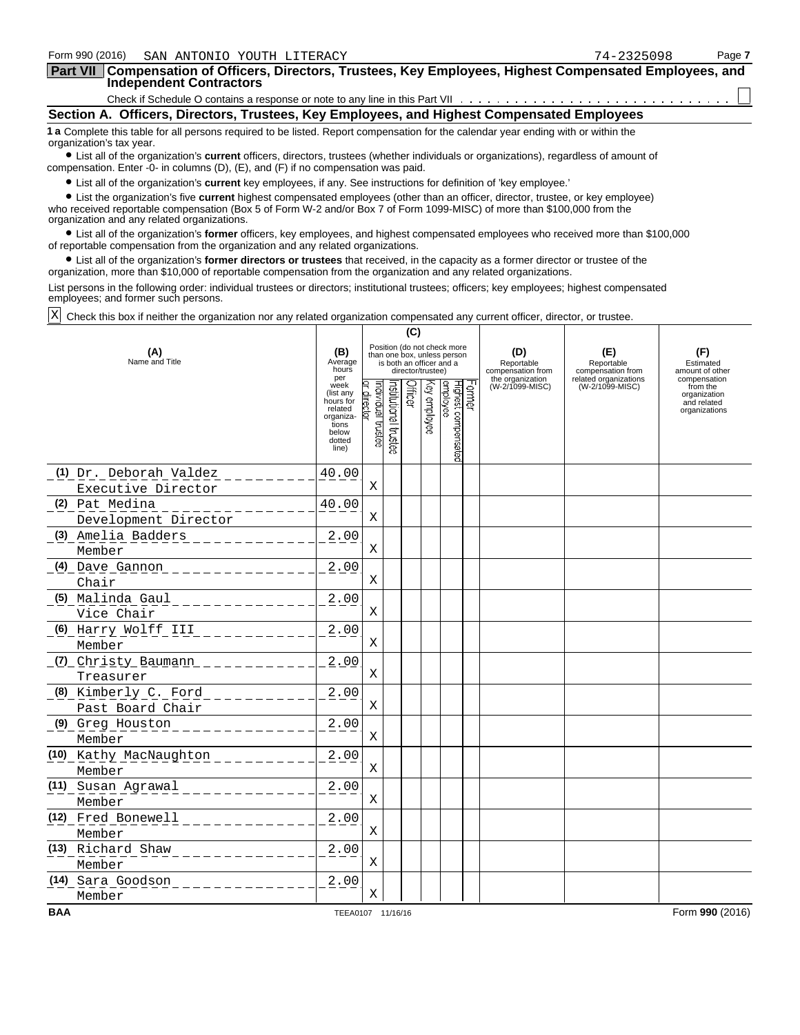| Form 990 (2016)<br>SAN ANTONIO YOUTH LITERACY                                                                                                                                                                                                                                                              |                          |                               |                      |                   |              |                                                                                        |        |                                        | 74-2325098                               | Page 7                              |
|------------------------------------------------------------------------------------------------------------------------------------------------------------------------------------------------------------------------------------------------------------------------------------------------------------|--------------------------|-------------------------------|----------------------|-------------------|--------------|----------------------------------------------------------------------------------------|--------|----------------------------------------|------------------------------------------|-------------------------------------|
| Part VII Compensation of Officers, Directors, Trustees, Key Employees, Highest Compensated Employees, and                                                                                                                                                                                                  |                          |                               |                      |                   |              |                                                                                        |        |                                        |                                          |                                     |
| <b>Independent Contractors</b>                                                                                                                                                                                                                                                                             |                          |                               |                      |                   |              |                                                                                        |        |                                        |                                          |                                     |
|                                                                                                                                                                                                                                                                                                            |                          |                               |                      |                   |              |                                                                                        |        |                                        |                                          |                                     |
| Section A. Officers, Directors, Trustees, Key Employees, and Highest Compensated Employees                                                                                                                                                                                                                 |                          |                               |                      |                   |              |                                                                                        |        |                                        |                                          |                                     |
| 1 a Complete this table for all persons required to be listed. Report compensation for the calendar year ending with or within the<br>organization's tax year.<br>• List all of the organization's current officers, directors, trustees (whether individuals or organizations), regardless of amount of   |                          |                               |                      |                   |              |                                                                                        |        |                                        |                                          |                                     |
| compensation. Enter -0- in columns (D), (E), and (F) if no compensation was paid.                                                                                                                                                                                                                          |                          |                               |                      |                   |              |                                                                                        |        |                                        |                                          |                                     |
| • List all of the organization's current key employees, if any. See instructions for definition of 'key employee.'                                                                                                                                                                                         |                          |                               |                      |                   |              |                                                                                        |        |                                        |                                          |                                     |
| • List the organization's five current highest compensated employees (other than an officer, director, trustee, or key employee)<br>who received reportable compensation (Box 5 of Form W-2 and/or Box 7 of Form 1099-MISC) of more than \$100,000 from the<br>organization and any related organizations. |                          |                               |                      |                   |              |                                                                                        |        |                                        |                                          |                                     |
| • List all of the organization's former officers, key employees, and highest compensated employees who received more than \$100,000<br>of reportable compensation from the organization and any related organizations.                                                                                     |                          |                               |                      |                   |              |                                                                                        |        |                                        |                                          |                                     |
| • List all of the organization's former directors or trustees that received, in the capacity as a former director or trustee of the<br>organization, more than \$10,000 of reportable compensation from the organization and any related organizations.                                                    |                          |                               |                      |                   |              |                                                                                        |        |                                        |                                          |                                     |
| List persons in the following order: individual trustees or directors; institutional trustees; officers; key employees; highest compensated<br>employees; and former such persons.                                                                                                                         |                          |                               |                      |                   |              |                                                                                        |        |                                        |                                          |                                     |
| Χ<br>Check this box if neither the organization nor any related organization compensated any current officer, director, or trustee.                                                                                                                                                                        |                          |                               |                      |                   |              |                                                                                        |        |                                        |                                          |                                     |
|                                                                                                                                                                                                                                                                                                            |                          |                               |                      | (C)               |              |                                                                                        |        |                                        |                                          |                                     |
| (A)<br>Name and Title                                                                                                                                                                                                                                                                                      | (B)<br>Average<br>hours  |                               |                      | director/trustee) |              | Position (do not check more<br>than one box, unless person<br>is both an officer and a |        | (D)<br>Reportable<br>compensation from | (E)<br>Reportable<br>compensation from   | (F)<br>Estimated<br>amount of other |
|                                                                                                                                                                                                                                                                                                            | per<br>week<br>(list any |                               |                      | Officer           |              |                                                                                        |        | the organization<br>(W-2/1099-MISC)    | related organizations<br>(W-2/1099-MISC) | compensation<br>from the            |
|                                                                                                                                                                                                                                                                                                            | hours for<br>related     | ndividual trustee<br>director | nstitutional trustee |                   | (ey employee |                                                                                        | Former |                                        |                                          | organization<br>and related         |
|                                                                                                                                                                                                                                                                                                            | organiza-<br>tions       |                               |                      |                   |              |                                                                                        |        |                                        |                                          | organizations                       |
|                                                                                                                                                                                                                                                                                                            | below<br>dotted          |                               |                      |                   |              |                                                                                        |        |                                        |                                          |                                     |
|                                                                                                                                                                                                                                                                                                            | line)                    |                               |                      |                   |              | Highest compensated<br>employee                                                        |        |                                        |                                          |                                     |
| (1) Dr. Deborah Valdez                                                                                                                                                                                                                                                                                     | 40.00                    |                               |                      |                   |              |                                                                                        |        |                                        |                                          |                                     |
| Executive Director                                                                                                                                                                                                                                                                                         |                          | Χ                             |                      |                   |              |                                                                                        |        |                                        |                                          |                                     |
| (2) Pat Medina                                                                                                                                                                                                                                                                                             | 40.00                    |                               |                      |                   |              |                                                                                        |        |                                        |                                          |                                     |
| Development Director                                                                                                                                                                                                                                                                                       |                          | Χ                             |                      |                   |              |                                                                                        |        |                                        |                                          |                                     |
| Amelia Badders<br>(3)                                                                                                                                                                                                                                                                                      | 2.00                     |                               |                      |                   |              |                                                                                        |        |                                        |                                          |                                     |
| Member                                                                                                                                                                                                                                                                                                     |                          | Χ                             |                      |                   |              |                                                                                        |        |                                        |                                          |                                     |
|                                                                                                                                                                                                                                                                                                            | 2.00                     |                               |                      |                   |              |                                                                                        |        |                                        |                                          |                                     |
| Chair                                                                                                                                                                                                                                                                                                      |                          | Χ                             |                      |                   |              |                                                                                        |        |                                        |                                          |                                     |
| Malinda Gaul<br>(5)                                                                                                                                                                                                                                                                                        | 2.00                     |                               |                      |                   |              |                                                                                        |        |                                        |                                          |                                     |
| Vice Chair                                                                                                                                                                                                                                                                                                 |                          | Χ                             |                      |                   |              |                                                                                        |        |                                        |                                          |                                     |
| (6) Harry Wolff III                                                                                                                                                                                                                                                                                        | 2.00                     |                               |                      |                   |              |                                                                                        |        |                                        |                                          |                                     |
| Member                                                                                                                                                                                                                                                                                                     |                          | Χ                             |                      |                   |              |                                                                                        |        |                                        |                                          |                                     |
| (7) Christy Baumann ______                                                                                                                                                                                                                                                                                 | 2.00                     |                               |                      |                   |              |                                                                                        |        |                                        |                                          |                                     |
| Treasurer                                                                                                                                                                                                                                                                                                  |                          | Χ                             |                      |                   |              |                                                                                        |        |                                        |                                          |                                     |
| (8) Kimberly C. Ford                                                                                                                                                                                                                                                                                       | 2.00                     |                               |                      |                   |              |                                                                                        |        |                                        |                                          |                                     |
| Past Board Chair                                                                                                                                                                                                                                                                                           |                          | X                             |                      |                   |              |                                                                                        |        |                                        |                                          |                                     |
| (9) Greg Houston                                                                                                                                                                                                                                                                                           | 2.00                     |                               |                      |                   |              |                                                                                        |        |                                        |                                          |                                     |
| Member                                                                                                                                                                                                                                                                                                     |                          | X                             |                      |                   |              |                                                                                        |        |                                        |                                          |                                     |
| (10) Kathy MacNaughton                                                                                                                                                                                                                                                                                     | 2.00                     |                               |                      |                   |              |                                                                                        |        |                                        |                                          |                                     |
| Member                                                                                                                                                                                                                                                                                                     |                          | X                             |                      |                   |              |                                                                                        |        |                                        |                                          |                                     |
| (11) Susan Agrawal                                                                                                                                                                                                                                                                                         | 2.00                     |                               |                      |                   |              |                                                                                        |        |                                        |                                          |                                     |
| Member                                                                                                                                                                                                                                                                                                     |                          | Χ                             |                      |                   |              |                                                                                        |        |                                        |                                          |                                     |
| (12) Fred Bonewell                                                                                                                                                                                                                                                                                         | 2.00                     |                               |                      |                   |              |                                                                                        |        |                                        |                                          |                                     |
| Member                                                                                                                                                                                                                                                                                                     |                          | X                             |                      |                   |              |                                                                                        |        |                                        |                                          |                                     |
| (13) Richard Shaw                                                                                                                                                                                                                                                                                          | 2.00                     |                               |                      |                   |              |                                                                                        |        |                                        |                                          |                                     |
| Member                                                                                                                                                                                                                                                                                                     |                          | Χ                             |                      |                   |              |                                                                                        |        |                                        |                                          |                                     |
| (14) Sara Goodson                                                                                                                                                                                                                                                                                          | 2.00                     |                               |                      |                   |              |                                                                                        |        |                                        |                                          |                                     |

Member X

**BAA** TEEA0107 11/16/16 **Form 990** (2016)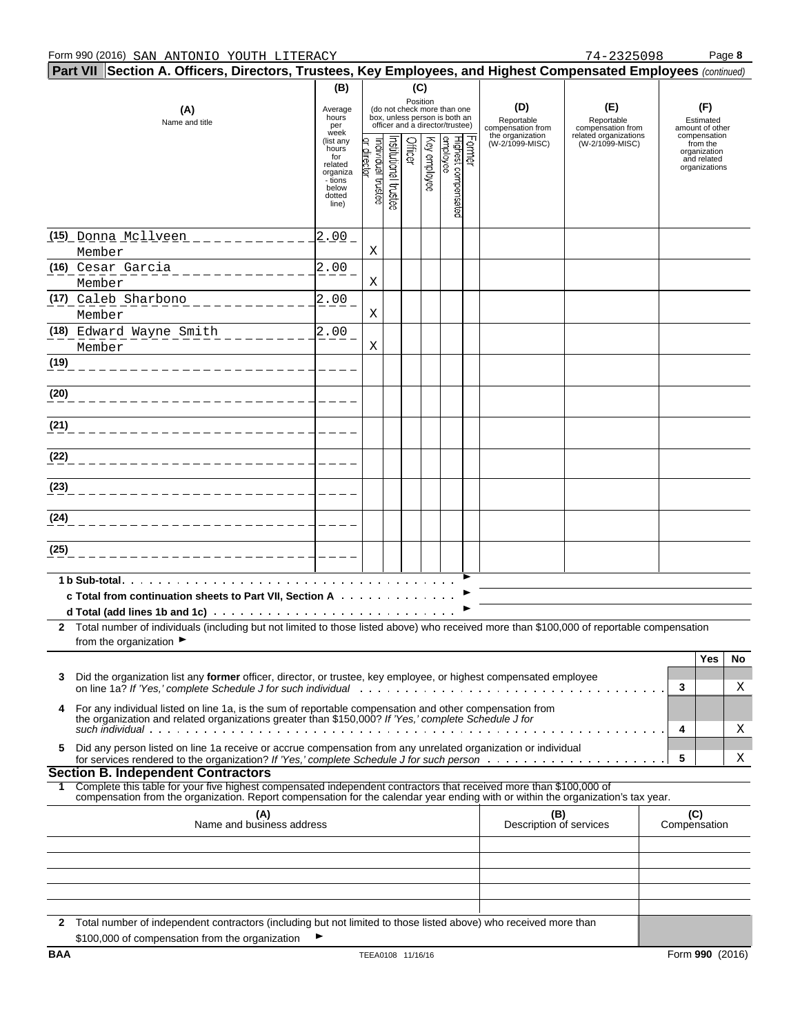|              | Part VII   Section A. Officers, Directors, Trustees, Key Employees, and Highest Compensated Employees (continued)                                                                                                                                                                                     | (B)                                                                                     |                               |                   | (C)     |              |                                                                                                 |       |                                                            |                                                                 |     |                                                          |    |
|--------------|-------------------------------------------------------------------------------------------------------------------------------------------------------------------------------------------------------------------------------------------------------------------------------------------------------|-----------------------------------------------------------------------------------------|-------------------------------|-------------------|---------|--------------|-------------------------------------------------------------------------------------------------|-------|------------------------------------------------------------|-----------------------------------------------------------------|-----|----------------------------------------------------------|----|
|              | (A)<br>Name and title                                                                                                                                                                                                                                                                                 | Average<br>hours<br>per<br>week                                                         |                               |                   |         | Position     | (do not check more than one<br>box, unless person is both an<br>officer and a director/trustee) |       | (D)<br>Reportable<br>compensation from<br>the organization | (E)<br>Reportable<br>compensation from<br>related organizations |     | (F)<br>Estimated<br>amount of other<br>compensation      |    |
|              |                                                                                                                                                                                                                                                                                                       | (list any<br>hours<br>for<br>related<br>organiza<br>- tions<br>below<br>dotted<br>line) | ndividual trustee<br>director | highboral trustee | Officer | Key employee | employee<br>Highest compensated                                                                 | ormer | (W-2/1099-MISC)                                            | (W-2/1099-MISC)                                                 |     | from the<br>organization<br>and related<br>organizations |    |
|              | <u>(15) Donna Mcllveen ___________</u><br>Member                                                                                                                                                                                                                                                      | 2.00                                                                                    | Χ                             |                   |         |              |                                                                                                 |       |                                                            |                                                                 |     |                                                          |    |
|              | (16) Cesar Garcia<br>Member                                                                                                                                                                                                                                                                           | 2.00                                                                                    | Χ                             |                   |         |              |                                                                                                 |       |                                                            |                                                                 |     |                                                          |    |
|              | (17) Caleb Sharbono<br>Member                                                                                                                                                                                                                                                                         | 2.00                                                                                    | Χ                             |                   |         |              |                                                                                                 |       |                                                            |                                                                 |     |                                                          |    |
|              | (18) Edward Wayne Smith<br>Member                                                                                                                                                                                                                                                                     | 2.00                                                                                    | Χ                             |                   |         |              |                                                                                                 |       |                                                            |                                                                 |     |                                                          |    |
| (19)         |                                                                                                                                                                                                                                                                                                       |                                                                                         |                               |                   |         |              |                                                                                                 |       |                                                            |                                                                 |     |                                                          |    |
| (20)         |                                                                                                                                                                                                                                                                                                       |                                                                                         |                               |                   |         |              |                                                                                                 |       |                                                            |                                                                 |     |                                                          |    |
| (21)         |                                                                                                                                                                                                                                                                                                       |                                                                                         |                               |                   |         |              |                                                                                                 |       |                                                            |                                                                 |     |                                                          |    |
| (22)         |                                                                                                                                                                                                                                                                                                       |                                                                                         |                               |                   |         |              |                                                                                                 |       |                                                            |                                                                 |     |                                                          |    |
| (23)         |                                                                                                                                                                                                                                                                                                       |                                                                                         |                               |                   |         |              |                                                                                                 |       |                                                            |                                                                 |     |                                                          |    |
| (24)         |                                                                                                                                                                                                                                                                                                       |                                                                                         |                               |                   |         |              |                                                                                                 |       |                                                            |                                                                 |     |                                                          |    |
| (25)         |                                                                                                                                                                                                                                                                                                       |                                                                                         |                               |                   |         |              |                                                                                                 |       |                                                            |                                                                 |     |                                                          |    |
|              | $1 b$ Sub-total. $\ldots$ $\ldots$ $\ldots$ $\ldots$ $\ldots$ $\ldots$<br>c Total from continuation sheets to Part VII, Section A                                                                                                                                                                     |                                                                                         |                               |                   |         |              |                                                                                                 |       |                                                            |                                                                 |     |                                                          |    |
|              |                                                                                                                                                                                                                                                                                                       |                                                                                         |                               |                   |         |              |                                                                                                 |       |                                                            |                                                                 |     |                                                          |    |
| $\mathbf{2}$ | Total number of individuals (including but not limited to those listed above) who received more than \$100,000 of reportable compensation<br>from the organization ▶                                                                                                                                  |                                                                                         |                               |                   |         |              |                                                                                                 |       |                                                            |                                                                 |     |                                                          |    |
|              | Did the organization list any former officer, director, or trustee, key employee, or highest compensated employee                                                                                                                                                                                     |                                                                                         |                               |                   |         |              |                                                                                                 |       |                                                            |                                                                 |     | Yes                                                      | No |
| 4            | For any individual listed on line 1a, is the sum of reportable compensation and other compensation from                                                                                                                                                                                               |                                                                                         |                               |                   |         |              |                                                                                                 |       |                                                            |                                                                 | 3   |                                                          | Χ  |
|              | the organization and related organizations greater than \$150,000? If 'Yes,' complete Schedule J for                                                                                                                                                                                                  |                                                                                         |                               |                   |         |              |                                                                                                 |       |                                                            |                                                                 | 4   |                                                          | Χ  |
| 5.           | Did any person listed on line 1a receive or accrue compensation from any unrelated organization or individual                                                                                                                                                                                         |                                                                                         |                               |                   |         |              |                                                                                                 |       |                                                            |                                                                 | 5   |                                                          | Χ  |
|              | <b>Section B. Independent Contractors</b><br>1 Complete this table for your five highest compensated independent contractors that received more than \$100,000 of<br>compensation from the organization. Report compensation for the calendar year ending with or within the organization's tax year. |                                                                                         |                               |                   |         |              |                                                                                                 |       |                                                            |                                                                 |     |                                                          |    |
|              | (A)<br>Name and business address                                                                                                                                                                                                                                                                      |                                                                                         |                               |                   |         |              |                                                                                                 |       | (B)<br>Description of services                             |                                                                 | (C) | Compensation                                             |    |
|              |                                                                                                                                                                                                                                                                                                       |                                                                                         |                               |                   |         |              |                                                                                                 |       |                                                            |                                                                 |     |                                                          |    |
|              |                                                                                                                                                                                                                                                                                                       |                                                                                         |                               |                   |         |              |                                                                                                 |       |                                                            |                                                                 |     |                                                          |    |
|              |                                                                                                                                                                                                                                                                                                       |                                                                                         |                               |                   |         |              |                                                                                                 |       |                                                            |                                                                 |     |                                                          |    |
| $\mathbf{2}$ | Total number of independent contractors (including but not limited to those listed above) who received more than<br>\$100,000 of compensation from the organization                                                                                                                                   |                                                                                         |                               |                   |         |              |                                                                                                 |       |                                                            |                                                                 |     |                                                          |    |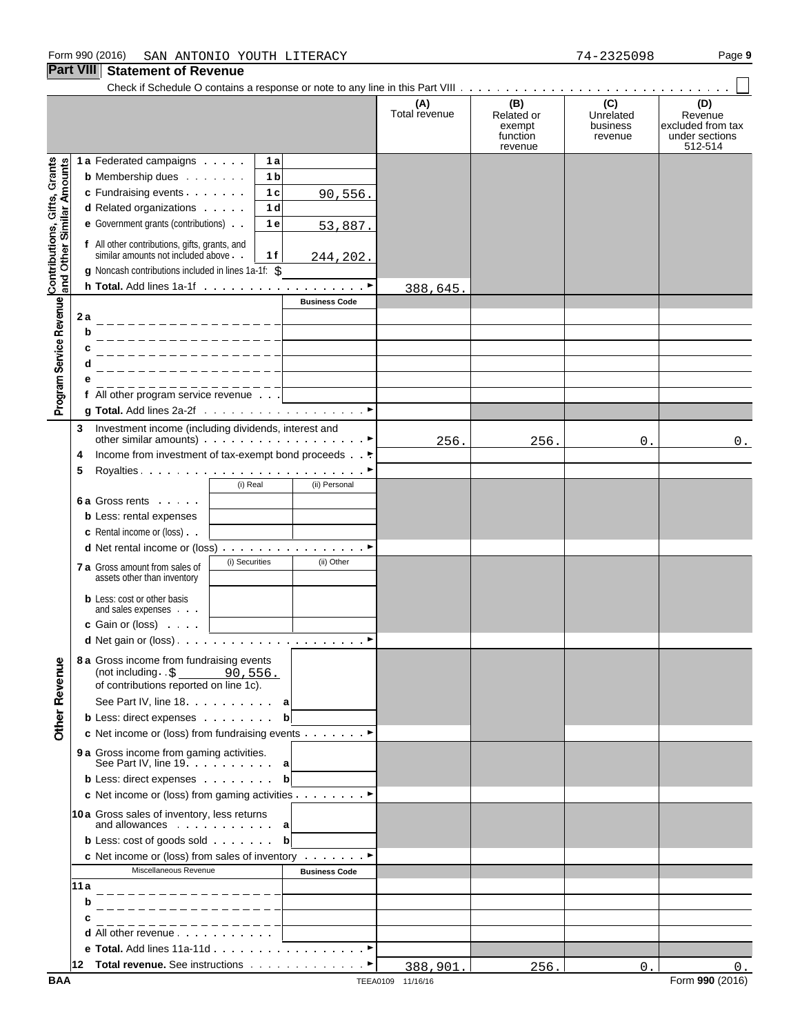|                                                           |     |                                                                                                                                             |                |                      | (A)<br>Total revenue | (B)<br>Related or<br>exempt<br>function<br>revenue | (C)<br>Unrelated<br>business<br>revenue | (D)<br>Revenue<br>excluded from tax<br>under sections<br>512-514 |
|-----------------------------------------------------------|-----|---------------------------------------------------------------------------------------------------------------------------------------------|----------------|----------------------|----------------------|----------------------------------------------------|-----------------------------------------|------------------------------------------------------------------|
|                                                           |     | 1 a Federated campaigns                                                                                                                     | 1 a            |                      |                      |                                                    |                                         |                                                                  |
|                                                           |     | <b>b</b> Membership dues                                                                                                                    | 1 <sub>b</sub> |                      |                      |                                                    |                                         |                                                                  |
|                                                           |     | c Fundraising events                                                                                                                        | 1 <sub>c</sub> | 90,556.              |                      |                                                    |                                         |                                                                  |
|                                                           |     | d Related organizations                                                                                                                     | 1 <sub>d</sub> |                      |                      |                                                    |                                         |                                                                  |
| Contributions, Gifts, Grants<br>and Other Similar Amounts |     | e Government grants (contributions)                                                                                                         | 1 e            | 53,887.              |                      |                                                    |                                         |                                                                  |
|                                                           |     | f All other contributions, gifts, grants, and<br>similar amounts not included above.<br>g Noncash contributions included in lines 1a-1f: \$ | 1 f            | 244,202.             |                      |                                                    |                                         |                                                                  |
|                                                           |     |                                                                                                                                             |                |                      | 388,645.             |                                                    |                                         |                                                                  |
|                                                           |     |                                                                                                                                             |                | <b>Business Code</b> |                      |                                                    |                                         |                                                                  |
| Program Service Revenue                                   | 2a  | _ _ _ _ _ _ _ _ _ _ _ _ _ _ _                                                                                                               |                |                      |                      |                                                    |                                         |                                                                  |
|                                                           | b   | ________________                                                                                                                            |                |                      |                      |                                                    |                                         |                                                                  |
|                                                           |     | ________________                                                                                                                            |                |                      |                      |                                                    |                                         |                                                                  |
|                                                           | d   | _______________                                                                                                                             |                |                      |                      |                                                    |                                         |                                                                  |
|                                                           |     | ________________                                                                                                                            |                |                      |                      |                                                    |                                         |                                                                  |
|                                                           |     | f All other program service revenue $\ldots$                                                                                                |                |                      |                      |                                                    |                                         |                                                                  |
|                                                           |     |                                                                                                                                             |                |                      |                      |                                                    |                                         |                                                                  |
|                                                           | 3   | Investment income (including dividends, interest and<br>other similar amounts) $\cdots$ $\cdots$ $\cdots$ $\cdots$ $\cdots$ $\cdots$        |                |                      | 256.                 | 256.                                               | 0.                                      | 0.                                                               |
|                                                           | 4   | Income from investment of tax-exempt bond proceeds                                                                                          |                |                      |                      |                                                    |                                         |                                                                  |
|                                                           | 5   |                                                                                                                                             |                |                      |                      |                                                    |                                         |                                                                  |
|                                                           |     | (i) Real                                                                                                                                    |                | (ii) Personal        |                      |                                                    |                                         |                                                                  |
|                                                           |     | <b>6a Gross rents</b>                                                                                                                       |                |                      |                      |                                                    |                                         |                                                                  |
|                                                           |     | <b>b</b> Less: rental expenses                                                                                                              |                |                      |                      |                                                    |                                         |                                                                  |
|                                                           |     | <b>c</b> Rental income or (loss).                                                                                                           |                |                      |                      |                                                    |                                         |                                                                  |
|                                                           |     | <b>d</b> Net rental income or (loss) $\ldots$ $\ldots$ $\ldots$ $\ldots$ $\ldots$<br>(i) Securities                                         |                | (ii) Other           |                      |                                                    |                                         |                                                                  |
|                                                           |     | <b>7 a</b> Gross amount from sales of<br>assets other than inventory                                                                        |                |                      |                      |                                                    |                                         |                                                                  |
|                                                           |     | <b>b</b> Less: cost or other basis<br>and sales expenses                                                                                    |                |                      |                      |                                                    |                                         |                                                                  |
|                                                           |     | c Gain or (loss)                                                                                                                            |                |                      |                      |                                                    |                                         |                                                                  |
|                                                           |     |                                                                                                                                             |                |                      |                      |                                                    |                                         |                                                                  |
|                                                           |     | 8 a Gross income from fundraising events                                                                                                    |                |                      |                      |                                                    |                                         |                                                                  |
| <b>Other Revenue</b>                                      |     | (not including. . \$<br>90,556.                                                                                                             |                |                      |                      |                                                    |                                         |                                                                  |
|                                                           |     | of contributions reported on line 1c).                                                                                                      |                |                      |                      |                                                    |                                         |                                                                  |
|                                                           |     | See Part IV, line 18. a                                                                                                                     |                |                      |                      |                                                    |                                         |                                                                  |
|                                                           |     | <b>b</b> Less: direct expenses                                                                                                              |                | $\mathbf b$          |                      |                                                    |                                         |                                                                  |
|                                                           |     | c Net income or (loss) from fundraising events ▶                                                                                            |                |                      |                      |                                                    |                                         |                                                                  |
|                                                           |     | 9 a Gross income from gaming activities.<br>See Part IV, line 19. a                                                                         |                |                      |                      |                                                    |                                         |                                                                  |
|                                                           |     | <b>b</b> Less: direct expenses                                                                                                              |                | $\mathbf b$          |                      |                                                    |                                         |                                                                  |
|                                                           |     | c Net income or (loss) from gaming activities ▶                                                                                             |                |                      |                      |                                                    |                                         |                                                                  |
|                                                           |     | 10a Gross sales of inventory, less returns                                                                                                  |                |                      |                      |                                                    |                                         |                                                                  |
|                                                           |     | and allowances a                                                                                                                            |                |                      |                      |                                                    |                                         |                                                                  |
|                                                           |     | <b>b</b> Less: $cost$ of goods $s$ old $\cdots$                                                                                             |                | bl                   |                      |                                                    |                                         |                                                                  |
|                                                           |     | c Net income or (loss) from sales of inventory ▶                                                                                            |                |                      |                      |                                                    |                                         |                                                                  |
|                                                           |     | Miscellaneous Revenue                                                                                                                       |                | <b>Business Code</b> |                      |                                                    |                                         |                                                                  |
|                                                           | 11a |                                                                                                                                             |                |                      |                      |                                                    |                                         |                                                                  |
|                                                           | b   |                                                                                                                                             |                |                      |                      |                                                    |                                         |                                                                  |
|                                                           | с   |                                                                                                                                             |                |                      |                      |                                                    |                                         |                                                                  |
|                                                           |     | d All other revenue                                                                                                                         |                |                      |                      |                                                    |                                         |                                                                  |
|                                                           |     | e Total. Add lines 11a-11d ▶                                                                                                                |                |                      |                      |                                                    |                                         |                                                                  |
|                                                           |     |                                                                                                                                             |                |                      | 388,901.             | 256.                                               | 0.                                      | $0$ .                                                            |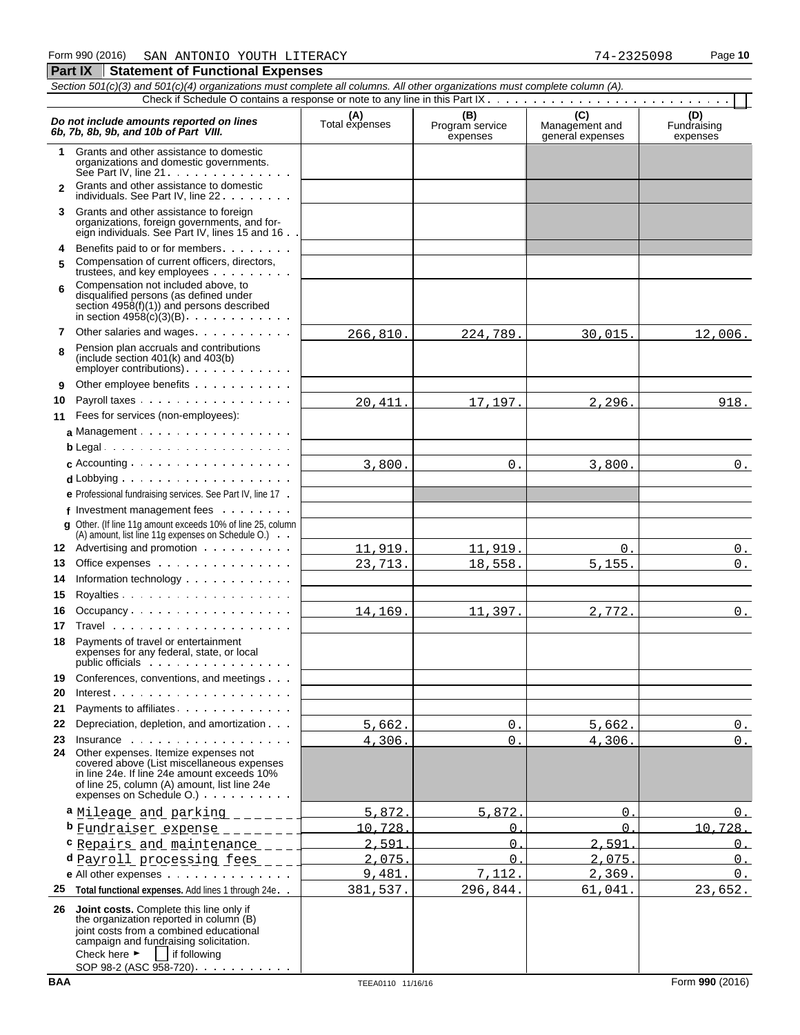**Part IX Statement of Functional Expenses** 

|              | Section 501(c)(3) and 501(c)(4) organizations must complete all columns. All other organizations must complete column (A).                                                                                                                             |                       |                                    |                                           |                                |
|--------------|--------------------------------------------------------------------------------------------------------------------------------------------------------------------------------------------------------------------------------------------------------|-----------------------|------------------------------------|-------------------------------------------|--------------------------------|
|              |                                                                                                                                                                                                                                                        |                       |                                    |                                           |                                |
|              | Do not include amounts reported on lines<br>6b, 7b, 8b, 9b, and 10b of Part VIII.                                                                                                                                                                      | (A)<br>Total expenses | (B)<br>Program service<br>expenses | (C)<br>Management and<br>general expenses | (D)<br>Fundraising<br>expenses |
| 1.           | Grants and other assistance to domestic<br>organizations and domestic governments.<br>See Part IV, line 21.                                                                                                                                            |                       |                                    |                                           |                                |
| $\mathbf{2}$ | Grants and other assistance to domestic<br>individuals. See Part IV, line 22                                                                                                                                                                           |                       |                                    |                                           |                                |
|              | 3 Grants and other assistance to foreign<br>organizations, foreign governments, and for-<br>eign individuals. See Part IV, lines 15 and 16.                                                                                                            |                       |                                    |                                           |                                |
| 4<br>5       | Benefits paid to or for members<br>Compensation of current officers, directors,<br>trustees, and key employees                                                                                                                                         |                       |                                    |                                           |                                |
| 6            | Compensation not included above, to<br>disqualified persons (as defined under<br>section $4958(f)(1)$ and persons described<br>in section $4958(c)(3)(B)$ .                                                                                            |                       |                                    |                                           |                                |
| 7            | Other salaries and wages.                                                                                                                                                                                                                              | 266,810.              | 224,789.                           | 30,015.                                   | 12,006.                        |
| 8            | Pension plan accruals and contributions<br>(include section $401(k)$ and $403(b)$<br>employer contributions).                                                                                                                                          |                       |                                    |                                           |                                |
| 9            | Other employee benefits                                                                                                                                                                                                                                |                       |                                    |                                           |                                |
| 10           | Payroll taxes                                                                                                                                                                                                                                          | 20, 411.              | 17,197.                            | 2,296.                                    | 918.                           |
| 11           | Fees for services (non-employees):                                                                                                                                                                                                                     |                       |                                    |                                           |                                |
|              |                                                                                                                                                                                                                                                        |                       |                                    |                                           |                                |
|              | $b$ Legal                                                                                                                                                                                                                                              |                       |                                    |                                           |                                |
|              |                                                                                                                                                                                                                                                        | 3,800.                | 0.                                 | 3,800.                                    | $0_{.}$                        |
|              |                                                                                                                                                                                                                                                        |                       |                                    |                                           |                                |
|              | e Professional fundraising services. See Part IV, line 17.                                                                                                                                                                                             |                       |                                    |                                           |                                |
|              | f Investment management fees $\ldots$<br><b>q</b> Other. (If line 11g amount exceeds 10% of line 25, column                                                                                                                                            |                       |                                    |                                           |                                |
|              | (A) amount, list line 11g expenses on Schedule O.)                                                                                                                                                                                                     |                       |                                    |                                           |                                |
|              | 12 Advertising and promotion                                                                                                                                                                                                                           | 11,919.               | 11,919.                            | 0.                                        | 0.                             |
| 13           | Office expenses                                                                                                                                                                                                                                        | 23, 713.              | 18,558.                            | 5, 155.                                   | $0$ .                          |
| 14           | Information technology                                                                                                                                                                                                                                 |                       |                                    |                                           |                                |
| 15           |                                                                                                                                                                                                                                                        |                       |                                    |                                           |                                |
| 16           | Occupancy                                                                                                                                                                                                                                              | 14,169.               | 11,397.                            | 2,772.                                    | 0.                             |
| 17           |                                                                                                                                                                                                                                                        |                       |                                    |                                           |                                |
| 18           | Payments of travel or entertainment<br>expenses for any federal, state, or local<br>public officials                                                                                                                                                   |                       |                                    |                                           |                                |
| 19           | Conferences, conventions, and meetings                                                                                                                                                                                                                 |                       |                                    |                                           |                                |
| 20           | $Interest \ldots \ldots \ldots \ldots \ldots$                                                                                                                                                                                                          |                       |                                    |                                           |                                |
| 21           | Payments to affiliates.                                                                                                                                                                                                                                |                       |                                    |                                           |                                |
| 22           | Depreciation, depletion, and amortization                                                                                                                                                                                                              | 5,662.                | 0.                                 | 5,662.                                    | 0.                             |
| 23           | Insurance<br>24 Other expenses. Itemize expenses not<br>covered above (List miscellaneous expenses<br>in line 24e. If line 24e amount exceeds 10%<br>of line 25, column (A) amount, list line 24e<br>expenses on Schedule O.)                          | 4,306.                | $\overline{0}$ .                   | 4,306.                                    | $0$ .                          |
|              | a Mileage and parking ______                                                                                                                                                                                                                           | 5.872                 | 5.872                              | $\Omega$                                  | $\Omega$ .                     |
|              | b Fundraiser expense _______                                                                                                                                                                                                                           | 10.728                | $\Omega$                           | $\Omega$                                  | 10.728.                        |
|              | "Repairs and maintenance ___                                                                                                                                                                                                                           | 2.591                 | $\Omega$                           | 2.591                                     | $\Omega$ .                     |
|              | d Payroll processing fees ___                                                                                                                                                                                                                          | 2.075                 | $\Omega$                           | 2.075                                     | $0$ .                          |
|              | e All other expenses                                                                                                                                                                                                                                   | 9,481                 | 7,112.                             | 2,369.                                    | $0$ .                          |
| 25           | Total functional expenses. Add lines 1 through 24e                                                                                                                                                                                                     | 381,537.              | 296,844.                           | 61,041.                                   | 23,652.                        |
| 26           | Joint costs. Complete this line only if<br>the organization reported in column (B)<br>joint costs from a combined educational<br>campaign and fundraising solicitation.<br>Check here $\blacktriangleright$<br>if following<br>SOP 98-2 (ASC 958-720). |                       |                                    |                                           |                                |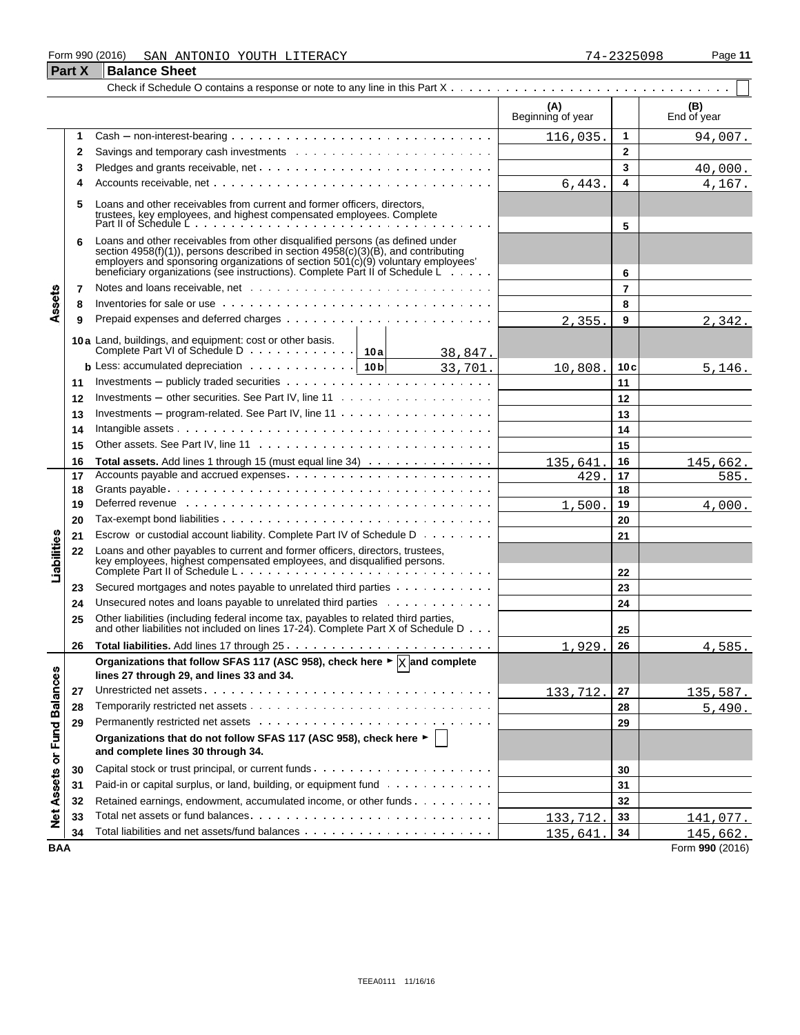### Form 990 (2016) Page **11** SAN ANTONIO YOUTH LITERACY 74-2325098

|                             | <b>Part X</b> | <b>Balance Sheet</b>                                                                                                                                                                                                                                                                                                                        |                          |                |                    |
|-----------------------------|---------------|---------------------------------------------------------------------------------------------------------------------------------------------------------------------------------------------------------------------------------------------------------------------------------------------------------------------------------------------|--------------------------|----------------|--------------------|
|                             |               |                                                                                                                                                                                                                                                                                                                                             |                          |                |                    |
|                             |               |                                                                                                                                                                                                                                                                                                                                             | (A)<br>Beginning of year |                | (B)<br>End of year |
|                             | 1             |                                                                                                                                                                                                                                                                                                                                             | 116,035.                 | $\mathbf{1}$   | 94,007.            |
|                             | 2             |                                                                                                                                                                                                                                                                                                                                             |                          | $\mathbf{2}$   |                    |
|                             | 3             |                                                                                                                                                                                                                                                                                                                                             |                          | 3              | 40,000.            |
|                             | 4             |                                                                                                                                                                                                                                                                                                                                             | 6,443.                   | 4              | 4,167.             |
|                             | 5             | Loans and other receivables from current and former officers, directors,<br>trustees, key employees, and highest compensated employees. Complete<br>Part II of Schedule Letter and the compensated employees. Complete                                                                                                                      |                          | 5              |                    |
|                             | 6             | Loans and other receivables from other disqualified persons (as defined under<br>section 4958(f)(1)), persons described in section $4958(c)(3)(B)$ , and contributing<br>employers and sponsoring organizations of section $501(c)(9)$ voluntary employees'<br>beneficiary organizations (see instructions). Complete Part II of Schedule L |                          | 6              |                    |
| Assets                      | 7             |                                                                                                                                                                                                                                                                                                                                             |                          | $\overline{7}$ |                    |
|                             | 8             | Inventories for sale or use $\cdots$ , $\cdots$ , $\cdots$ , $\cdots$ , $\cdots$ , $\cdots$ , $\cdots$ , $\cdots$ , $\cdots$ , $\cdots$ , $\cdots$                                                                                                                                                                                          |                          | 8              |                    |
|                             | 9             |                                                                                                                                                                                                                                                                                                                                             | 2,355.                   | 9              | 2,342.             |
|                             |               | 10a Land, buildings, and equipment: cost or other basis.                                                                                                                                                                                                                                                                                    |                          |                |                    |
|                             |               | 38,847.                                                                                                                                                                                                                                                                                                                                     |                          |                |                    |
|                             |               | <b>b</b> Less: accumulated depreciation $\cdots$ $\cdots$ $\cdots$ $\cdots$ $\cdots$   10b<br>33,701.                                                                                                                                                                                                                                       | 10,808.                  | 10c            | 5,146.             |
|                             | 11            |                                                                                                                                                                                                                                                                                                                                             |                          | 11             |                    |
|                             | 12            |                                                                                                                                                                                                                                                                                                                                             |                          | 12             |                    |
|                             | 13            | Investments – program-related. See Part IV, line $11 \ldots \ldots \ldots \ldots \ldots$                                                                                                                                                                                                                                                    |                          | 13             |                    |
|                             | 14            |                                                                                                                                                                                                                                                                                                                                             |                          | 14             |                    |
|                             | 15            |                                                                                                                                                                                                                                                                                                                                             |                          | 15             |                    |
|                             | 16            | Total assets. Add lines 1 through 15 (must equal line 34)                                                                                                                                                                                                                                                                                   | 135,641                  | 16             | 145,662.           |
|                             | 17            |                                                                                                                                                                                                                                                                                                                                             | 429.                     | 17             | 585.               |
|                             | 18            |                                                                                                                                                                                                                                                                                                                                             |                          | 18             |                    |
|                             | 19            | Deferred revenue www.communicationshipsers and contain the contact of the contact of the contact of the contact of the contact of the contact of the contact of the contact of the contact of the contact of the contact of th                                                                                                              | 1,500.                   | 19             | 4,000.             |
|                             | 20            |                                                                                                                                                                                                                                                                                                                                             |                          | 20             |                    |
|                             | 21            | Escrow or custodial account liability. Complete Part IV of Schedule D                                                                                                                                                                                                                                                                       |                          | 21             |                    |
| Liabilities                 | 22            | Loans and other payables to current and former officers, directors, trustees,                                                                                                                                                                                                                                                               |                          | 22             |                    |
|                             | 23            | Secured mortgages and notes payable to unrelated third parties                                                                                                                                                                                                                                                                              |                          | 23             |                    |
|                             | 24            | Unsecured notes and loans payable to unrelated third parties                                                                                                                                                                                                                                                                                |                          | 24             |                    |
|                             | 25            | Other liabilities (including federal income tax, payables to related third parties,<br>and other liabilities not included on lines 17-24). Complete Part X of Schedule D                                                                                                                                                                    |                          | 25             |                    |
|                             | 26            |                                                                                                                                                                                                                                                                                                                                             | 1,929                    | 26             | 4,585.             |
|                             |               | Organizations that follow SFAS 117 (ASC 958), check here $\blacktriangleright \frac{1}{X}$ and complete<br>lines 27 through 29, and lines 33 and 34.                                                                                                                                                                                        |                          |                |                    |
|                             | 27            |                                                                                                                                                                                                                                                                                                                                             | 133,712.                 | 27             | 135,587.           |
|                             | 28            |                                                                                                                                                                                                                                                                                                                                             |                          | 28             | 5,490.             |
|                             | 29            |                                                                                                                                                                                                                                                                                                                                             |                          | 29             |                    |
| Net Assets or Fund Balances |               | Organizations that do not follow SFAS 117 (ASC 958), check here ►<br>and complete lines 30 through 34.                                                                                                                                                                                                                                      |                          |                |                    |
|                             | 30            |                                                                                                                                                                                                                                                                                                                                             |                          | 30             |                    |
|                             | 31            | Paid-in or capital surplus, or land, building, or equipment fund                                                                                                                                                                                                                                                                            |                          | 31             |                    |
|                             | 32            | Retained earnings, endowment, accumulated income, or other funds                                                                                                                                                                                                                                                                            |                          | 32             |                    |
|                             | 33            |                                                                                                                                                                                                                                                                                                                                             | 133,712.                 | 33             | 141,077.           |
|                             | 34            |                                                                                                                                                                                                                                                                                                                                             | 135,641                  | 34             | 145,662.           |
| <b>BAA</b>                  |               |                                                                                                                                                                                                                                                                                                                                             |                          |                | Form 990 (2016)    |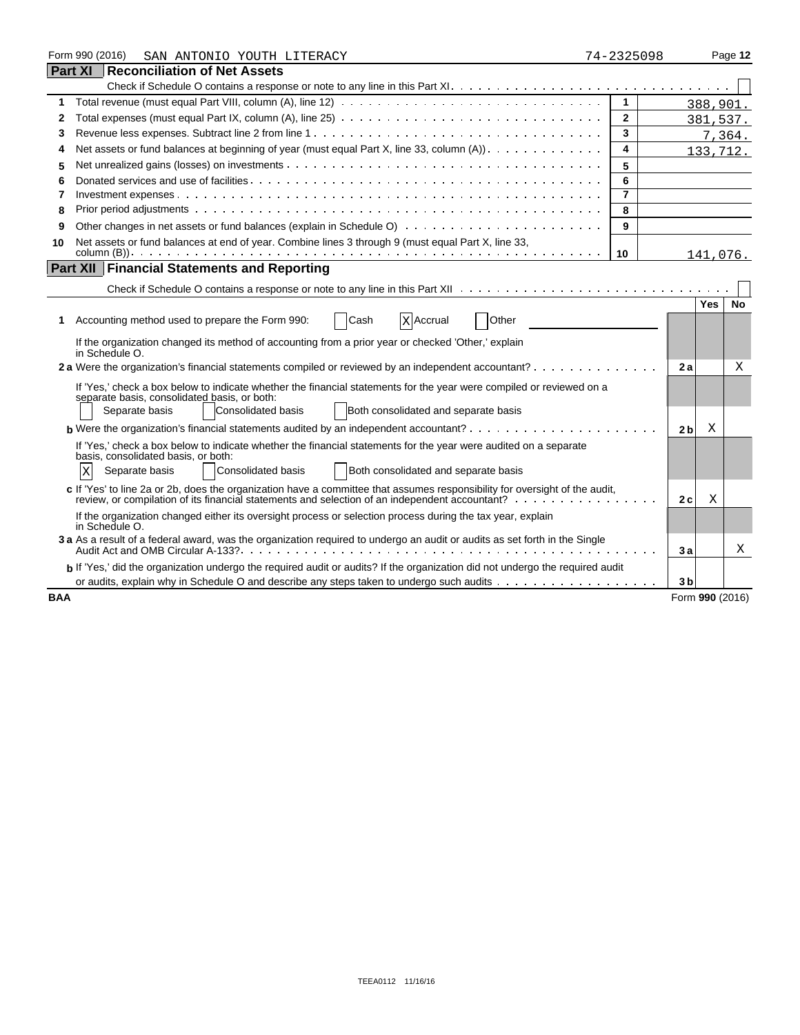|            | Form 990 (2016)<br>SAN ANTONIO YOUTH LITERACY                                                                                                                                                                                 | 74-2325098     |                |            | Page 12         |
|------------|-------------------------------------------------------------------------------------------------------------------------------------------------------------------------------------------------------------------------------|----------------|----------------|------------|-----------------|
|            | <b>Part XI Reconciliation of Net Assets</b>                                                                                                                                                                                   |                |                |            |                 |
|            |                                                                                                                                                                                                                               |                |                |            |                 |
| 1          |                                                                                                                                                                                                                               | $\mathbf{1}$   |                |            | 388,901.        |
| 2          |                                                                                                                                                                                                                               | $\mathbf{2}$   |                |            | 381,537.        |
| 3          |                                                                                                                                                                                                                               | 3              |                |            | 7,364.          |
| 4          | Net assets or fund balances at beginning of year (must equal Part X, line 33, column $(A)$ ).                                                                                                                                 | 4              |                |            | 133,712.        |
| 5          |                                                                                                                                                                                                                               | 5              |                |            |                 |
| 6          |                                                                                                                                                                                                                               | 6              |                |            |                 |
| 7          |                                                                                                                                                                                                                               | $\overline{7}$ |                |            |                 |
| 8          |                                                                                                                                                                                                                               | 8              |                |            |                 |
| 9          |                                                                                                                                                                                                                               | 9              |                |            |                 |
| 10         | Net assets or fund balances at end of year. Combine lines 3 through 9 (must equal Part X, line 33,                                                                                                                            |                |                |            |                 |
|            |                                                                                                                                                                                                                               | 10             |                |            | 141,076.        |
|            | <b>Part XII Financial Statements and Reporting</b>                                                                                                                                                                            |                |                |            |                 |
|            |                                                                                                                                                                                                                               |                |                |            |                 |
|            |                                                                                                                                                                                                                               |                |                | <b>Yes</b> | <b>No</b>       |
| 1.         | Cash<br>Other<br>Accounting method used to prepare the Form 990:<br>X Accrual                                                                                                                                                 |                |                |            |                 |
|            | If the organization changed its method of accounting from a prior year or checked 'Other,' explain<br>in Schedule O.                                                                                                          |                |                |            |                 |
|            | 2 a Were the organization's financial statements compiled or reviewed by an independent accountant?                                                                                                                           |                | 2a             |            | Χ               |
|            | If 'Yes,' check a box below to indicate whether the financial statements for the year were compiled or reviewed on a                                                                                                          |                |                |            |                 |
|            | separate basis, consolidated basis, or both:                                                                                                                                                                                  |                |                |            |                 |
|            | Consolidated basis<br>Both consolidated and separate basis<br>Separate basis                                                                                                                                                  |                |                |            |                 |
|            | <b>b</b> Were the organization's financial statements audited by an independent accountant? $\cdots$                                                                                                                          |                | 2 <sub>b</sub> | X          |                 |
|            | If 'Yes,' check a box below to indicate whether the financial statements for the year were audited on a separate                                                                                                              |                |                |            |                 |
|            | basis, consolidated basis, or both:                                                                                                                                                                                           |                |                |            |                 |
|            | Both consolidated and separate basis<br>Separate basis<br>Consolidated basis<br>ΙX                                                                                                                                            |                |                |            |                 |
|            | c If 'Yes' to line 2a or 2b, does the organization have a committee that assumes responsibility for oversight of the audit,<br>review, or compilation of its financial statements and selection of an independent accountant? |                | 2c             | Χ          |                 |
|            | If the organization changed either its oversight process or selection process during the tax year, explain<br>in Schedule O.                                                                                                  |                |                |            |                 |
|            | 3 a As a result of a federal award, was the organization required to undergo an audit or audits as set forth in the Single                                                                                                    |                | 3a             |            | Χ               |
|            | b If 'Yes,' did the organization undergo the required audit or audits? If the organization did not undergo the required audit                                                                                                 |                |                |            |                 |
|            |                                                                                                                                                                                                                               |                | 3 <sub>b</sub> |            |                 |
| <b>BAA</b> |                                                                                                                                                                                                                               |                |                |            | Form 990 (2016) |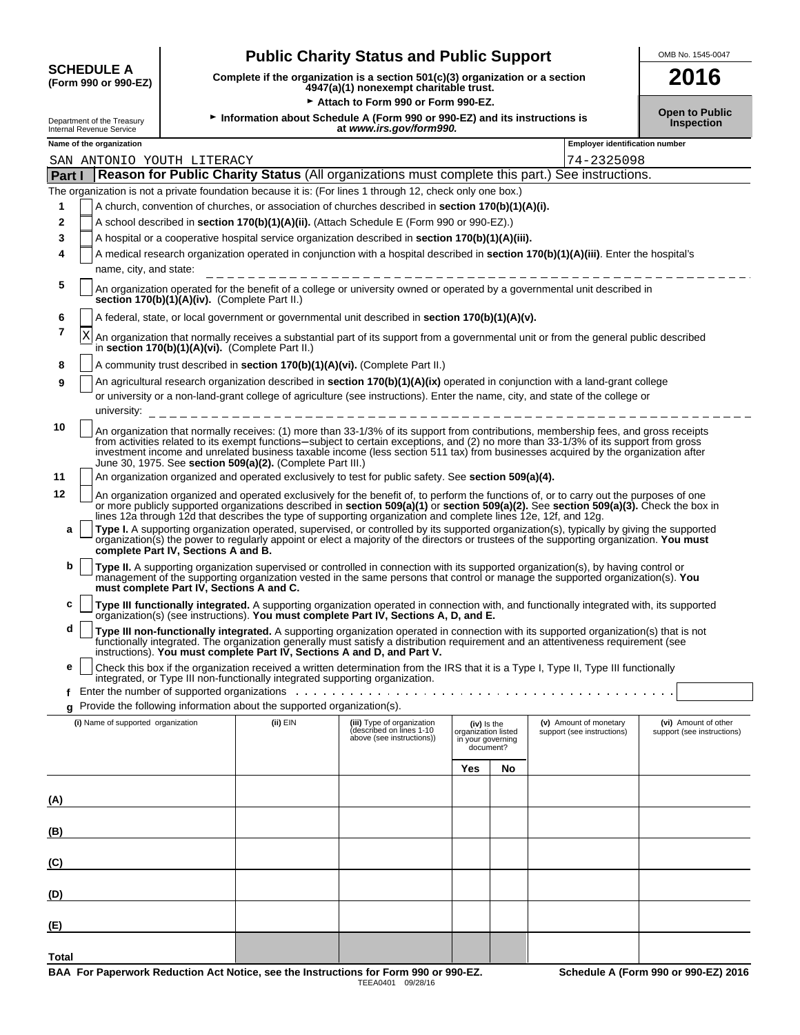| <b>SCHEDULE A</b>    |  |
|----------------------|--|
| (Form 990 or 990-EZ) |  |

**(E)**

**Total**

## **Public Charity Status and Public Support** OMB No. 1545-0047

**(Form 990 or 990-EZ) Complete if the organization is a section 501(c)(3) organization or a section 4947(a)(1) nonexempt charitable trust. 2016**

|                                                                   |                                    |                                               | Attach to Form 990 or Form 990-EZ.                                     |                                                                                                                |                                                                        |    |                                                                                                                                                                                                                                                                                                                                                                                                                    |                                                    |
|-------------------------------------------------------------------|------------------------------------|-----------------------------------------------|------------------------------------------------------------------------|----------------------------------------------------------------------------------------------------------------|------------------------------------------------------------------------|----|--------------------------------------------------------------------------------------------------------------------------------------------------------------------------------------------------------------------------------------------------------------------------------------------------------------------------------------------------------------------------------------------------------------------|----------------------------------------------------|
| Department of the Treasury<br>Internal Revenue Service            |                                    |                                               |                                                                        | Information about Schedule A (Form 990 or 990-EZ) and its instructions is<br>at www.irs.gov/form990.           |                                                                        |    |                                                                                                                                                                                                                                                                                                                                                                                                                    | <b>Open to Public</b><br>Inspection                |
| Name of the organization<br><b>Employer identification number</b> |                                    |                                               |                                                                        |                                                                                                                |                                                                        |    |                                                                                                                                                                                                                                                                                                                                                                                                                    |                                                    |
|                                                                   | SAN ANTONIO YOUTH LITERACY         |                                               |                                                                        |                                                                                                                |                                                                        |    | 74-2325098                                                                                                                                                                                                                                                                                                                                                                                                         |                                                    |
| Part I                                                            |                                    |                                               |                                                                        |                                                                                                                |                                                                        |    | Reason for Public Charity Status (All organizations must complete this part.) See instructions.                                                                                                                                                                                                                                                                                                                    |                                                    |
|                                                                   |                                    |                                               |                                                                        | The organization is not a private foundation because it is: (For lines 1 through 12, check only one box.)      |                                                                        |    |                                                                                                                                                                                                                                                                                                                                                                                                                    |                                                    |
| 1                                                                 |                                    |                                               |                                                                        | A church, convention of churches, or association of churches described in <b>section 170(b)(1)(A)(i).</b>      |                                                                        |    |                                                                                                                                                                                                                                                                                                                                                                                                                    |                                                    |
| 2                                                                 |                                    |                                               |                                                                        | A school described in section 170(b)(1)(A)(ii). (Attach Schedule E (Form 990 or 990-EZ).)                      |                                                                        |    |                                                                                                                                                                                                                                                                                                                                                                                                                    |                                                    |
| 3                                                                 |                                    |                                               |                                                                        | A hospital or a cooperative hospital service organization described in section 170(b)(1)(A)(iii).              |                                                                        |    |                                                                                                                                                                                                                                                                                                                                                                                                                    |                                                    |
| 4                                                                 | name, city, and state:             |                                               |                                                                        |                                                                                                                |                                                                        |    | A medical research organization operated in conjunction with a hospital described in section 170(b)(1)(A)(iii). Enter the hospital's                                                                                                                                                                                                                                                                               |                                                    |
| 5                                                                 |                                    | section 170(b)(1)(A)(iv). (Complete Part II.) |                                                                        |                                                                                                                |                                                                        |    | An organization operated for the benefit of a college or university owned or operated by a governmental unit described in                                                                                                                                                                                                                                                                                          |                                                    |
| 6                                                                 |                                    |                                               |                                                                        | A federal, state, or local government or governmental unit described in section 170(b)(1)(A)(v).               |                                                                        |    |                                                                                                                                                                                                                                                                                                                                                                                                                    |                                                    |
| 7                                                                 | Χ                                  |                                               | in section 170(b)(1)(A)(vi). (Complete Part II.)                       |                                                                                                                |                                                                        |    | An organization that normally receives a substantial part of its support from a governmental unit or from the general public described                                                                                                                                                                                                                                                                             |                                                    |
| 8                                                                 |                                    |                                               |                                                                        | A community trust described in section 170(b)(1)(A)(vi). (Complete Part II.)                                   |                                                                        |    |                                                                                                                                                                                                                                                                                                                                                                                                                    |                                                    |
| 9                                                                 | university:                        |                                               |                                                                        |                                                                                                                |                                                                        |    | An agricultural research organization described in section 170(b)(1)(A)(ix) operated in conjunction with a land-grant college<br>or university or a non-land-grant college of agriculture (see instructions). Enter the name, city, and state of the college or                                                                                                                                                    |                                                    |
| 10                                                                |                                    |                                               | June 30, 1975. See section 509(a)(2). (Complete Part III.)             |                                                                                                                |                                                                        |    | An organization that normally receives: (1) more than 33-1/3% of its support from contributions, membership fees, and gross receipts<br>from activities related to its exempt functions-subject to certain exceptions, and (2) no more than 33-1/3% of its support from gross<br>investment income and unrelated business taxable income (less section 511 tax) from businesses acquired by the organization after |                                                    |
| 11                                                                |                                    |                                               |                                                                        | An organization organized and operated exclusively to test for public safety. See section 509(a)(4).           |                                                                        |    |                                                                                                                                                                                                                                                                                                                                                                                                                    |                                                    |
| 12                                                                |                                    |                                               |                                                                        | lines 12a through 12d that describes the type of supporting organization and complete lines 12e, 12f, and 12g. |                                                                        |    | An organization organized and operated exclusively for the benefit of, to perform the functions of, or to carry out the purposes of one<br>or more publicly supported organizations described in section 509(a)(1) or section 509(a)(2). See section 509(a)(3). Check the box in                                                                                                                                   |                                                    |
| a                                                                 |                                    | complete Part IV, Sections A and B.           |                                                                        |                                                                                                                |                                                                        |    | Type I. A supporting organization operated, supervised, or controlled by its supported organization(s), typically by giving the supported<br>organization(s) the power to regularly appoint or elect a majority of the directors or trustees of the supporting organization. You must                                                                                                                              |                                                    |
| b                                                                 |                                    | must complete Part IV, Sections A and C.      |                                                                        |                                                                                                                |                                                                        |    | Type II. A supporting organization supervised or controlled in connection with its supported organization(s), by having control or<br>management of the supporting organization vested in the same persons that control or manage the supported organization(s). You                                                                                                                                               |                                                    |
| с                                                                 |                                    |                                               |                                                                        | organization(s) (see instructions). You must complete Part IV, Sections A, D, and E.                           |                                                                        |    | Type III functionally integrated. A supporting organization operated in connection with, and functionally integrated with, its supported                                                                                                                                                                                                                                                                           |                                                    |
| d                                                                 |                                    |                                               |                                                                        | instructions). You must complete Part IV, Sections A and D, and Part V.                                        |                                                                        |    | Type III non-functionally integrated. A supporting organization operated in connection with its supported organization(s) that is not<br>functionally integrated. The organization generally must satisfy a distribution requirement and an attentiveness requirement (see                                                                                                                                         |                                                    |
| е                                                                 |                                    |                                               |                                                                        | integrated, or Type III non-functionally integrated supporting organization.                                   |                                                                        |    | Check this box if the organization received a written determination from the IRS that it is a Type I, Type II, Type III functionally                                                                                                                                                                                                                                                                               |                                                    |
|                                                                   |                                    |                                               |                                                                        | Enter the number of supported organizations enter-                                                             |                                                                        |    |                                                                                                                                                                                                                                                                                                                                                                                                                    |                                                    |
|                                                                   |                                    |                                               | Provide the following information about the supported organization(s). |                                                                                                                |                                                                        |    |                                                                                                                                                                                                                                                                                                                                                                                                                    |                                                    |
|                                                                   | (i) Name of supported organization |                                               | (ii) EIN                                                               | (iii) Type of organization<br>(described on lines 1-10<br>above (see instructions))                            | $(iv)$ is the<br>organization listed<br>in your governing<br>document? |    | (v) Amount of monetary<br>support (see instructions)                                                                                                                                                                                                                                                                                                                                                               | (vi) Amount of other<br>support (see instructions) |
|                                                                   |                                    |                                               |                                                                        |                                                                                                                | Yes                                                                    | No |                                                                                                                                                                                                                                                                                                                                                                                                                    |                                                    |
| (A)                                                               |                                    |                                               |                                                                        |                                                                                                                |                                                                        |    |                                                                                                                                                                                                                                                                                                                                                                                                                    |                                                    |
| (B)                                                               |                                    |                                               |                                                                        |                                                                                                                |                                                                        |    |                                                                                                                                                                                                                                                                                                                                                                                                                    |                                                    |
| (C)                                                               |                                    |                                               |                                                                        |                                                                                                                |                                                                        |    |                                                                                                                                                                                                                                                                                                                                                                                                                    |                                                    |
| (D)                                                               |                                    |                                               |                                                                        |                                                                                                                |                                                                        |    |                                                                                                                                                                                                                                                                                                                                                                                                                    |                                                    |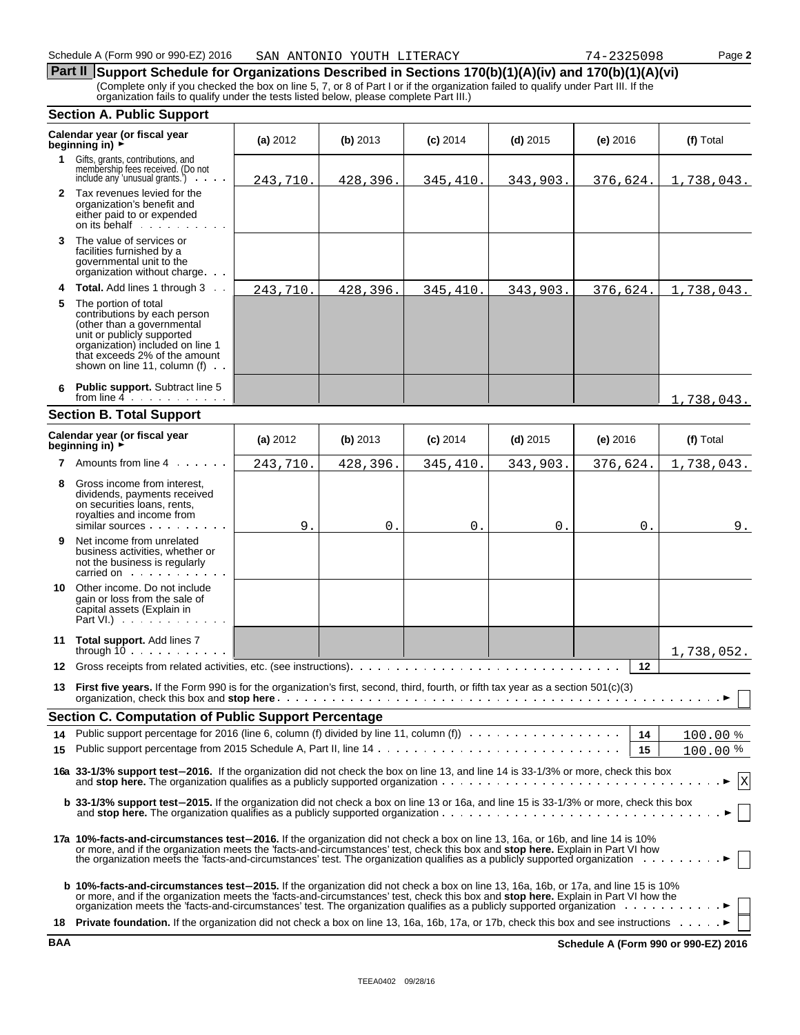**Part II** Support Schedule for Organizations Described in Sections 170(b)(1)(A)(iv) and 170(b)(1)(A)(vi) (Complete only if you checked the box on line 5, 7, or 8 of Part I or if the organization failed to qualify under Part III. If the organization fails to qualify under the tests listed below, please complete Part III.)

#### **Section A. Public Support**

|    | Calendar year (or fiscal year<br>beginning in) ►                                                                                                                                                                                                                                                                                                                           | (a) 2012 | (b) 2013    | $(c)$ 2014 | $(d)$ 2015 | $(e)$ 2016 | (f) Total   |
|----|----------------------------------------------------------------------------------------------------------------------------------------------------------------------------------------------------------------------------------------------------------------------------------------------------------------------------------------------------------------------------|----------|-------------|------------|------------|------------|-------------|
| 1  | Gifts, grants, contributions, and<br>membership fees received. (Do not<br>include any 'unusual grants.')<br><b>Contractor</b>                                                                                                                                                                                                                                              | 243,710. | 428,396.    | 345,410.   | 343,903.   | 376,624.   | 1,738,043.  |
|    | 2 Tax revenues levied for the<br>organization's benefit and<br>either paid to or expended<br>on its behalf                                                                                                                                                                                                                                                                 |          |             |            |            |            |             |
| 3  | The value of services or<br>facilities furnished by a<br>governmental unit to the<br>organization without charge                                                                                                                                                                                                                                                           |          |             |            |            |            |             |
| 4  | <b>Total.</b> Add lines 1 through 3                                                                                                                                                                                                                                                                                                                                        | 243,710. | 428,396.    | 345,410.   | 343,903.   | 376,624.   | 1,738,043.  |
| 5. | The portion of total<br>contributions by each person<br>(other than a governmental<br>unit or publicly supported<br>organization) included on line 1<br>that exceeds 2% of the amount<br>shown on line 11, column (f) $\cdots$                                                                                                                                             |          |             |            |            |            |             |
| 6  | <b>Public support.</b> Subtract line 5<br>from line $4 \cdot \cdot \cdot \cdot \cdot \cdot$                                                                                                                                                                                                                                                                                |          |             |            |            |            | 1,738,043.  |
|    | <b>Section B. Total Support</b>                                                                                                                                                                                                                                                                                                                                            |          |             |            |            |            |             |
|    | Calendar year (or fiscal year<br>beginning in) ►                                                                                                                                                                                                                                                                                                                           | (a) 2012 | (b) 2013    | $(c)$ 2014 | $(d)$ 2015 | $(e)$ 2016 | (f) Total   |
|    | <b>7</b> Amounts from line 4                                                                                                                                                                                                                                                                                                                                               | 243,710. | 428,396.    | 345,410.   | 343,903.   | 376,624.   | 1,738,043.  |
| 8  | Gross income from interest,<br>dividends, payments received<br>on securities loans, rents,<br>royalties and income from<br>similar sources                                                                                                                                                                                                                                 | 9.       | $\mathbf 0$ | 0.         | 0.         | Ο.         | 9.          |
| 9. | Net income from unrelated<br>business activities, whether or<br>not the business is regularly<br>carried on example and set of the set of the set of the set of the set of the set of the set of the set of the                                                                                                                                                            |          |             |            |            |            |             |
| 10 | Other income. Do not include<br>gain or loss from the sale of<br>capital assets (Explain in<br>Part VI.) $\cdots$                                                                                                                                                                                                                                                          |          |             |            |            |            |             |
|    | 11 Total support. Add lines 7<br>through $10$                                                                                                                                                                                                                                                                                                                              |          |             |            |            |            | 1,738,052.  |
| 12 |                                                                                                                                                                                                                                                                                                                                                                            |          |             |            |            | $12 \,$    |             |
| 13 | First five years. If the Form 990 is for the organization's first, second, third, fourth, or fifth tax year as a section 501(c)(3)                                                                                                                                                                                                                                         |          |             |            |            |            |             |
|    | <b>Section C. Computation of Public Support Percentage</b>                                                                                                                                                                                                                                                                                                                 |          |             |            |            |            |             |
|    |                                                                                                                                                                                                                                                                                                                                                                            |          |             |            |            | 14         | 100.00%     |
|    |                                                                                                                                                                                                                                                                                                                                                                            |          |             |            |            | 15         | 100.00%     |
|    | 16a 33-1/3% support test-2016. If the organization did not check the box on line 13, and line 14 is 33-1/3% or more, check this box                                                                                                                                                                                                                                        |          |             |            |            |            | $\mathbf X$ |
|    | b 33-1/3% support test-2015. If the organization did not check a box on line 13 or 16a, and line 15 is 33-1/3% or more, check this box                                                                                                                                                                                                                                     |          |             |            |            |            |             |
|    | 17a 10%-facts-and-circumstances test-2016. If the organization did not check a box on line 13, 16a, or 16b, and line 14 is 10%<br>or more, and if the organization meets the 'facts-and-circumstances' test, check this box and stop here. Explain in Part VI how<br>the organization meets the 'facts-and-circumstances' test. The organization qualifies as a pub        |          |             |            |            |            |             |
|    | <b>b 10%-facts-and-circumstances test-2015.</b> If the organization did not check a box on line 13, 16a, 16b, or 17a, and line 15 is 10%<br>or more, and if the organization meets the 'facts-and-circumstances' test, check this box and stop here. Explain in Part VI how the organization meets the 'facts-and-circumstances' test. The organization qualifies as a pub |          |             |            |            |            |             |
|    | 18 Private foundation. If the organization did not check a box on line 13, 16a, 16b, 17a, or 17b, check this box and see instructions ▶                                                                                                                                                                                                                                    |          |             |            |            |            |             |

**BAA Schedule A (Form 990 or 990-EZ) 2016**

| <b>CONTROS</b> |  |  |
|----------------|--|--|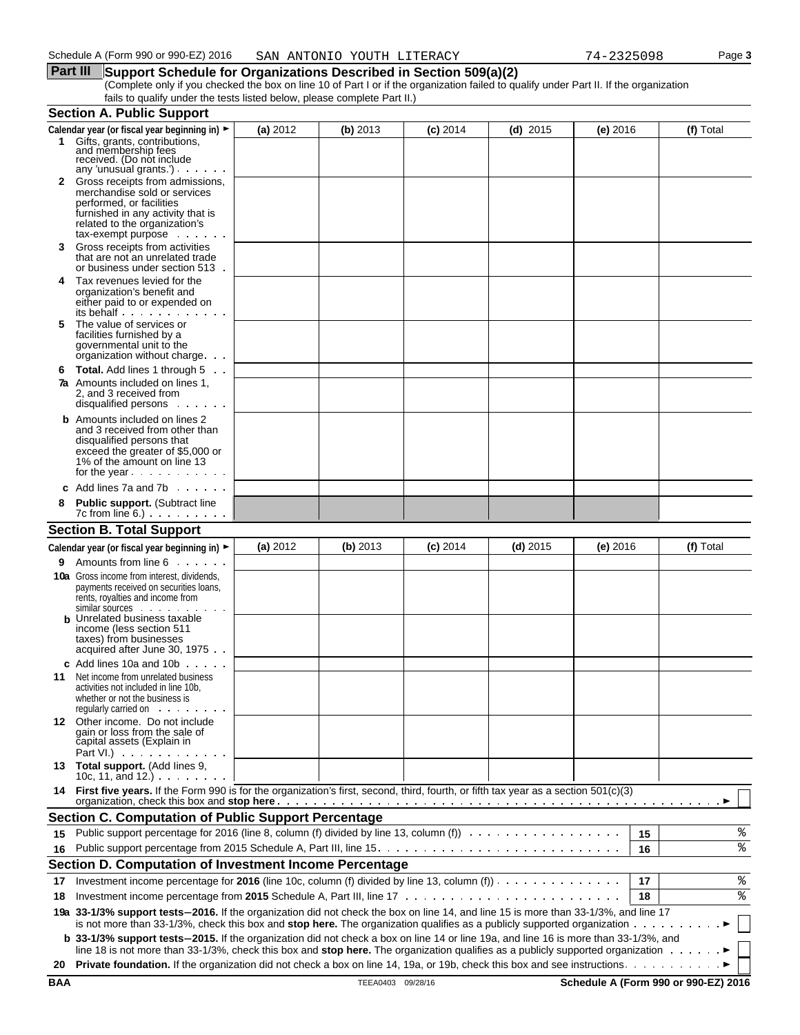#### **Part III** Support Schedule for Organizations Described in Section 509(a)(2) (Complete only if you checked the box on line 10 of Part I or if the organization failed to qualify under Part II. If the organization fails to qualify under the tests listed below, please complete Part II.)

|    | <b>Section A. Public Support</b>                                                                                                                                                                                                                                                                                                                                                   |          |            |            |            |            |    |           |
|----|------------------------------------------------------------------------------------------------------------------------------------------------------------------------------------------------------------------------------------------------------------------------------------------------------------------------------------------------------------------------------------|----------|------------|------------|------------|------------|----|-----------|
|    | Calendar year (or fiscal year beginning in) ►<br>1 Gifts, grants, contributions,<br>and membership fees<br>received. (Do not include                                                                                                                                                                                                                                               | (a) 2012 | (b) $2013$ | $(c)$ 2014 | (d) $2015$ | (e) $2016$ |    | (f) Total |
|    | any 'unusual grants.')<br>2 Gross receipts from admissions,<br>merchandise sold or services<br>performed, or facilities<br>furnished in any activity that is<br>related to the organization's<br>$tax$ -exempt purpose $\ldots$                                                                                                                                                    |          |            |            |            |            |    |           |
| 3  | Gross receipts from activities<br>that are not an unrelated trade<br>or business under section 513.                                                                                                                                                                                                                                                                                |          |            |            |            |            |    |           |
| 4  | Tax revenues levied for the<br>organization's benefit and<br>either paid to or expended on<br>its behalf                                                                                                                                                                                                                                                                           |          |            |            |            |            |    |           |
| 5  | The value of services or<br>facilities furnished by a<br>governmental unit to the<br>organization without charge                                                                                                                                                                                                                                                                   |          |            |            |            |            |    |           |
| 6  | <b>Total.</b> Add lines 1 through 5<br>7a Amounts included on lines 1,<br>2. and 3 received from<br>disqualified persons                                                                                                                                                                                                                                                           |          |            |            |            |            |    |           |
|    | <b>b</b> Amounts included on lines 2<br>and 3 received from other than<br>disqualified persons that<br>exceed the greater of \$5,000 or<br>1% of the amount on line 13<br>for the year $\cdots$                                                                                                                                                                                    |          |            |            |            |            |    |           |
|    | c Add lines $7a$ and $7b$                                                                                                                                                                                                                                                                                                                                                          |          |            |            |            |            |    |           |
|    | Public support. (Subtract line<br>$7c$ from line 6.) $\ldots$ $\ldots$ $\ldots$                                                                                                                                                                                                                                                                                                    |          |            |            |            |            |    |           |
|    | <b>Section B. Total Support</b>                                                                                                                                                                                                                                                                                                                                                    |          |            |            |            |            |    |           |
|    | Calendar year (or fiscal year beginning in) ►                                                                                                                                                                                                                                                                                                                                      | (a) 2012 | (b) 2013   | $(c)$ 2014 | $(d)$ 2015 | (e) $2016$ |    | (f) Total |
| 9. | Amounts from line 6                                                                                                                                                                                                                                                                                                                                                                |          |            |            |            |            |    |           |
|    | <b>10a</b> Gross income from interest, dividends,<br>payments received on securities loans,<br>rents, royalties and income from<br>similar sources<br><b>b</b> Unrelated business taxable<br>income (less section 511<br>taxes) from businesses<br>acquired after June 30, 1975.                                                                                                   |          |            |            |            |            |    |           |
| 11 | c Add lines 10a and 10b $\ldots$<br>Net income from unrelated business<br>activities not included in line 10b,<br>whether or not the business is<br>requiarly carried on entitled by the control of the control of the control of the control of the control of the control of the control of the control of the control of the control of the control of the control of the contr |          |            |            |            |            |    |           |
|    | 12 Other income. Do not include<br>gain or loss from the sale of<br>capital assets (Explain in<br>Part VI.) $\cdots$ $\cdots$                                                                                                                                                                                                                                                      |          |            |            |            |            |    |           |
|    | 13 Total support. (Add lines 9,<br>10c, 11, and 12.) $\cdots$                                                                                                                                                                                                                                                                                                                      |          |            |            |            |            |    |           |
|    | 14 First five years. If the Form 990 is for the organization's first, second, third, fourth, or fifth tax year as a section 501(c)(3)                                                                                                                                                                                                                                              |          |            |            |            |            |    |           |
|    | <b>Section C. Computation of Public Support Percentage</b>                                                                                                                                                                                                                                                                                                                         |          |            |            |            |            |    |           |
| 15 | Public support percentage for 2016 (line 8, column (f) divided by line 13, column (f)                                                                                                                                                                                                                                                                                              |          |            |            |            |            | 15 | ిక        |
| 16 |                                                                                                                                                                                                                                                                                                                                                                                    |          |            |            |            |            | 16 | ႜ         |
|    | Section D. Computation of Investment Income Percentage                                                                                                                                                                                                                                                                                                                             |          |            |            |            |            |    |           |
| 17 | Investment income percentage for 2016 (line 10c, column (f) divided by line 13, column (f))                                                                                                                                                                                                                                                                                        |          |            |            |            |            | 17 | %         |
| 18 |                                                                                                                                                                                                                                                                                                                                                                                    |          |            |            |            |            | 18 | ిం        |
|    | 19a 33-1/3% support tests-2016. If the organization did not check the box on line 14, and line 15 is more than 33-1/3%, and line 17<br>is not more than 33-1/3%, check this box and stop here. The organization qualifies as a publicly supported organization                                                                                                                     |          |            |            |            |            |    |           |
|    | b 33-1/3% support tests-2015. If the organization did not check a box on line 14 or line 19a, and line 16 is more than 33-1/3%, and<br>line 18 is not more than 33-1/3%, check this box and stop here. The organization qualifies as a publicly supported organization $\cdots \cdots$                                                                                             |          |            |            |            |            |    |           |
|    |                                                                                                                                                                                                                                                                                                                                                                                    |          |            |            |            |            |    |           |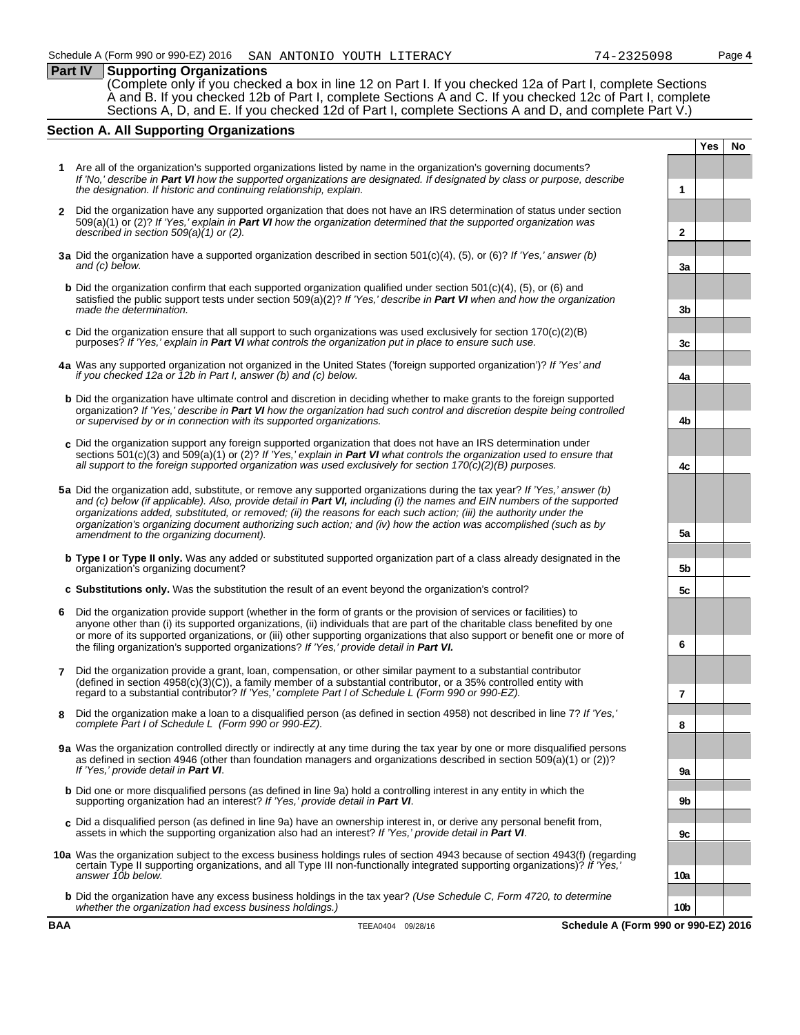## **Part IV Supporting Organizations**

(Complete only if you checked a box in line 12 on Part I. If you checked 12a of Part I, complete Sections A and B. If you checked 12b of Part I, complete Sections A and C. If you checked 12c of Part I, complete Sections A, D, and E. If you checked 12d of Part I, complete Sections A and D, and complete Part V.)

## **Section A. All Supporting Organizations**

- **1** Are all of the organization's supported organizations listed by name in the organization's governing documents? *If 'No,' describe in Part VI how the supported organizations are designated. If designated by class or purpose, describe the designation. If historic and continuing relationship, explain.* **1**
- **2** Did the organization have any supported organization that does not have an IRS determination of status under section 509(a)(1) or (2)? *If 'Yes,' explain in Part VI how the organization determined that the supported organization was described in section 509(a)(1) or (2).* **2**
- **3a** Did the organization have a supported organization described in section 501(c)(4), (5), or (6)? *If 'Yes,' answer (b) and (c) below.* **3a**
- **b** Did the organization confirm that each supported organization qualified under section 501(c)(4), (5), or (6) and satisfied the public support tests under section 509(a)(2)? *If 'Yes,' describe in Part VI when and how the organization made the determination.* **3b 3b**
- **c** Did the organization ensure that all support to such organizations was used exclusively for section 170(c)(2)(B) purposes? *If 'Yes,' explain in Part VI* what controls the organization put in place to ensure such use.
- **4a** Was any supported organization not organized in the United States ('foreign supported organization')? *If 'Yes' and if you checked 12a or 12b in Part I, answer (b) and (c) below.* **4a**
- **b** Did the organization have ultimate control and discretion in deciding whether to make grants to the foreign supported organization? *If 'Yes,' describe in Part VI how the organization had such control and discretion despite being controlled or supervised by or in connection with its supported organizations.* **4b**
- **c** Did the organization support any foreign supported organization that does not have an IRS determination under sections 501(c)(3) and 509(a)(1) or (2)? *If 'Yes,' explain in Part VI what controls the organization used to ensure that all support to the foreign supported organization was used exclusively for section 170(c)(2)(B) purposes.* **4c**
- **5a** Did the organization add, substitute, or remove any supported organizations during the tax year? *If 'Yes,' answer (b) and (c) below (if applicable). Also, provide detail in Part VI, including (i) the names and EIN numbers of the supported organizations added, substituted, or removed; (ii) the reasons for each such action; (iii) the authority under the organization's organizing document authorizing such action; and (iv) how the action was accomplished (such as by amendment to the organizing document).* **5a**
- **b Type I or Type II only.** Was any added or substituted supported organization part of a class already designated in the organization's organizing document? **5b**
- **c Substitutions only.** Was the substitution the result of an event beyond the organization's control? **5c**
- **6** Did the organization provide support (whether in the form of grants or the provision of services or facilities) to anyone other than (i) its supported organizations, (ii) individuals that are part of the charitable class benefited by one or more of its supported organizations, or (iii) other supporting organizations that also support or benefit one or more of the filing organization's supported organizations? *If 'Yes,' provide detail in Part VI.* **6**
- **7** Did the organization provide a grant, loan, compensation, or other similar payment to a substantial contributor  $($ defined in section 4958 $(c)(3)(\tilde{C}))$ , a family member of a substantial contributor, or a 35% controlled entity with regard to a substantial contributor? *If 'Yes,' complete Part I of Schedule L (Form 990 or 990-EZ).* **7**
- **8** Did the organization make a loan to a disqualified person (as defined in section 4958) not described in line 7? *If 'Yes,' complete Part I of Schedule L (Form 990 or 990-EZ).* **8**
- **9a** Was the organization controlled directly or indirectly at any time during the tax year by one or more disqualified persons as defined in section 4946 (other than foundation managers and organizations described in section 509(a)(1) or (2))? *If 'Yes,' provide detail in Part VI*. **9a**
- **b** Did one or more disqualified persons (as defined in line 9a) hold a controlling interest in any entity in which the supporting organization had an interest? *If 'Yes,' provide detail in Part VI*. **9b**
- **c** Did a disqualified person (as defined in line 9a) have an ownership interest in, or derive any personal benefit from, assets in which the supporting organization also had an interest? *If 'Yes,' provide detail in Part VI*. **9c**
- **10a** Was the organization subject to the excess business holdings rules of section 4943 because of section 4943(f) (regarding certain Type II supporting organizations, and all Type III non-functionally integrated supporting organizations)? *If 'Yes,' answer 10b below.* **10a**
	- **b** Did the organization have any excess business holdings in the tax year? *(Use Schedule C, Form 4720, to determine whether the organization had excess business holdings.)* **10b**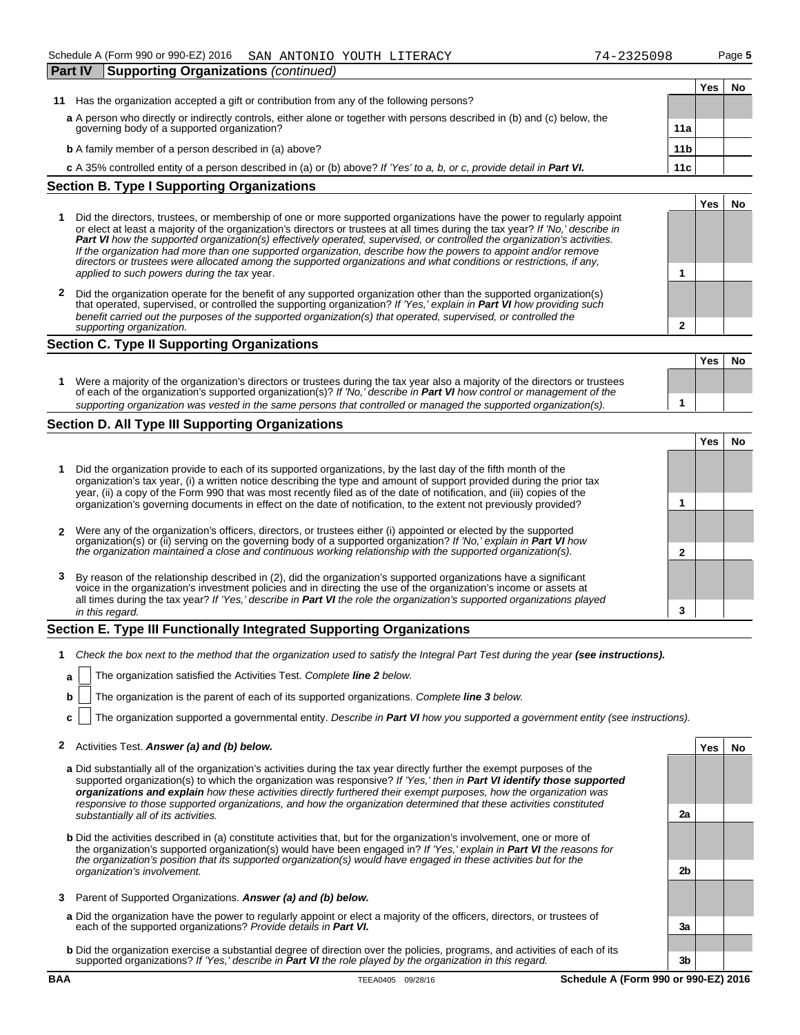| <b>Part IV</b>                                    | Supporting Organizations (continued)                                                                                      |     |     |    |  |
|---------------------------------------------------|---------------------------------------------------------------------------------------------------------------------------|-----|-----|----|--|
|                                                   |                                                                                                                           |     | Yes | Nο |  |
| 11                                                | Has the organization accepted a gift or contribution from any of the following persons?                                   |     |     |    |  |
|                                                   | a A person who directly or indirectly controls, either alone or together with persons described in (b) and (c) below, the |     |     |    |  |
|                                                   | governing body of a supported organization?<br>11a                                                                        |     |     |    |  |
|                                                   | <b>b</b> A family member of a person described in (a) above?<br>11 <sub>b</sub>                                           |     |     |    |  |
|                                                   | c A 35% controlled entity of a person described in (a) or (b) above? If 'Yes' to a, b, or c, provide detail in Part VI.   | 11c |     |    |  |
| <b>Section B. Type I Supporting Organizations</b> |                                                                                                                           |     |     |    |  |
|                                                   |                                                                                                                           |     |     |    |  |

| Did the directors, trustees, or membership of one or more supported organizations have the power to regularly appoint<br>or elect at least a majority of the organization's directors or trustees at all times during the tax year? If 'No,' describe in<br><b>Part VI</b> how the supported organization(s) effectively operated, supervised, or controlled the organization's activities.<br>If the organization had more than one supported organization, describe how the powers to appoint and/or remove |                                                                                                                     |  |
|---------------------------------------------------------------------------------------------------------------------------------------------------------------------------------------------------------------------------------------------------------------------------------------------------------------------------------------------------------------------------------------------------------------------------------------------------------------------------------------------------------------|---------------------------------------------------------------------------------------------------------------------|--|
| applied to such powers during the tax year.                                                                                                                                                                                                                                                                                                                                                                                                                                                                   |                                                                                                                     |  |
|                                                                                                                                                                                                                                                                                                                                                                                                                                                                                                               | directors or trustees were allocated among the supported organizations and what conditions or restrictions, if any, |  |

**2** Did the organization operate for the benefit of any supported organization other than the supported organization(s) that operated, supervised, or controlled the supporting organization? *If 'Yes,' explain in Part VI how providing such benefit carried out the purposes of the supported organization(s) that operated, supervised, or controlled the supporting organization.* **2**

#### **Section C. Type II Supporting Organizations**

|                                                                                                                                                                                                                                                       | Yes | No |
|-------------------------------------------------------------------------------------------------------------------------------------------------------------------------------------------------------------------------------------------------------|-----|----|
| Were a majority of the organization's directors or trustees during the tax year also a majority of the directors or trustees<br>of each of the organization's supported organization(s)? If 'No, describe in Part VI how control or management of the |     |    |
| supporting organization was vested in the same persons that controlled or managed the supported organization(s).                                                                                                                                      |     |    |

### **Section D. All Type III Supporting Organizations**

|   |                                                                                                                                                                                                                                                                                                                                                                   |   | Yes |  |
|---|-------------------------------------------------------------------------------------------------------------------------------------------------------------------------------------------------------------------------------------------------------------------------------------------------------------------------------------------------------------------|---|-----|--|
|   | Did the organization provide to each of its supported organizations, by the last day of the fifth month of the<br>organization's tax year, (i) a written notice describing the type and amount of support provided during the prior tax<br>year, (ii) a copy of the Form 990 that was most recently filed as of the date of notification, and (iii) copies of the |   |     |  |
|   | organization's governing documents in effect on the date of notification, to the extent not previously provided?                                                                                                                                                                                                                                                  |   |     |  |
|   | 2 Were any of the organization's officers, directors, or trustees either (i) appointed or elected by the supported                                                                                                                                                                                                                                                |   |     |  |
|   | organization(s) or (ii) serving on the governing body of a supported organization? If No, explain in <b>Part VI</b> how<br>the organization maintained a close and continuous working relationship with the supported organization(s).                                                                                                                            |   |     |  |
| 3 | By reason of the relationship described in (2), did the organization's supported organizations have a significant<br>voice in the organization's investment policies and in directing the use of the organization's income or ass<br>all times during the tax year? If 'Yes,' describe in Part VI the role the organization's supported organizations played      |   |     |  |
|   | in this regard.                                                                                                                                                                                                                                                                                                                                                   | 3 |     |  |

### **Section E. Type III Functionally Integrated Supporting Organizations**

- **1** Check the box next to the method that the organization used to satisfy the Integral Part Test during the year (see instructions).
	- **a** The organization satisfied the Activities Test. Complete **line 2** below.
	- **b** The organization is the parent of each of its supported organizations. *Complete line 3 below.*
	- **c** The organization supported a governmental entity. *Describe in Part VI how you supported a government entity (see instructions).*

### **2** Activities Test. *Answer (a) and (b) below.* **Yes No**

- **a** Did substantially all of the organization's activities during the tax year directly further the exempt purposes of the supported organization(s) to which the organization was responsive? *If 'Yes,' then in Part VI identify those supported organizations and explain how these activities directly furthered their exempt purposes, how the organization was responsive to those supported organizations, and how the organization determined that these activities constituted substantially all of its activities.* **2a**
- **b** Did the activities described in (a) constitute activities that, but for the organization's involvement, one or more of the organization's supported organization(s) would have been engaged in? *If 'Yes,' explain in Part VI the reasons for the organization's position that its supported organization(s) would have engaged in these activities but for the organization's involvement.* **2b**
- **3** Parent of Supported Organizations. *Answer (a) and (b) below.*
- **a** Did the organization have the power to regularly appoint or elect a majority of the officers, directors, or trustees of each of the supported organizations? *Provide details in Part VI.* **3a**
- **b** Did the organization exercise a substantial degree of direction over the policies, programs, and activities of each of its supported organizations? *If 'Yes,' describe in Part VI the role played by the organization in this regard.* **3b**

**Yes No**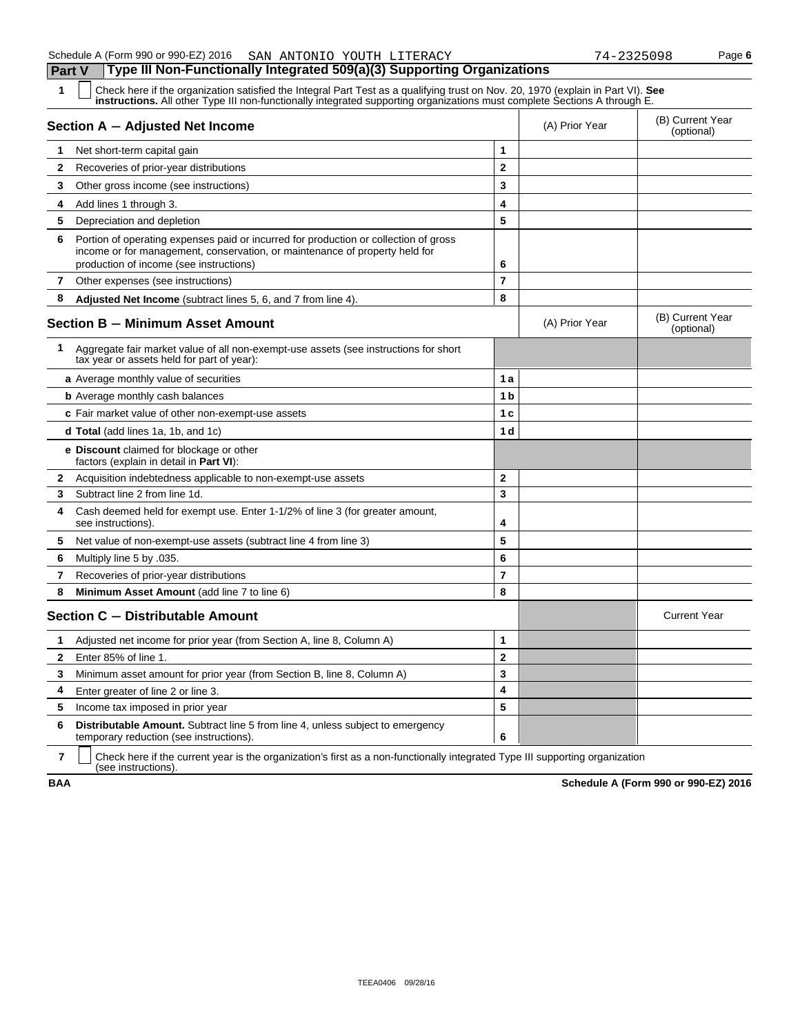| 1            | Check here if the organization satisfied the Integral Part Test as a qualifying trust on Nov. 20, 1970 (explain in Part VI). See<br>instructions. All other Type III non-functionally integrated supporting organizations must complete Sections A through E. |                         |                |                                |
|--------------|---------------------------------------------------------------------------------------------------------------------------------------------------------------------------------------------------------------------------------------------------------------|-------------------------|----------------|--------------------------------|
|              | Section A - Adjusted Net Income                                                                                                                                                                                                                               |                         | (A) Prior Year | (B) Current Year<br>(optional) |
| 1            | Net short-term capital gain                                                                                                                                                                                                                                   | 1                       |                |                                |
| 2            | Recoveries of prior-year distributions                                                                                                                                                                                                                        | $\overline{2}$          |                |                                |
| 3            | Other gross income (see instructions)                                                                                                                                                                                                                         | 3                       |                |                                |
| 4            | Add lines 1 through 3.                                                                                                                                                                                                                                        | 4                       |                |                                |
| 5            | Depreciation and depletion                                                                                                                                                                                                                                    | 5                       |                |                                |
| 6            | Portion of operating expenses paid or incurred for production or collection of gross<br>income or for management, conservation, or maintenance of property held for<br>production of income (see instructions)                                                | 6                       |                |                                |
| $\mathbf{7}$ | Other expenses (see instructions)                                                                                                                                                                                                                             | 7                       |                |                                |
| 8            | Adjusted Net Income (subtract lines 5, 6, and 7 from line 4).                                                                                                                                                                                                 | 8                       |                |                                |
|              | <b>Section B - Minimum Asset Amount</b>                                                                                                                                                                                                                       |                         | (A) Prior Year | (B) Current Year<br>(optional) |
| 1            | Aggregate fair market value of all non-exempt-use assets (see instructions for short<br>tax year or assets held for part of year):                                                                                                                            |                         |                |                                |
|              | a Average monthly value of securities                                                                                                                                                                                                                         | 1 a                     |                |                                |
|              | <b>b</b> Average monthly cash balances                                                                                                                                                                                                                        | 1 b                     |                |                                |
|              | c Fair market value of other non-exempt-use assets                                                                                                                                                                                                            | 1 c                     |                |                                |
|              | d Total (add lines 1a, 1b, and 1c)                                                                                                                                                                                                                            | 1 d                     |                |                                |
|              | <b>e</b> Discount claimed for blockage or other<br>factors (explain in detail in Part VI):                                                                                                                                                                    |                         |                |                                |
| $\mathbf{2}$ | Acquisition indebtedness applicable to non-exempt-use assets                                                                                                                                                                                                  | $\overline{\mathbf{2}}$ |                |                                |
| 3            | Subtract line 2 from line 1d.                                                                                                                                                                                                                                 | 3                       |                |                                |
| 4            | Cash deemed held for exempt use. Enter 1-1/2% of line 3 (for greater amount,<br>see instructions).                                                                                                                                                            | 4                       |                |                                |
| 5            | Net value of non-exempt-use assets (subtract line 4 from line 3)                                                                                                                                                                                              | 5                       |                |                                |
| 6            | Multiply line 5 by .035.                                                                                                                                                                                                                                      | 6                       |                |                                |
| 7            | Recoveries of prior-year distributions                                                                                                                                                                                                                        | 7                       |                |                                |
| 8            | Minimum Asset Amount (add line 7 to line 6)                                                                                                                                                                                                                   | 8                       |                |                                |
|              | Section C - Distributable Amount                                                                                                                                                                                                                              |                         |                | <b>Current Year</b>            |
| 1            | Adjusted net income for prior year (from Section A, line 8, Column A)                                                                                                                                                                                         | 1                       |                |                                |
| 2            | Enter 85% of line 1.                                                                                                                                                                                                                                          | $\overline{2}$          |                |                                |
| 3            | Minimum asset amount for prior year (from Section B, line 8, Column A)                                                                                                                                                                                        | 3                       |                |                                |
| 4            | Enter greater of line 2 or line 3.                                                                                                                                                                                                                            | 4                       |                |                                |
| 5            | Income tax imposed in prior year                                                                                                                                                                                                                              | 5                       |                |                                |
| 6            | <b>Distributable Amount.</b> Subtract line 5 from line 4, unless subject to emergency<br>temporary reduction (see instructions).                                                                                                                              | 6                       |                |                                |

**7** | Check here if the current year is the organization's first as a non-functionally integrated Type III supporting organization (see instructions).

**BAA Schedule A (Form 990 or 990-EZ) 2016**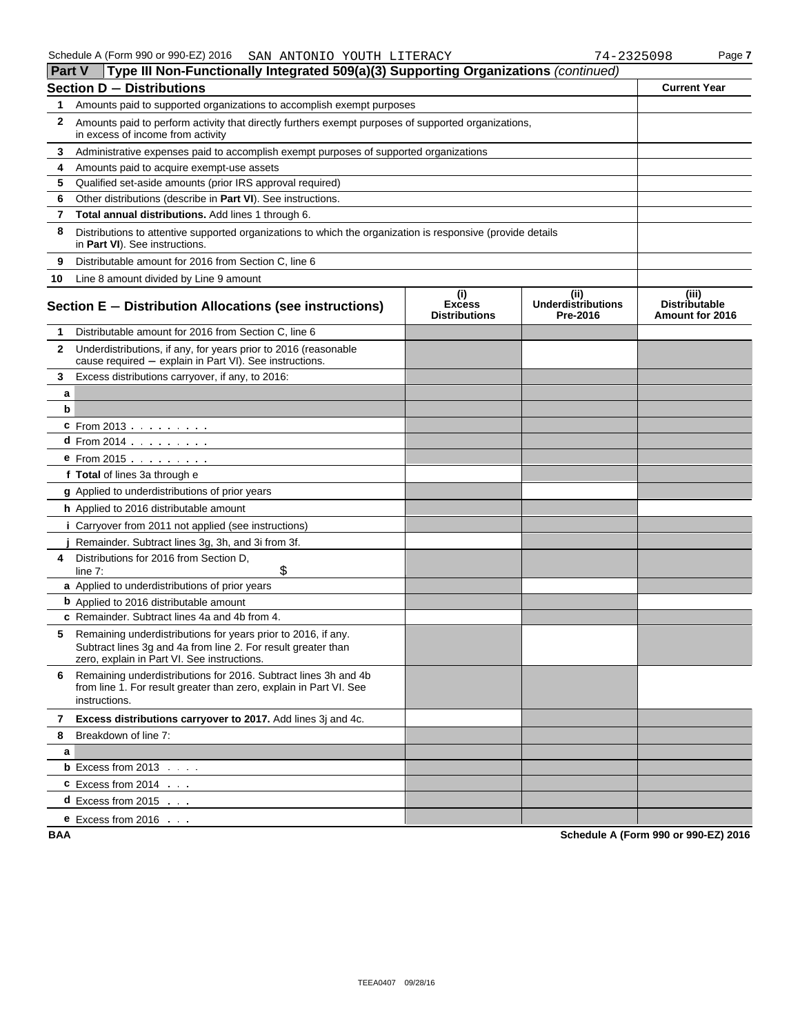| <b>Part V</b> | Type III Non-Functionally Integrated 509(a)(3) Supporting Organizations (continued)                                                                                           |                                              |                                               |                                                  |
|---------------|-------------------------------------------------------------------------------------------------------------------------------------------------------------------------------|----------------------------------------------|-----------------------------------------------|--------------------------------------------------|
|               | <b>Section D - Distributions</b>                                                                                                                                              |                                              |                                               | <b>Current Year</b>                              |
| 1             | Amounts paid to supported organizations to accomplish exempt purposes                                                                                                         |                                              |                                               |                                                  |
| 2             | Amounts paid to perform activity that directly furthers exempt purposes of supported organizations,<br>in excess of income from activity                                      |                                              |                                               |                                                  |
| 3             | Administrative expenses paid to accomplish exempt purposes of supported organizations                                                                                         |                                              |                                               |                                                  |
| 4             | Amounts paid to acquire exempt-use assets                                                                                                                                     |                                              |                                               |                                                  |
| 5             | Qualified set-aside amounts (prior IRS approval required)                                                                                                                     |                                              |                                               |                                                  |
| 6             | Other distributions (describe in Part VI). See instructions.                                                                                                                  |                                              |                                               |                                                  |
| 7             | Total annual distributions. Add lines 1 through 6.                                                                                                                            |                                              |                                               |                                                  |
| 8             | Distributions to attentive supported organizations to which the organization is responsive (provide details<br>in Part VI). See instructions.                                 |                                              |                                               |                                                  |
| 9             | Distributable amount for 2016 from Section C, line 6                                                                                                                          |                                              |                                               |                                                  |
| 10            | Line 8 amount divided by Line 9 amount                                                                                                                                        |                                              |                                               |                                                  |
|               | Section E - Distribution Allocations (see instructions)                                                                                                                       | (i)<br><b>Excess</b><br><b>Distributions</b> | (ii)<br><b>Underdistributions</b><br>Pre-2016 | (iii)<br><b>Distributable</b><br>Amount for 2016 |
| 1             | Distributable amount for 2016 from Section C, line 6                                                                                                                          |                                              |                                               |                                                  |
| $\mathbf{2}$  | Underdistributions, if any, for years prior to 2016 (reasonable<br>cause required - explain in Part VI). See instructions.                                                    |                                              |                                               |                                                  |
| 3             | Excess distributions carryover, if any, to 2016:                                                                                                                              |                                              |                                               |                                                  |
| a             |                                                                                                                                                                               |                                              |                                               |                                                  |
| b             |                                                                                                                                                                               |                                              |                                               |                                                  |
|               | <b>c</b> From 2013                                                                                                                                                            |                                              |                                               |                                                  |
|               | <b>d</b> From 2014 $\ldots$ $\ldots$                                                                                                                                          |                                              |                                               |                                                  |
|               | $e$ From 2015 $\ldots$ $\ldots$ $\ldots$                                                                                                                                      |                                              |                                               |                                                  |
|               | f Total of lines 3a through e                                                                                                                                                 |                                              |                                               |                                                  |
|               | g Applied to underdistributions of prior years                                                                                                                                |                                              |                                               |                                                  |
|               | h Applied to 2016 distributable amount                                                                                                                                        |                                              |                                               |                                                  |
|               | <i>i</i> Carryover from 2011 not applied (see instructions)                                                                                                                   |                                              |                                               |                                                  |
|               | Remainder. Subtract lines 3g, 3h, and 3i from 3f.                                                                                                                             |                                              |                                               |                                                  |
| 4             | Distributions for 2016 from Section D,<br>\$<br>line $7:$                                                                                                                     |                                              |                                               |                                                  |
|               | a Applied to underdistributions of prior years                                                                                                                                |                                              |                                               |                                                  |
|               | <b>b</b> Applied to 2016 distributable amount                                                                                                                                 |                                              |                                               |                                                  |
|               | c Remainder. Subtract lines 4a and 4b from 4.                                                                                                                                 |                                              |                                               |                                                  |
| 5             | Remaining underdistributions for years prior to 2016, if any.<br>Subtract lines 3g and 4a from line 2. For result greater than<br>zero, explain in Part VI. See instructions. |                                              |                                               |                                                  |
| 6             | Remaining underdistributions for 2016. Subtract lines 3h and 4b<br>from line 1. For result greater than zero, explain in Part VI. See<br>instructions.                        |                                              |                                               |                                                  |
| 7             | Excess distributions carryover to 2017. Add lines 3j and 4c.                                                                                                                  |                                              |                                               |                                                  |
| 8             | Breakdown of line 7:                                                                                                                                                          |                                              |                                               |                                                  |
| a             |                                                                                                                                                                               |                                              |                                               |                                                  |
|               | <b>b</b> Excess from $2013$                                                                                                                                                   |                                              |                                               |                                                  |
|               | $C$ Excess from 2014 $\ldots$                                                                                                                                                 |                                              |                                               |                                                  |
|               | <b>d</b> Excess from 2015 $\ldots$                                                                                                                                            |                                              |                                               |                                                  |
|               | <b>e</b> Excess from 2016 $\ldots$                                                                                                                                            |                                              |                                               |                                                  |

**BAA Schedule A (Form 990 or 990-EZ) 2016**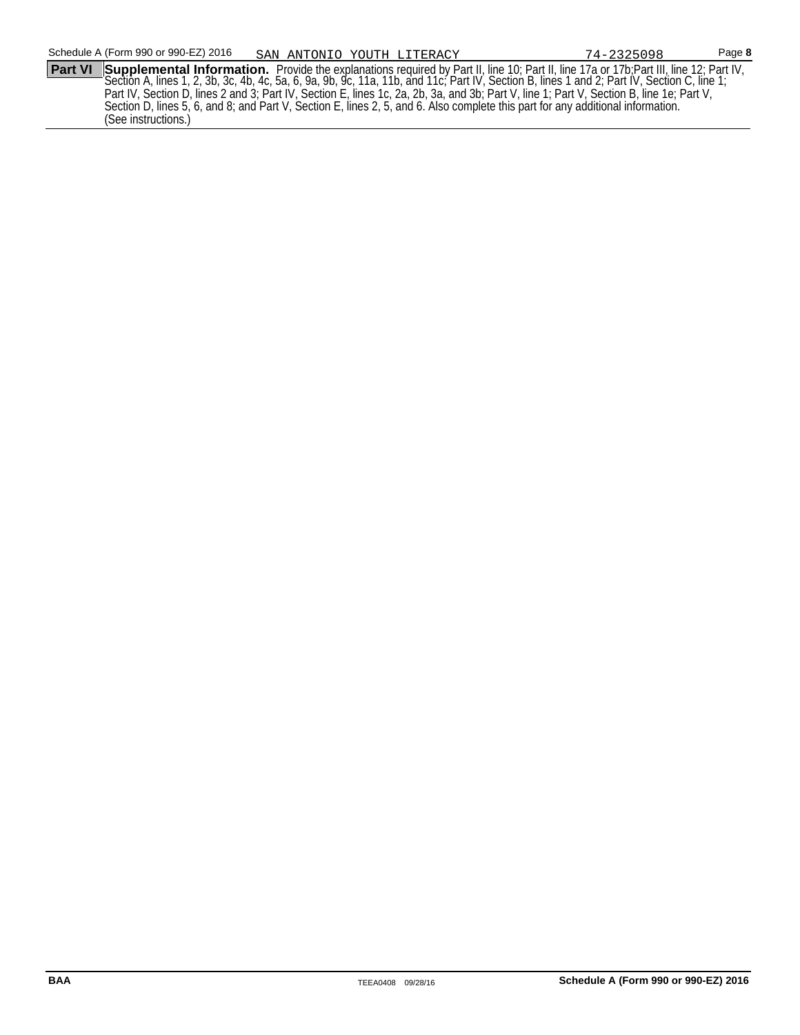Schedule A (Form 990 or 990-EZ) 2016 Page **8** SAN ANTONIO YOUTH LITERACY 74-2325098**Part VI Supplemental Information.** Provide the explanations required by Part II, line 10; Part II, line 17a or 17b;Part III, line 12; Part IV, Section A, lines 1, 2, 3b, 3c, 4b, 4c, 5a, 6, 9a, 9b, 9c, 11a, 11b, and 11c; Part IV, Section B, lines 1 and 2; Part IV, Section C, line 1; Part IV, Section D, lines 2 and 3; Part IV, Section E, lines 1c, 2a, 2b, 3a, and 3b; Part V, line 1; Part V, Section B, line 1e; Part V, Section D, lines 5, 6, and 8; and Part V, Section E, lines 2, 5, and 6. Also complete this part for any additional information. (See instructions.)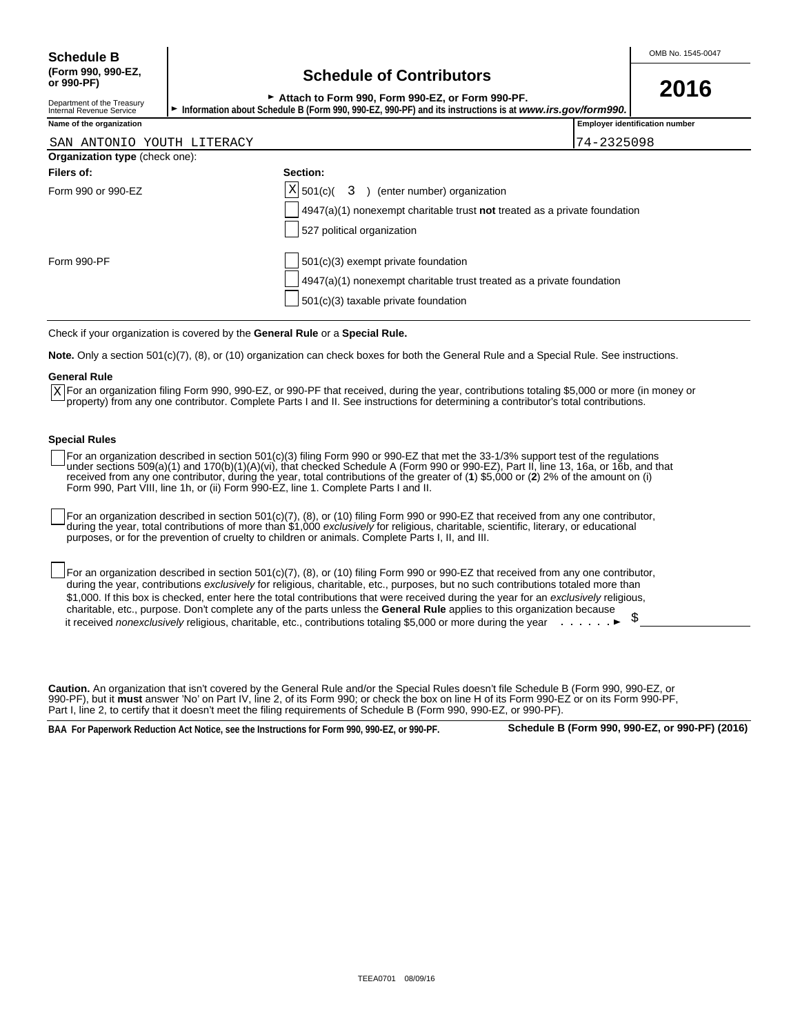Department of the Treasury<br>Internal Revenue Service

# **(Form 990, 990-EZ, Schedule of Contributors or 990-PF)**

| OUNUMUD OF OUNING ION                                                                                                                                                                                                                                                          | 2016 |
|--------------------------------------------------------------------------------------------------------------------------------------------------------------------------------------------------------------------------------------------------------------------------------|------|
| ► Attach to Form 990, Form 990-EZ, or Form 990-PF.                                                                                                                                                                                                                             |      |
| $\mathbf{A}$ . The set of the set of $\mathbf{F}$ , and can concern and $\mathbf{F}$ and $\mathbf{F}$ and $\mathbf{F}$ and $\mathbf{F}$ are set of the set of $\mathbf{F}$ and $\mathbf{F}$ are $\mathbf{F}$ and $\mathbf{F}$ are set of $\mathbf{F}$ and $\mathbf{F}$ are $\$ |      |

Information about Schedule B (Form 990, 990-EZ, 990-PF) and its instructions is at *www.irs.gov/form990.* 

| Name of the organization              |                                                                           | <b>Employer identification number</b> |
|---------------------------------------|---------------------------------------------------------------------------|---------------------------------------|
| SAN ANTONIO YOUTH LITERACY            |                                                                           | 74-2325098                            |
| <b>Organization type (check one):</b> |                                                                           |                                       |
| Filers of:                            | Section:                                                                  |                                       |
| Form 990 or 990-EZ                    | $ X $ 501(c)( 3) (enter number) organization                              |                                       |
|                                       | 4947(a)(1) nonexempt charitable trust not treated as a private foundation |                                       |
|                                       | 527 political organization                                                |                                       |
| Form 990-PF                           | 501(c)(3) exempt private foundation                                       |                                       |

4947(a)(1) nonexempt charitable trust treated as a private foundation

Check if your organization is covered by the **General Rule** or a **Special Rule.**

**Note.** Only a section 501(c)(7), (8), or (10) organization can check boxes for both the General Rule and a Special Rule. See instructions.

#### **General Rule**

For an organization filing Form 990, 990-EZ, or 990-PF that received, during the year, contributions totaling \$5,000 or more (in money or X For an organization filing Form 990, 990-EZ, or 990-PF that received, during the year, contributions totaling \$5,000 or more (ir<br>Property) from any one contributor. Complete Parts I and II. See instructions for determin

501(c)(3) taxable private foundation

#### **Special Rules**

For an organization described in section 501(c)(3) filing Form 990 or 990-EZ that met the 33-1/3% support test of the regulations under sections 509(a)(1) and 170(b)(1)(A)(vi), that checked Schedule A (Form 990 or 990-EZ), Part II, line 13, 16a, or 16b, and that received from any one contributor, during the year, total contributions of the greater of (**1**) \$5,000 or (**2**) 2% of the amount on (i) Form 990, Part VIII, line 1h, or (ii) Form 990-EZ, line 1. Complete Parts I and II.

For an organization described in section 501(c)(7), (8), or (10) filing Form 990 or 990-EZ that received from any one contributor, during the year, total contributions of more than \$1,000 *exclusively* for religious, charitable, scientific, literary, or educational purposes, or for the prevention of cruelty to children or animals. Complete Parts I, II, and III.

For an organization described in section 501(c)(7), (8), or (10) filing Form 990 or 990-EZ that received from any one contributor, during the year, contributions *exclusively* for religious, charitable, etc., purposes, but no such contributions totaled more than \$1,000. If this box is checked, enter here the total contributions that were received during the year for an *exclusively* religious, charitable, etc., purpose. Don't complete any of the parts unless the **General Rule** applies to this organization because it received *nonexclusively* religious, charitable, etc., contributions totaling \$5,000 or more during the year **.** . . . . . . ▶

**Caution.** An organization that isn't covered by the General Rule and/or the Special Rules doesn't file Schedule B (Form 990, 990-EZ, or 990-PF), but it **must** answer 'No' on Part IV, line 2, of its Form 990; or check the box on line H of its Form 990-EZ or on its Form 990-PF, Part I, line 2, to certify that it doesn't meet the filing requirements of Schedule B (Form 990, 990-EZ, or 990-PF).

**BAA For Paperwork Reduction Act Notice, see the Instructions for Form 990, 990-EZ, or 990-PF. Schedule B (Form 990, 990-EZ, or 990-PF) (2016)**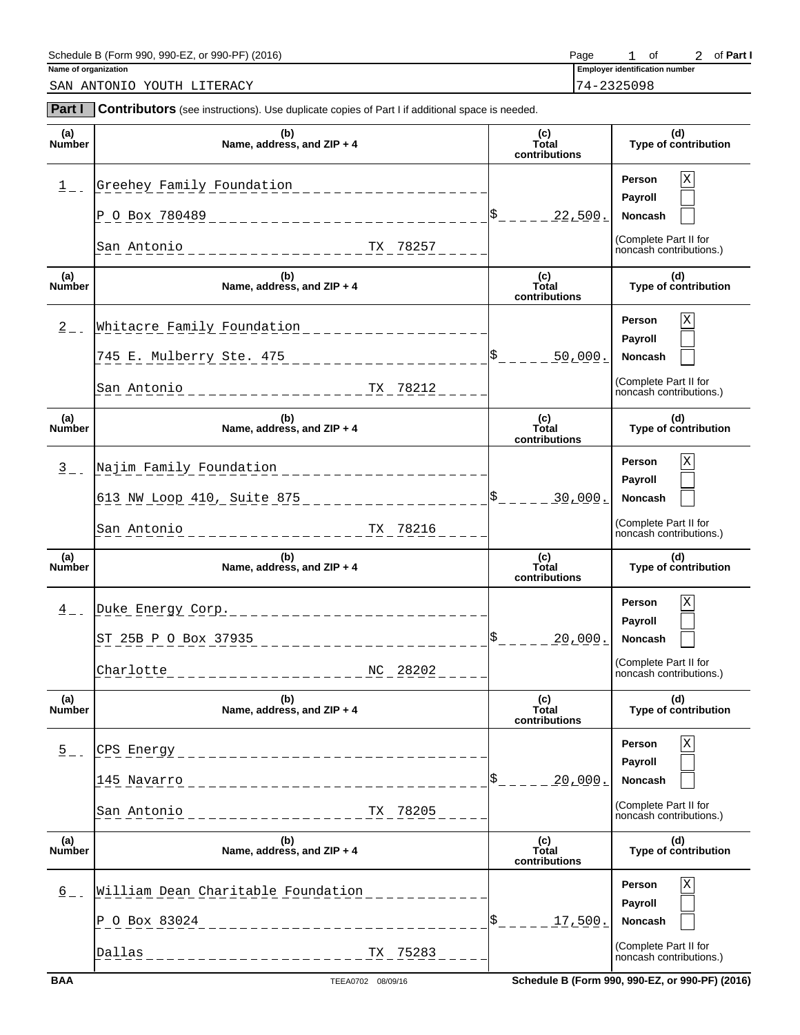| 990-PF)<br>$ -$<br>Schedule B (Form<br>(2016)<br>990-<br>agr<br>or<br>ັບບ | Page | ⌒+<br>U | Part |
|---------------------------------------------------------------------------|------|---------|------|
|                                                                           |      |         |      |

**Part I** Contributors (see instructions). Use duplicate copies of Part I if additional space is needed.

SAN ANTONIO YOUTH LITERACY 74-2325098

**Name of organization Employer identification numbers of**  $\overline{E}$  **is a set of**  $\overline{E}$  **in the set of**  $\overline{E}$  **in the set of**  $\overline{E}$  **is a set of**  $\overline{E}$  **is a set of**  $\overline{E}$  **is a set of**  $\overline{E}$  **is a set of**  $\overline{E}$  **is** 1 of 2 of Part I

|                      | (b)                                                                                                                                                 |                                    |                                                  |
|----------------------|-----------------------------------------------------------------------------------------------------------------------------------------------------|------------------------------------|--------------------------------------------------|
| (a)<br>Number        | Name, address, and ZIP + 4                                                                                                                          | (c)<br>Total<br>contributions      | (d)<br>Type of contribution                      |
| $1$ $-$              | Greehey Family Foundation<br><u> 1999 - Alban Alban Alban Alban Alban Alban Alban Alban Alban Alban Alban Alban Alban Alban Alban Alban Alban A</u> |                                    | Χ<br>Person                                      |
|                      |                                                                                                                                                     |                                    | Payroll                                          |
|                      | P 0 Box 780489 _________________________________                                                                                                    | $\frac{1}{5}$ - - - - -<br>22,500. | Noncash                                          |
|                      | San Antonio                                                                                                                                         |                                    | (Complete Part II for<br>noncash contributions.) |
| (a)<br>Number        | (b)<br>Name, address, and ZIP + 4                                                                                                                   | (c)<br>Total<br>contributions      | (d)<br>Type of contribution                      |
| $\overline{2}$ $-$   | Whitacre Family Foundation                                                                                                                          |                                    | Χ<br><b>Person</b>                               |
|                      |                                                                                                                                                     |                                    | Payroll                                          |
|                      | 745 E. Mulberry Ste. 475 ______________________                                                                                                     | $S_{-}$ - - - -<br>50,000.         | Noncash                                          |
|                      | San Antonio                                                                                                                                         |                                    | (Complete Part II for<br>noncash contributions.) |
| (a)<br><b>Number</b> | (b)<br>Name, address, and ZIP + 4                                                                                                                   | (c)<br>Total<br>contributions      | (d)<br>Type of contribution                      |
| $\frac{3}{2}$ -      | Najim Family Foundation                                                                                                                             |                                    | Χ<br><b>Person</b>                               |
|                      |                                                                                                                                                     |                                    | Payroll                                          |
|                      | 613 NW Loop 410, Suite 875 ____________________                                                                                                     | $s$ <sub>-----</sub><br>30,000.    | Noncash                                          |
|                      | - - - - - - - - - - - - - - - - - <sup>TX</sup> - <sup>78216</sup><br>San Antonio                                                                   |                                    | (Complete Part II for<br>noncash contributions.) |
|                      |                                                                                                                                                     |                                    |                                                  |
| (a)<br><b>Number</b> | (b)<br>Name, address, and $ZIP + 4$                                                                                                                 | (c)<br>Total<br>contributions      | (d)<br>Type of contribution                      |
|                      |                                                                                                                                                     |                                    | Х<br><b>Person</b>                               |
| $\frac{4}{ }$ -      | Duke Energy Corp.<br>______________________                                                                                                         |                                    | Payroll                                          |
|                      | ST 25B P O Box 37935                                                                                                                                | $S_{-} = - - -$<br>20,000.         | <b>Noncash</b>                                   |
|                      | Charlotte                                                                                                                                           |                                    | (Complete Part II for                            |
|                      |                                                                                                                                                     |                                    | noncash contributions.)                          |
| (a)<br>Number        | (b)<br>Name, address, and ZIP $+4$                                                                                                                  | (c)<br>Total<br>contributions      | (d)<br>Type of contribution                      |
|                      |                                                                                                                                                     |                                    | Person                                           |
| $\overline{5}$ = =   | CPS Energy<br>___________________________                                                                                                           |                                    | Payroll                                          |
|                      | 145 Navarro<br>________________________                                                                                                             | \$<br><u> 20,000.</u>              | Noncash                                          |
|                      | San Antonio<br>TX 78205<br>________________                                                                                                         |                                    | (Complete Part II for<br>noncash contributions.) |
| (a)<br>Number        | (b)<br>Name, address, and ZIP + 4                                                                                                                   | (c)<br>Total<br>contributions      | (d)<br>Type of contribution                      |
|                      |                                                                                                                                                     |                                    | Person                                           |
| $\frac{6}{ }$ – –    | William Dean Charitable Foundation                                                                                                                  |                                    | Payroll                                          |
|                      | P O Box 83024____________________________                                                                                                           | \$<br>17,500.                      | Noncash                                          |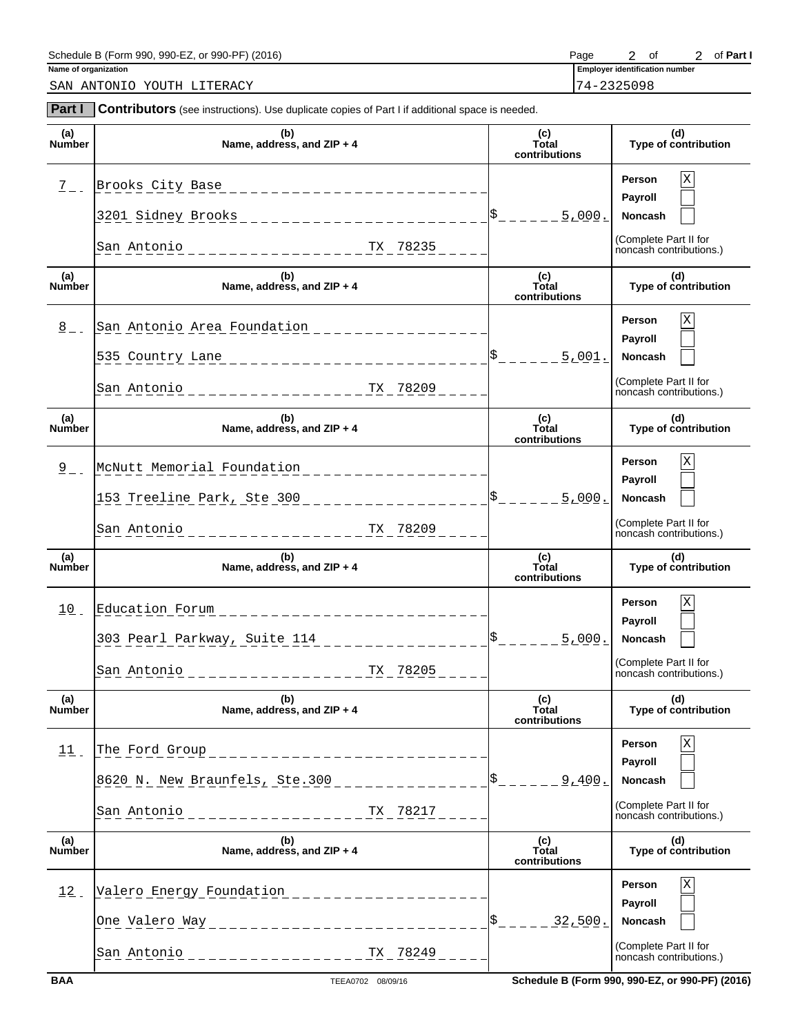| 990-PF<br>$ -$<br>(2016)<br>Schedule B (<br>990-<br>aar<br>(Form<br>$\sim$<br>. OF<br>$\cdot$ | Page | ⌒t<br>v |  | 'arı |  |
|-----------------------------------------------------------------------------------------------|------|---------|--|------|--|
|                                                                                               |      |         |  |      |  |

**Part I Contributors** (see instructions). Use duplicate copies of Part I if additional space is needed.

SAN ANTONIO YOUTH LITERACY 74-2325098

**Name of organization** 2 of 2 of Part I

| (a)<br>Number        | (b)<br>Name, address, and ZIP + 4                                                                                                                       | (c)<br>Total<br>contributions                            | (d)<br>Type of contribution                                                                  |
|----------------------|---------------------------------------------------------------------------------------------------------------------------------------------------------|----------------------------------------------------------|----------------------------------------------------------------------------------------------|
| $\frac{7}{2}$ -      | Brooks City Base<br>_____________________<br>3201 Sidney Brooks _______________________<br>San Antonio                                                  | 5,000.                                                   | X<br>Person<br>Payroll<br><b>Noncash</b><br>(Complete Part II for<br>noncash contributions.) |
| (a)<br>Number        | (b)<br>Name, address, and ZIP + 4                                                                                                                       | (c)<br>Total<br>contributions                            | (d)<br>Type of contribution                                                                  |
| $\frac{8}{5}$ = =    | San Antonio Area Foundation<br>535 Country Lane<br>_________________<br>San Antonio<br>------------- <sup>TX</sup> 78209                                | $\frac{ 5 }{ 5 }$ = $\frac{2}{100}$ = $\frac{5}{1001}$ . | X<br>Person<br>Payroll<br>Noncash<br>(Complete Part II for<br>noncash contributions.)        |
| (a)<br><b>Number</b> | (b)<br>Name, address, and ZIP + 4                                                                                                                       | (c)<br>Total<br>contributions                            | (d)<br>Type of contribution                                                                  |
| $2 -$                | McNutt Memorial Foundation<br>153 Treeline Park, Ste 300<br>San Antonio                                                                                 | $\frac{15}{2}$ = = = = = $\frac{5}{2}$ 000.              | X<br>Person<br>Payroll<br><b>Noncash</b><br>(Complete Part II for<br>noncash contributions.) |
|                      |                                                                                                                                                         |                                                          |                                                                                              |
| (a)<br><b>Number</b> | (b)<br>Name, address, and $ZIP + 4$                                                                                                                     | (c)<br>Total<br>contributions                            | (d)<br>Type of contribution                                                                  |
| $10$ .               | Education Forum<br>303 Pearl Parkway, Suite 114<br>San Antonio<br>TX 78205                                                                              | $S_{-}$ - - - - -<br>5,000.                              | X<br>Person<br>Payroll<br><b>Noncash</b><br>(Complete Part II for<br>noncash contributions.) |
| (a)<br><b>Number</b> | (b)<br>Name, address, and $ZIP + 4$                                                                                                                     | (c)<br>Total<br>contributions                            | (d)<br>Type of contribution                                                                  |
| $11$ .               | The Ford Group<br>_____________________<br>8620 N. New Braunfels, Ste.300 _____________<br>San Antonio<br>TX 78217<br>. _ _ _ _ _ _ _ _ _ _ _ _ _ _ _ _ | $S_{- -}$<br>9.400.                                      | Χ<br>Person<br>Payroll<br>Noncash<br>(Complete Part II for<br>noncash contributions.)        |
| (a)<br><b>Number</b> | (b)<br>Name, address, and ZIP + 4                                                                                                                       | (c)<br>Total<br>contributions                            | (d)<br>Type of contribution                                                                  |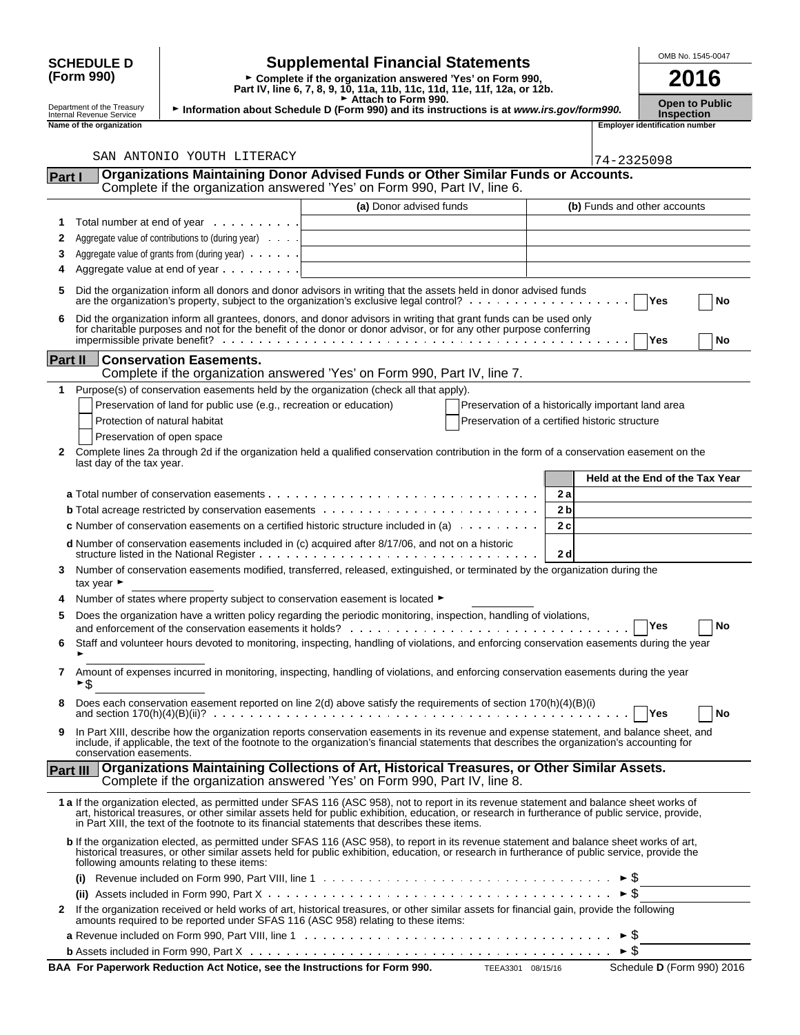|              |                                                             |                                                                                |                                                                                                                                                                                                                                                                                                                                                                                                 |                                                    |     |                     | OMB No. 1545-0047                          |
|--------------|-------------------------------------------------------------|--------------------------------------------------------------------------------|-------------------------------------------------------------------------------------------------------------------------------------------------------------------------------------------------------------------------------------------------------------------------------------------------------------------------------------------------------------------------------------------------|----------------------------------------------------|-----|---------------------|--------------------------------------------|
|              | <b>SCHEDULE D</b><br>(Form 990)                             |                                                                                | <b>Supplemental Financial Statements</b><br>► Complete if the organization answered 'Yes' on Form 990,<br>Part IV, line 6, 7, 8, 9, 10, 11a, 11b, 11c, 11d, 11e, 11f, 12a, or 12b.                                                                                                                                                                                                              |                                                    |     |                     | 2016                                       |
|              | Department of the Treasury<br>Internal Revenue Service      |                                                                                | Attach to Form 990.<br>Information about Schedule D (Form 990) and its instructions is at www.irs.gov/form990.                                                                                                                                                                                                                                                                                  |                                                    |     |                     | <b>Open to Public</b><br><b>Inspection</b> |
|              | Name of the organization                                    |                                                                                |                                                                                                                                                                                                                                                                                                                                                                                                 |                                                    |     |                     | <b>Employer identification number</b>      |
|              |                                                             |                                                                                |                                                                                                                                                                                                                                                                                                                                                                                                 |                                                    |     |                     |                                            |
|              |                                                             | SAN ANTONIO YOUTH LITERACY                                                     | Organizations Maintaining Donor Advised Funds or Other Similar Funds or Accounts.                                                                                                                                                                                                                                                                                                               |                                                    |     | 74-2325098          |                                            |
| Part I       |                                                             |                                                                                | Complete if the organization answered 'Yes' on Form 990, Part IV, line 6.                                                                                                                                                                                                                                                                                                                       |                                                    |     |                     |                                            |
|              |                                                             |                                                                                | (a) Donor advised funds                                                                                                                                                                                                                                                                                                                                                                         |                                                    |     |                     | (b) Funds and other accounts               |
| 1            |                                                             | Total number at end of year                                                    |                                                                                                                                                                                                                                                                                                                                                                                                 |                                                    |     |                     |                                            |
| 2            |                                                             | Aggregate value of contributions to (during year)                              |                                                                                                                                                                                                                                                                                                                                                                                                 |                                                    |     |                     |                                            |
| 3<br>4       |                                                             | Aggregate value of grants from (during year)<br>Aggregate value at end of year |                                                                                                                                                                                                                                                                                                                                                                                                 |                                                    |     |                     |                                            |
| 5            |                                                             |                                                                                | Did the organization inform all donors and donor advisors in writing that the assets held in donor advised funds                                                                                                                                                                                                                                                                                |                                                    |     |                     |                                            |
|              |                                                             |                                                                                |                                                                                                                                                                                                                                                                                                                                                                                                 |                                                    |     |                     | Yes<br>No                                  |
|              |                                                             |                                                                                | Did the organization inform all grantees, donors, and donor advisors in writing that grant funds can be used only<br>for charitable purposes and not for the benefit of the donor or donor advisor, or for any other purpose conferring                                                                                                                                                         |                                                    |     |                     | Yes<br>No                                  |
| Part II      |                                                             | <b>Conservation Easements.</b>                                                 |                                                                                                                                                                                                                                                                                                                                                                                                 |                                                    |     |                     |                                            |
|              |                                                             |                                                                                | Complete if the organization answered 'Yes' on Form 990, Part IV, line 7.                                                                                                                                                                                                                                                                                                                       |                                                    |     |                     |                                            |
| 1            |                                                             |                                                                                | Purpose(s) of conservation easements held by the organization (check all that apply).                                                                                                                                                                                                                                                                                                           |                                                    |     |                     |                                            |
|              |                                                             | Preservation of land for public use (e.g., recreation or education)            |                                                                                                                                                                                                                                                                                                                                                                                                 | Preservation of a historically important land area |     |                     |                                            |
|              | Protection of natural habitat<br>Preservation of open space |                                                                                |                                                                                                                                                                                                                                                                                                                                                                                                 | Preservation of a certified historic structure     |     |                     |                                            |
| $\mathbf{2}$ | last day of the tax year.                                   |                                                                                | Complete lines 2a through 2d if the organization held a qualified conservation contribution in the form of a conservation easement on the                                                                                                                                                                                                                                                       |                                                    |     |                     |                                            |
|              |                                                             |                                                                                |                                                                                                                                                                                                                                                                                                                                                                                                 |                                                    |     |                     | Held at the End of the Tax Year            |
|              |                                                             |                                                                                |                                                                                                                                                                                                                                                                                                                                                                                                 |                                                    | 2a  |                     |                                            |
|              |                                                             |                                                                                |                                                                                                                                                                                                                                                                                                                                                                                                 |                                                    | 2 b |                     |                                            |
|              |                                                             |                                                                                | <b>c</b> Number of conservation easements on a certified historic structure included in (a) $\ldots \ldots \ldots$                                                                                                                                                                                                                                                                              |                                                    | 2c  |                     |                                            |
|              |                                                             |                                                                                | d Number of conservation easements included in (c) acquired after 8/17/06, and not on a historic                                                                                                                                                                                                                                                                                                |                                                    | 2d  |                     |                                            |
| 3            | tax year $\blacktriangleright$                              |                                                                                | Number of conservation easements modified, transferred, released, extinguished, or terminated by the organization during the                                                                                                                                                                                                                                                                    |                                                    |     |                     |                                            |
|              |                                                             |                                                                                | Number of states where property subject to conservation easement is located ►                                                                                                                                                                                                                                                                                                                   |                                                    |     |                     |                                            |
| 5            |                                                             | and enforcement of the conservation easements it holds?                        | Does the organization have a written policy regarding the periodic monitoring, inspection, handling of violations,                                                                                                                                                                                                                                                                              |                                                    |     |                     | Yes<br>No                                  |
| 6            |                                                             |                                                                                | Staff and volunteer hours devoted to monitoring, inspecting, handling of violations, and enforcing conservation easements during the year                                                                                                                                                                                                                                                       |                                                    |     |                     |                                            |
| $\mathbf{7}$ | ► \$                                                        |                                                                                | Amount of expenses incurred in monitoring, inspecting, handling of violations, and enforcing conservation easements during the year                                                                                                                                                                                                                                                             |                                                    |     |                     |                                            |
|              |                                                             |                                                                                | Does each conservation easement reported on line $2(d)$ above satisfy the requirements of section $170(h)(4)(B)(i)$                                                                                                                                                                                                                                                                             |                                                    |     |                     | Yes<br>No                                  |
| 9            | conservation easements.                                     |                                                                                | In Part XIII, describe how the organization reports conservation easements in its revenue and expense statement, and balance sheet, and<br>include, if applicable, the text of the footnote to the organization's financial statements that describes the organization's accounting for                                                                                                         |                                                    |     |                     |                                            |
|              | Part III                                                    |                                                                                | <b>Organizations Maintaining Collections of Art, Historical Treasures, or Other Similar Assets.</b><br>Complete if the organization answered 'Yes' on Form 990, Part IV, line 8.                                                                                                                                                                                                                |                                                    |     |                     |                                            |
|              |                                                             |                                                                                | 1 a If the organization elected, as permitted under SFAS 116 (ASC 958), not to report in its revenue statement and balance sheet works of<br>art, historical treasures, or other similar assets held for public exhibition, education, or research in furtherance of public service, provide,<br>in Part XIII, the text of the footnote to its financial statements that describes these items. |                                                    |     |                     |                                            |
|              |                                                             | following amounts relating to these items:                                     | b If the organization elected, as permitted under SFAS 116 (ASC 958), to report in its revenue statement and balance sheet works of art,<br>historical treasures, or other similar assets held for public exhibition, education, or research in furtherance of public service, provide the                                                                                                      |                                                    |     |                     |                                            |
|              |                                                             |                                                                                | (i) Revenue included on Form 990, Part VIII, line 1 $\dots \dots \dots \dots \dots \dots \dots \dots \dots \dots \dots \dots \dots \dots \dots$                                                                                                                                                                                                                                                 |                                                    |     |                     |                                            |
|              |                                                             |                                                                                |                                                                                                                                                                                                                                                                                                                                                                                                 |                                                    |     | $\triangleright$ \$ |                                            |
|              |                                                             |                                                                                | 2 If the organization received or held works of art, historical treasures, or other similar assets for financial gain, provide the following<br>amounts required to be reported under SFAS 116 (ASC 958) relating to these items:                                                                                                                                                               |                                                    |     |                     |                                            |
|              |                                                             |                                                                                |                                                                                                                                                                                                                                                                                                                                                                                                 |                                                    |     |                     |                                            |

| BAA For Paperwork Reduction Act Notice, see the Instructions for Form 990. | TEEA3301 08/15/16 | Schedule D (Form 990) 2016 |
|----------------------------------------------------------------------------|-------------------|----------------------------|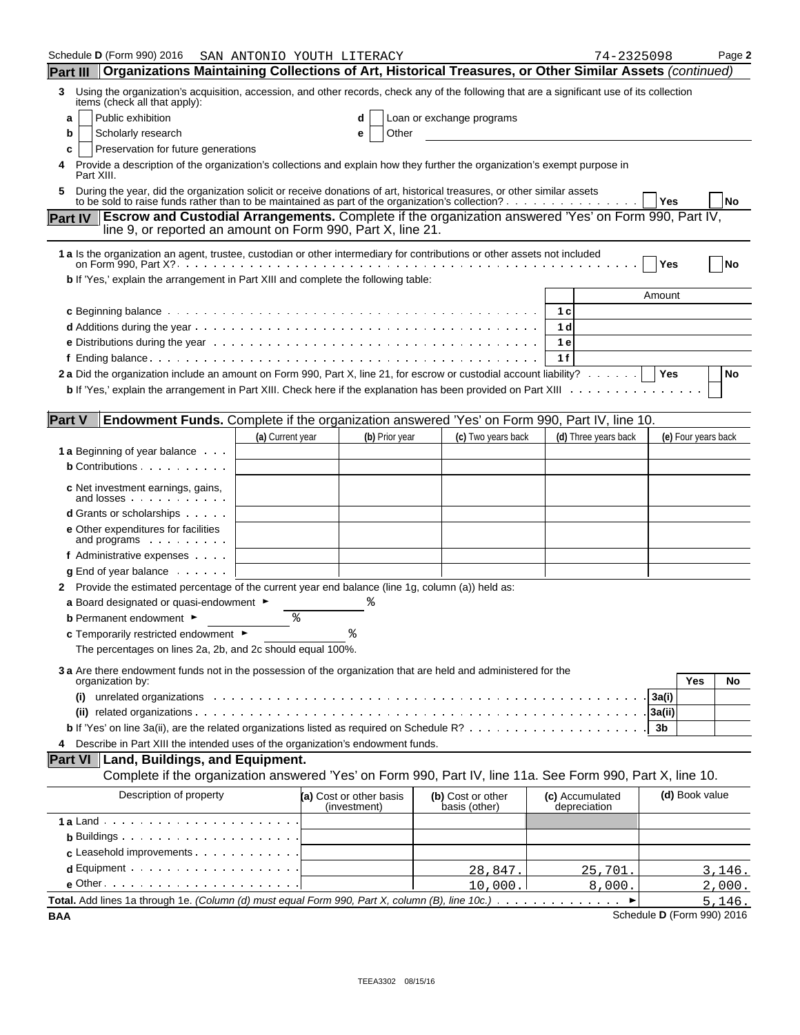| Schedule D (Form 990) 2016                                                                                                                                                                                                           |                  | SAN ANTONIO YOUTH LITERACY              |                |                                    | 74-2325098                      |                            | Page 2    |
|--------------------------------------------------------------------------------------------------------------------------------------------------------------------------------------------------------------------------------------|------------------|-----------------------------------------|----------------|------------------------------------|---------------------------------|----------------------------|-----------|
| Organizations Maintaining Collections of Art, Historical Treasures, or Other Similar Assets (continued)<br><b>Part III</b>                                                                                                           |                  |                                         |                |                                    |                                 |                            |           |
| Using the organization's acquisition, accession, and other records, check any of the following that are a significant use of its collection<br>3<br>items (check all that apply):                                                    |                  |                                         |                |                                    |                                 |                            |           |
| Public exhibition<br>a                                                                                                                                                                                                               |                  | d                                       |                | Loan or exchange programs          |                                 |                            |           |
| b<br>Scholarly research                                                                                                                                                                                                              |                  | е                                       | Other          |                                    |                                 |                            |           |
| Preservation for future generations<br>c                                                                                                                                                                                             |                  |                                         |                |                                    |                                 |                            |           |
| Provide a description of the organization's collections and explain how they further the organization's exempt purpose in<br>4<br>Part XIII.                                                                                         |                  |                                         |                |                                    |                                 |                            |           |
| During the year, did the organization solicit or receive donations of art, historical treasures, or other similar assets<br>5<br>to be sold to raise funds rather than to be maintained as part of the organization's collection?    |                  |                                         |                |                                    |                                 | Yes                        | <b>No</b> |
| <b>Escrow and Custodial Arrangements.</b> Complete if the organization answered 'Yes' on Form 990, Part IV,<br><b>Part IV</b><br>line 9, or reported an amount on Form 990, Part X, line 21.                                         |                  |                                         |                |                                    |                                 |                            |           |
| 1 a Is the organization an agent, trustee, custodian or other intermediary for contributions or other assets not included                                                                                                            |                  |                                         |                |                                    |                                 | Yes                        | No        |
| b If 'Yes,' explain the arrangement in Part XIII and complete the following table:                                                                                                                                                   |                  |                                         |                |                                    |                                 |                            |           |
|                                                                                                                                                                                                                                      |                  |                                         |                |                                    |                                 | Amount                     |           |
| c Beginning balance by a series of the series of the series of the series of the series of the series of the series of the series of the series of the series of the series of the series of the series of the series of the s       |                  |                                         |                |                                    | 1 c                             |                            |           |
|                                                                                                                                                                                                                                      |                  |                                         |                |                                    | 1 d                             |                            |           |
|                                                                                                                                                                                                                                      |                  |                                         |                |                                    | 1e                              |                            |           |
|                                                                                                                                                                                                                                      |                  |                                         |                |                                    | 1f                              |                            |           |
| 2 a Did the organization include an amount on Form 990, Part X, line 21, for escrow or custodial account liability?                                                                                                                  |                  |                                         |                |                                    |                                 | Yes                        | No        |
| <b>b</b> If 'Yes,' explain the arrangement in Part XIII. Check here if the explanation has been provided on Part XIII                                                                                                                |                  |                                         |                |                                    |                                 |                            |           |
| <b>Part V</b><br><b>Endowment Funds.</b> Complete if the organization answered 'Yes' on Form 990, Part IV, line 10.                                                                                                                  |                  |                                         |                |                                    |                                 |                            |           |
|                                                                                                                                                                                                                                      | (a) Current year |                                         | (b) Prior year | (c) Two years back                 | (d) Three years back            | (e) Four years back        |           |
| <b>1 a</b> Beginning of year balance                                                                                                                                                                                                 |                  |                                         |                |                                    |                                 |                            |           |
| <b>b</b> Contributions                                                                                                                                                                                                               |                  |                                         |                |                                    |                                 |                            |           |
|                                                                                                                                                                                                                                      |                  |                                         |                |                                    |                                 |                            |           |
| c Net investment earnings, gains,<br>and losses                                                                                                                                                                                      |                  |                                         |                |                                    |                                 |                            |           |
| <b>d</b> Grants or scholarships                                                                                                                                                                                                      |                  |                                         |                |                                    |                                 |                            |           |
| e Other expenditures for facilities<br>and programs                                                                                                                                                                                  |                  |                                         |                |                                    |                                 |                            |           |
| f Administrative expenses                                                                                                                                                                                                            |                  |                                         |                |                                    |                                 |                            |           |
| $g$ End of year balance $\ldots$ .                                                                                                                                                                                                   |                  |                                         |                |                                    |                                 |                            |           |
| Provide the estimated percentage of the current year end balance (line 1g, column (a)) held as:<br>2.                                                                                                                                |                  |                                         |                |                                    |                                 |                            |           |
| a Board designated or quasi-endowment $\blacktriangleright$                                                                                                                                                                          |                  |                                         |                |                                    |                                 |                            |           |
| <b>b</b> Permanent endowment ►                                                                                                                                                                                                       | နွ               |                                         |                |                                    |                                 |                            |           |
| <b>c</b> Temporarily restricted endowment $\blacktriangleright$                                                                                                                                                                      |                  |                                         |                |                                    |                                 |                            |           |
| The percentages on lines 2a, 2b, and 2c should equal 100%.                                                                                                                                                                           |                  |                                         |                |                                    |                                 |                            |           |
| 3 a Are there endowment funds not in the possession of the organization that are held and administered for the<br>organization by:                                                                                                   |                  |                                         |                |                                    |                                 | Yes                        | No        |
| unrelated organizations experience in the control of the control of the control of the control of the control of the control of the control of the control of the control of the control of the control of the control of the<br>(i) |                  |                                         |                |                                    |                                 | 3a(i)                      |           |
|                                                                                                                                                                                                                                      |                  |                                         |                |                                    |                                 | 3a(ii)                     |           |
|                                                                                                                                                                                                                                      |                  |                                         |                |                                    |                                 | 3b                         |           |
| Describe in Part XIII the intended uses of the organization's endowment funds.<br>4                                                                                                                                                  |                  |                                         |                |                                    |                                 |                            |           |
| Part VI   Land, Buildings, and Equipment.                                                                                                                                                                                            |                  |                                         |                |                                    |                                 |                            |           |
| Complete if the organization answered 'Yes' on Form 990, Part IV, line 11a. See Form 990, Part X, line 10.                                                                                                                           |                  |                                         |                |                                    |                                 |                            |           |
| Description of property                                                                                                                                                                                                              |                  | (a) Cost or other basis<br>(investment) |                | (b) Cost or other<br>basis (other) | (c) Accumulated<br>depreciation | (d) Book value             |           |
|                                                                                                                                                                                                                                      |                  |                                         |                |                                    |                                 |                            |           |
| <b>b</b> Buildings $\cdots$ $\cdots$ $\cdots$ $\cdots$ $\cdots$ $\cdots$                                                                                                                                                             |                  |                                         |                |                                    |                                 |                            |           |
| c Leasehold improvements                                                                                                                                                                                                             |                  |                                         |                |                                    |                                 |                            |           |
| $d$ Equipment $\cdots$ $\cdots$ $\cdots$ $\cdots$ $\cdots$ $\cdots$ $\cdots$                                                                                                                                                         |                  |                                         |                | 28,847.                            | 25,701.                         |                            | 3,146.    |
| $e$ Other $\cdots$ $\cdots$ $\cdots$ $\cdots$ $\cdots$ $\cdots$ $\cdots$ $\cdots$                                                                                                                                                    |                  |                                         |                | 10,000.                            | 8,000.                          |                            | 2,000.    |
| Total. Add lines 1a through 1e. (Column (d) must equal Form 990, Part X, column (B), line 10c.)                                                                                                                                      |                  |                                         |                |                                    |                                 |                            | 5,146.    |
| <b>BAA</b>                                                                                                                                                                                                                           |                  |                                         |                |                                    |                                 | Schedule D (Form 990) 2016 |           |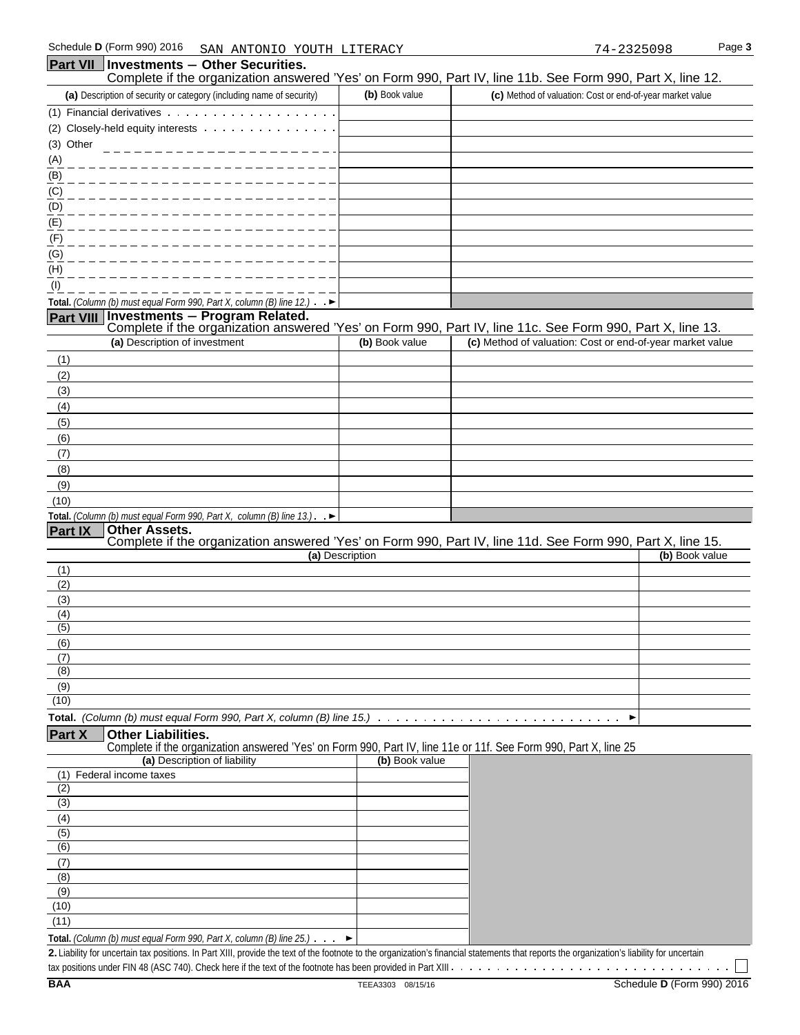## Schedule **D** (Form 990) 2016 SAN ANTONIO YOUTH LITERACY 74-2325098 Page 3 **Part VII** | Investments - Other Securities. Complete if the organization answered 'Yes' on Form 990, Part IV, line 11b. See Form 990, Part X, line 12. **(a)** Description of security or category (including name of security) **(b)** Book value **(c)** Method of valuation: Cost or end-of-year market value (1) Financial derivatives (2) Closely-held equity interests (3) Other (A) (B) (C) (D) (E) (F) (G) (H) (I) **Total.** *(Column (b) must equal Form 990, Part X, column (B) line 12.)* **Part VIII Investments** ' **Program Related.**  Complete if the organization answered 'Yes' on Form 990, Part IV, line 11c. See Form 990, Part X, line 13. **(a)** Description of investment **(b)** Book value **(c)** Method of valuation: Cost or end-of-year market value (1) (2) (3) (4) (5) (6) (7) (8) (9) (10) **Total.** *(Column (b) must equal Form 990, Part X, column (B) line 13.)* .  $\blacktriangleright$ **Part IX Other Assets.**  Complete if the organization answered 'Yes' on Form 990, Part IV, line 11d. See Form 990, Part X, line 15. **(a)** Description **(b)** Book value (1) (2) (3) (4) (5) (6) (7) (8) (9) (10) **Total.** *(Column (b) must equal Form 990, Part X, column (B) line 15.)* **Part X Other Liabilities.**  Complete if the organization answered 'Yes' on Form 990, Part IV, line 11e or 11f. See Form 990, Part X, line 25 **(a)** Description of liability **(b)** Book value (1) Federal income taxes (2) (3) (4) (5) (6) (7)

| (10)                                                                        |  |
|-----------------------------------------------------------------------------|--|
|                                                                             |  |
| <b>Total.</b> (Column (b) must equal Form 990, Part X, column (B) line 25.) |  |

**2.** Liability for uncertain tax positions. In Part XIII, provide the text of the footnote to the organization's financial statements that reports the organization's liability for uncertain tax positions under FIN 48 (ASC 740). Check here if the text of the footnote has been provided in Part XIII

(8) (9)

 $\sim$   $\sim$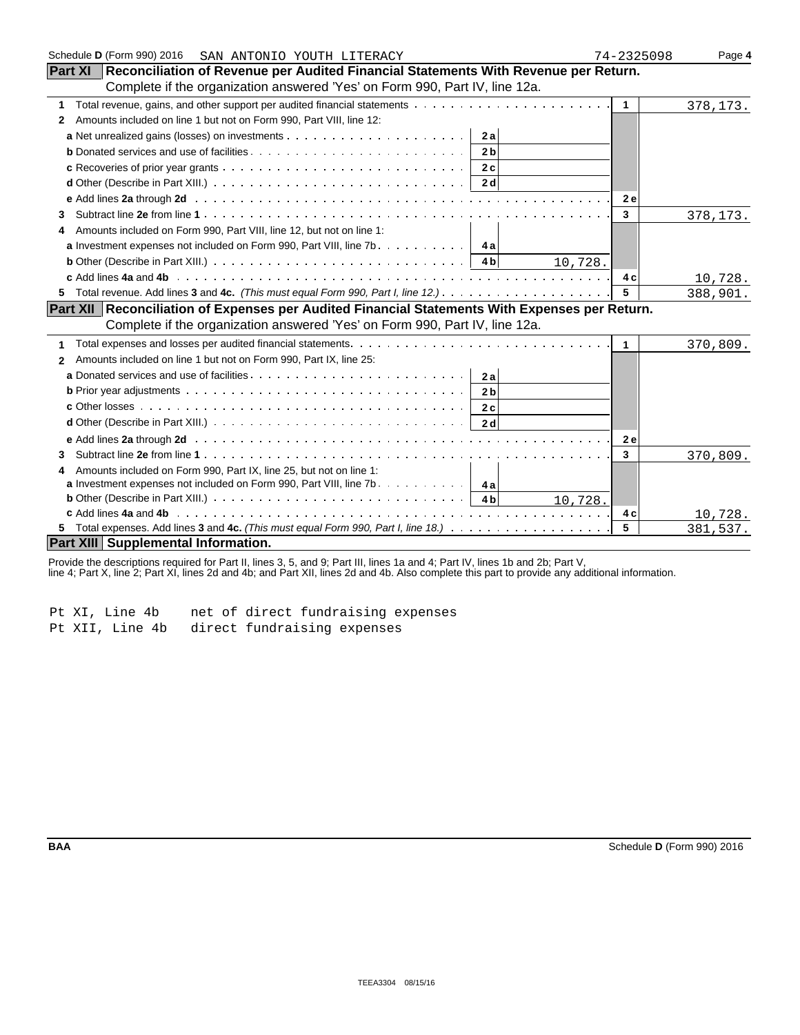| Schedule D (Form 990) 2016<br>SAN ANTONIO YOUTH LITERACY                                                                                        | 74-2325098   | Page 4   |
|-------------------------------------------------------------------------------------------------------------------------------------------------|--------------|----------|
| <b>Part XI</b> Reconciliation of Revenue per Audited Financial Statements With Revenue per Return.                                              |              |          |
| Complete if the organization answered 'Yes' on Form 990, Part IV, line 12a.                                                                     |              |          |
| 1                                                                                                                                               | $\mathbf{1}$ | 378,173. |
| Amounts included on line 1 but not on Form 990, Part VIII, line 12:<br>2                                                                        |              |          |
| 2a                                                                                                                                              |              |          |
| 2 <sub>b</sub>                                                                                                                                  |              |          |
| 2c                                                                                                                                              |              |          |
| 2 d                                                                                                                                             |              |          |
|                                                                                                                                                 | 2 e          |          |
| 3                                                                                                                                               | 3            | 378,173. |
| Amounts included on Form 990, Part VIII, line 12, but not on line 1:<br>4                                                                       |              |          |
| <b>a</b> Investment expenses not included on Form 990, Part VIII, line $7b$                                                                     |              |          |
| <b>b</b> Other (Describe in Part XIII.) $\ldots \ldots \ldots \ldots \ldots \ldots \ldots \ldots \ldots \ldots \ldots \ldots$<br>10,728.        |              |          |
|                                                                                                                                                 | 4 c          | 10,728.  |
| 5.                                                                                                                                              | 5            | 388,901. |
| Part XII Reconciliation of Expenses per Audited Financial Statements With Expenses per Return.                                                  |              |          |
| Complete if the organization answered 'Yes' on Form 990, Part IV, line 12a.                                                                     |              |          |
|                                                                                                                                                 | $\mathbf 1$  | 370,809. |
| Amounts included on line 1 but not on Form 990, Part IX, line 25:<br>$\mathbf{2}$                                                               |              |          |
| 2a                                                                                                                                              |              |          |
| 2 <sub>b</sub>                                                                                                                                  |              |          |
| 2c                                                                                                                                              |              |          |
| 2 <sub>d</sub>                                                                                                                                  |              |          |
|                                                                                                                                                 | <b>2e</b>    |          |
| 3                                                                                                                                               | $\mathbf{3}$ | 370,809. |
| Amounts included on Form 990, Part IX, line 25, but not on line 1:                                                                              |              |          |
| <b>a</b> Investment expenses not included on Form 990, Part VIII, line $7b$ 4a                                                                  |              |          |
| <b>b</b> Other (Describe in Part XIII.) $\ldots$ $\ldots$ $\ldots$ $\ldots$ $\ldots$ $\ldots$ $\ldots$ $\ldots$ $\ldots$ $\vdots$ 4b<br>10,728. |              |          |
|                                                                                                                                                 | 4 c          | 10,728.  |
|                                                                                                                                                 | 5            | 381,537. |
| <b>Part XIII Supplemental Information.</b>                                                                                                      |              |          |

Provide the descriptions required for Part II, lines 3, 5, and 9; Part III, lines 1a and 4; Part IV, lines 1b and 2b; Part V,

line 4; Part X, line 2; Part XI, lines 2d and 4b; and Part XII, lines 2d and 4b. Also complete this part to provide any additional information.

Pt XI, Line 4b net of direct fundraising expenses Pt XII, Line 4b direct fundraising expenses

| I |  |  |
|---|--|--|
|   |  |  |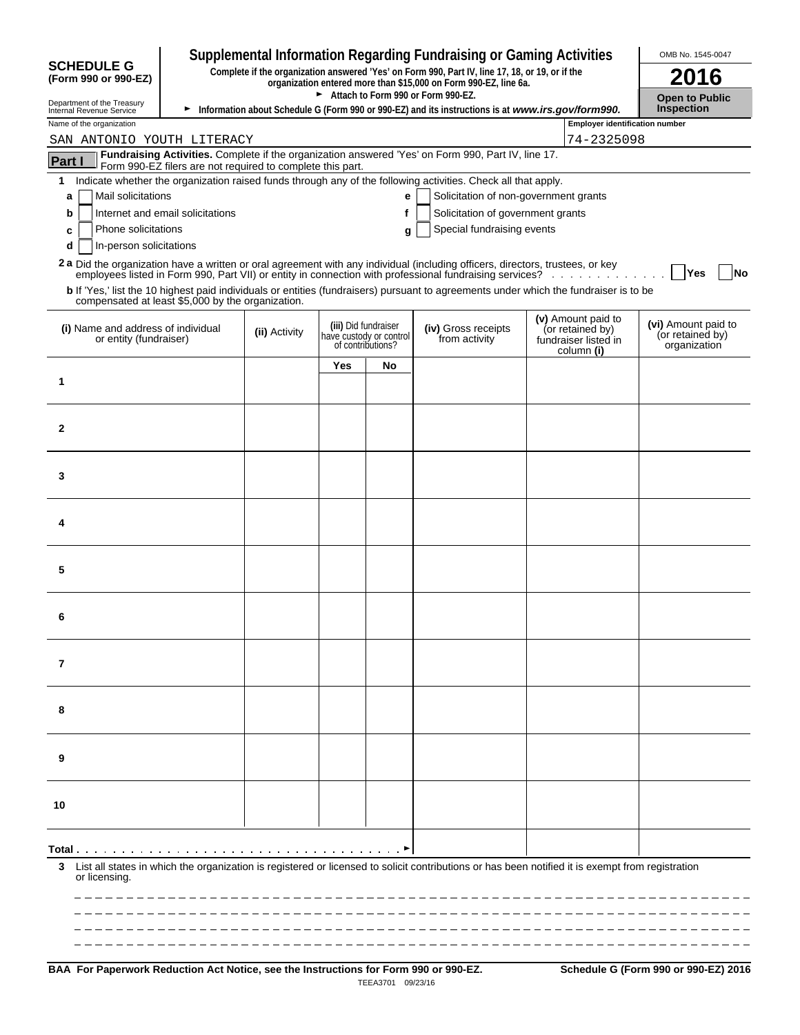| <b>SCHEDULE G</b><br>Complete if the organization answered 'Yes' on Form 990, Part IV, line 17, 18, or 19, or if the<br>2016<br>(Form 990 or 990-EZ)<br>organization entered more than \$15,000 on Form 990-EZ, line 6a.<br>Attach to Form 990 or Form 990-EZ.<br><b>Open to Public</b><br>Department of the Treasury<br><b>Inspection</b><br>Information about Schedule G (Form 990 or 990-EZ) and its instructions is at www.irs.gov/form990.<br>Internal Revenue Service<br><b>Employer identification number</b><br>Name of the organization<br>74-2325098<br>SAN ANTONIO YOUTH LITERACY<br>Fundraising Activities. Complete if the organization answered 'Yes' on Form 990, Part IV, line 17.<br>Part I<br>Form 990-EZ filers are not required to complete this part.<br>Indicate whether the organization raised funds through any of the following activities. Check all that apply.<br>1.<br>Mail solicitations<br>Solicitation of non-government grants<br>е<br>a<br>f<br>Internet and email solicitations<br>Solicitation of government grants<br>b<br>Special fundraising events<br>Phone solicitations<br>c<br>g<br>In-person solicitations<br>d<br>2a Did the organization have a written or oral agreement with any individual (including officers, directors, trustees, or key<br><b>Yes</b><br>No<br>employees listed in Form 990, Part VII) or entity in connection with professional fundraising services?<br>b If 'Yes,' list the 10 highest paid individuals or entities (fundraisers) pursuant to agreements under which the fundraiser is to be<br>compensated at least \$5,000 by the organization.<br>(v) Amount paid to<br>(vi) Amount paid to<br>(iii) Did fundraiser<br>(iv) Gross receipts<br>(i) Name and address of individual<br>(or retained by)<br>(ii) Activity<br>(or retained by)<br>have custody or control<br>from activity<br>or entity (fundraiser)<br>fundraiser listed in<br>of contributions?<br>organization<br>column (i)<br>Yes<br>No<br>1<br>$\mathbf{2}$<br>3<br>4<br>5<br>6<br>7<br>8<br>9<br>10<br>List all states in which the organization is registered or licensed to solicit contributions or has been notified it is exempt from registration<br>3<br>or licensing. |  |  |  |  |  | <b>Supplemental Information Regarding Fundraising or Gaming Activities</b> |  |  | OMB No. 1545-0047 |
|-----------------------------------------------------------------------------------------------------------------------------------------------------------------------------------------------------------------------------------------------------------------------------------------------------------------------------------------------------------------------------------------------------------------------------------------------------------------------------------------------------------------------------------------------------------------------------------------------------------------------------------------------------------------------------------------------------------------------------------------------------------------------------------------------------------------------------------------------------------------------------------------------------------------------------------------------------------------------------------------------------------------------------------------------------------------------------------------------------------------------------------------------------------------------------------------------------------------------------------------------------------------------------------------------------------------------------------------------------------------------------------------------------------------------------------------------------------------------------------------------------------------------------------------------------------------------------------------------------------------------------------------------------------------------------------------------------------------------------------------------------------------------------------------------------------------------------------------------------------------------------------------------------------------------------------------------------------------------------------------------------------------------------------------------------------------------------------------------------------------------------------------------------------------------------------------------------------------------------|--|--|--|--|--|----------------------------------------------------------------------------|--|--|-------------------|
|                                                                                                                                                                                                                                                                                                                                                                                                                                                                                                                                                                                                                                                                                                                                                                                                                                                                                                                                                                                                                                                                                                                                                                                                                                                                                                                                                                                                                                                                                                                                                                                                                                                                                                                                                                                                                                                                                                                                                                                                                                                                                                                                                                                                                             |  |  |  |  |  |                                                                            |  |  |                   |
|                                                                                                                                                                                                                                                                                                                                                                                                                                                                                                                                                                                                                                                                                                                                                                                                                                                                                                                                                                                                                                                                                                                                                                                                                                                                                                                                                                                                                                                                                                                                                                                                                                                                                                                                                                                                                                                                                                                                                                                                                                                                                                                                                                                                                             |  |  |  |  |  |                                                                            |  |  |                   |
|                                                                                                                                                                                                                                                                                                                                                                                                                                                                                                                                                                                                                                                                                                                                                                                                                                                                                                                                                                                                                                                                                                                                                                                                                                                                                                                                                                                                                                                                                                                                                                                                                                                                                                                                                                                                                                                                                                                                                                                                                                                                                                                                                                                                                             |  |  |  |  |  |                                                                            |  |  |                   |
|                                                                                                                                                                                                                                                                                                                                                                                                                                                                                                                                                                                                                                                                                                                                                                                                                                                                                                                                                                                                                                                                                                                                                                                                                                                                                                                                                                                                                                                                                                                                                                                                                                                                                                                                                                                                                                                                                                                                                                                                                                                                                                                                                                                                                             |  |  |  |  |  |                                                                            |  |  |                   |
|                                                                                                                                                                                                                                                                                                                                                                                                                                                                                                                                                                                                                                                                                                                                                                                                                                                                                                                                                                                                                                                                                                                                                                                                                                                                                                                                                                                                                                                                                                                                                                                                                                                                                                                                                                                                                                                                                                                                                                                                                                                                                                                                                                                                                             |  |  |  |  |  |                                                                            |  |  |                   |
|                                                                                                                                                                                                                                                                                                                                                                                                                                                                                                                                                                                                                                                                                                                                                                                                                                                                                                                                                                                                                                                                                                                                                                                                                                                                                                                                                                                                                                                                                                                                                                                                                                                                                                                                                                                                                                                                                                                                                                                                                                                                                                                                                                                                                             |  |  |  |  |  |                                                                            |  |  |                   |
|                                                                                                                                                                                                                                                                                                                                                                                                                                                                                                                                                                                                                                                                                                                                                                                                                                                                                                                                                                                                                                                                                                                                                                                                                                                                                                                                                                                                                                                                                                                                                                                                                                                                                                                                                                                                                                                                                                                                                                                                                                                                                                                                                                                                                             |  |  |  |  |  |                                                                            |  |  |                   |
|                                                                                                                                                                                                                                                                                                                                                                                                                                                                                                                                                                                                                                                                                                                                                                                                                                                                                                                                                                                                                                                                                                                                                                                                                                                                                                                                                                                                                                                                                                                                                                                                                                                                                                                                                                                                                                                                                                                                                                                                                                                                                                                                                                                                                             |  |  |  |  |  |                                                                            |  |  |                   |
|                                                                                                                                                                                                                                                                                                                                                                                                                                                                                                                                                                                                                                                                                                                                                                                                                                                                                                                                                                                                                                                                                                                                                                                                                                                                                                                                                                                                                                                                                                                                                                                                                                                                                                                                                                                                                                                                                                                                                                                                                                                                                                                                                                                                                             |  |  |  |  |  |                                                                            |  |  |                   |
|                                                                                                                                                                                                                                                                                                                                                                                                                                                                                                                                                                                                                                                                                                                                                                                                                                                                                                                                                                                                                                                                                                                                                                                                                                                                                                                                                                                                                                                                                                                                                                                                                                                                                                                                                                                                                                                                                                                                                                                                                                                                                                                                                                                                                             |  |  |  |  |  |                                                                            |  |  |                   |
|                                                                                                                                                                                                                                                                                                                                                                                                                                                                                                                                                                                                                                                                                                                                                                                                                                                                                                                                                                                                                                                                                                                                                                                                                                                                                                                                                                                                                                                                                                                                                                                                                                                                                                                                                                                                                                                                                                                                                                                                                                                                                                                                                                                                                             |  |  |  |  |  |                                                                            |  |  |                   |
|                                                                                                                                                                                                                                                                                                                                                                                                                                                                                                                                                                                                                                                                                                                                                                                                                                                                                                                                                                                                                                                                                                                                                                                                                                                                                                                                                                                                                                                                                                                                                                                                                                                                                                                                                                                                                                                                                                                                                                                                                                                                                                                                                                                                                             |  |  |  |  |  |                                                                            |  |  |                   |
|                                                                                                                                                                                                                                                                                                                                                                                                                                                                                                                                                                                                                                                                                                                                                                                                                                                                                                                                                                                                                                                                                                                                                                                                                                                                                                                                                                                                                                                                                                                                                                                                                                                                                                                                                                                                                                                                                                                                                                                                                                                                                                                                                                                                                             |  |  |  |  |  |                                                                            |  |  |                   |
|                                                                                                                                                                                                                                                                                                                                                                                                                                                                                                                                                                                                                                                                                                                                                                                                                                                                                                                                                                                                                                                                                                                                                                                                                                                                                                                                                                                                                                                                                                                                                                                                                                                                                                                                                                                                                                                                                                                                                                                                                                                                                                                                                                                                                             |  |  |  |  |  |                                                                            |  |  |                   |
|                                                                                                                                                                                                                                                                                                                                                                                                                                                                                                                                                                                                                                                                                                                                                                                                                                                                                                                                                                                                                                                                                                                                                                                                                                                                                                                                                                                                                                                                                                                                                                                                                                                                                                                                                                                                                                                                                                                                                                                                                                                                                                                                                                                                                             |  |  |  |  |  |                                                                            |  |  |                   |
|                                                                                                                                                                                                                                                                                                                                                                                                                                                                                                                                                                                                                                                                                                                                                                                                                                                                                                                                                                                                                                                                                                                                                                                                                                                                                                                                                                                                                                                                                                                                                                                                                                                                                                                                                                                                                                                                                                                                                                                                                                                                                                                                                                                                                             |  |  |  |  |  |                                                                            |  |  |                   |
|                                                                                                                                                                                                                                                                                                                                                                                                                                                                                                                                                                                                                                                                                                                                                                                                                                                                                                                                                                                                                                                                                                                                                                                                                                                                                                                                                                                                                                                                                                                                                                                                                                                                                                                                                                                                                                                                                                                                                                                                                                                                                                                                                                                                                             |  |  |  |  |  |                                                                            |  |  |                   |
|                                                                                                                                                                                                                                                                                                                                                                                                                                                                                                                                                                                                                                                                                                                                                                                                                                                                                                                                                                                                                                                                                                                                                                                                                                                                                                                                                                                                                                                                                                                                                                                                                                                                                                                                                                                                                                                                                                                                                                                                                                                                                                                                                                                                                             |  |  |  |  |  |                                                                            |  |  |                   |
|                                                                                                                                                                                                                                                                                                                                                                                                                                                                                                                                                                                                                                                                                                                                                                                                                                                                                                                                                                                                                                                                                                                                                                                                                                                                                                                                                                                                                                                                                                                                                                                                                                                                                                                                                                                                                                                                                                                                                                                                                                                                                                                                                                                                                             |  |  |  |  |  |                                                                            |  |  |                   |
|                                                                                                                                                                                                                                                                                                                                                                                                                                                                                                                                                                                                                                                                                                                                                                                                                                                                                                                                                                                                                                                                                                                                                                                                                                                                                                                                                                                                                                                                                                                                                                                                                                                                                                                                                                                                                                                                                                                                                                                                                                                                                                                                                                                                                             |  |  |  |  |  |                                                                            |  |  |                   |
|                                                                                                                                                                                                                                                                                                                                                                                                                                                                                                                                                                                                                                                                                                                                                                                                                                                                                                                                                                                                                                                                                                                                                                                                                                                                                                                                                                                                                                                                                                                                                                                                                                                                                                                                                                                                                                                                                                                                                                                                                                                                                                                                                                                                                             |  |  |  |  |  |                                                                            |  |  |                   |
|                                                                                                                                                                                                                                                                                                                                                                                                                                                                                                                                                                                                                                                                                                                                                                                                                                                                                                                                                                                                                                                                                                                                                                                                                                                                                                                                                                                                                                                                                                                                                                                                                                                                                                                                                                                                                                                                                                                                                                                                                                                                                                                                                                                                                             |  |  |  |  |  |                                                                            |  |  |                   |
|                                                                                                                                                                                                                                                                                                                                                                                                                                                                                                                                                                                                                                                                                                                                                                                                                                                                                                                                                                                                                                                                                                                                                                                                                                                                                                                                                                                                                                                                                                                                                                                                                                                                                                                                                                                                                                                                                                                                                                                                                                                                                                                                                                                                                             |  |  |  |  |  |                                                                            |  |  |                   |
|                                                                                                                                                                                                                                                                                                                                                                                                                                                                                                                                                                                                                                                                                                                                                                                                                                                                                                                                                                                                                                                                                                                                                                                                                                                                                                                                                                                                                                                                                                                                                                                                                                                                                                                                                                                                                                                                                                                                                                                                                                                                                                                                                                                                                             |  |  |  |  |  |                                                                            |  |  |                   |
|                                                                                                                                                                                                                                                                                                                                                                                                                                                                                                                                                                                                                                                                                                                                                                                                                                                                                                                                                                                                                                                                                                                                                                                                                                                                                                                                                                                                                                                                                                                                                                                                                                                                                                                                                                                                                                                                                                                                                                                                                                                                                                                                                                                                                             |  |  |  |  |  |                                                                            |  |  |                   |
|                                                                                                                                                                                                                                                                                                                                                                                                                                                                                                                                                                                                                                                                                                                                                                                                                                                                                                                                                                                                                                                                                                                                                                                                                                                                                                                                                                                                                                                                                                                                                                                                                                                                                                                                                                                                                                                                                                                                                                                                                                                                                                                                                                                                                             |  |  |  |  |  |                                                                            |  |  |                   |
|                                                                                                                                                                                                                                                                                                                                                                                                                                                                                                                                                                                                                                                                                                                                                                                                                                                                                                                                                                                                                                                                                                                                                                                                                                                                                                                                                                                                                                                                                                                                                                                                                                                                                                                                                                                                                                                                                                                                                                                                                                                                                                                                                                                                                             |  |  |  |  |  |                                                                            |  |  |                   |
|                                                                                                                                                                                                                                                                                                                                                                                                                                                                                                                                                                                                                                                                                                                                                                                                                                                                                                                                                                                                                                                                                                                                                                                                                                                                                                                                                                                                                                                                                                                                                                                                                                                                                                                                                                                                                                                                                                                                                                                                                                                                                                                                                                                                                             |  |  |  |  |  |                                                                            |  |  |                   |
|                                                                                                                                                                                                                                                                                                                                                                                                                                                                                                                                                                                                                                                                                                                                                                                                                                                                                                                                                                                                                                                                                                                                                                                                                                                                                                                                                                                                                                                                                                                                                                                                                                                                                                                                                                                                                                                                                                                                                                                                                                                                                                                                                                                                                             |  |  |  |  |  |                                                                            |  |  |                   |
|                                                                                                                                                                                                                                                                                                                                                                                                                                                                                                                                                                                                                                                                                                                                                                                                                                                                                                                                                                                                                                                                                                                                                                                                                                                                                                                                                                                                                                                                                                                                                                                                                                                                                                                                                                                                                                                                                                                                                                                                                                                                                                                                                                                                                             |  |  |  |  |  |                                                                            |  |  |                   |
|                                                                                                                                                                                                                                                                                                                                                                                                                                                                                                                                                                                                                                                                                                                                                                                                                                                                                                                                                                                                                                                                                                                                                                                                                                                                                                                                                                                                                                                                                                                                                                                                                                                                                                                                                                                                                                                                                                                                                                                                                                                                                                                                                                                                                             |  |  |  |  |  |                                                                            |  |  |                   |
|                                                                                                                                                                                                                                                                                                                                                                                                                                                                                                                                                                                                                                                                                                                                                                                                                                                                                                                                                                                                                                                                                                                                                                                                                                                                                                                                                                                                                                                                                                                                                                                                                                                                                                                                                                                                                                                                                                                                                                                                                                                                                                                                                                                                                             |  |  |  |  |  |                                                                            |  |  |                   |
|                                                                                                                                                                                                                                                                                                                                                                                                                                                                                                                                                                                                                                                                                                                                                                                                                                                                                                                                                                                                                                                                                                                                                                                                                                                                                                                                                                                                                                                                                                                                                                                                                                                                                                                                                                                                                                                                                                                                                                                                                                                                                                                                                                                                                             |  |  |  |  |  |                                                                            |  |  |                   |
|                                                                                                                                                                                                                                                                                                                                                                                                                                                                                                                                                                                                                                                                                                                                                                                                                                                                                                                                                                                                                                                                                                                                                                                                                                                                                                                                                                                                                                                                                                                                                                                                                                                                                                                                                                                                                                                                                                                                                                                                                                                                                                                                                                                                                             |  |  |  |  |  |                                                                            |  |  |                   |
|                                                                                                                                                                                                                                                                                                                                                                                                                                                                                                                                                                                                                                                                                                                                                                                                                                                                                                                                                                                                                                                                                                                                                                                                                                                                                                                                                                                                                                                                                                                                                                                                                                                                                                                                                                                                                                                                                                                                                                                                                                                                                                                                                                                                                             |  |  |  |  |  |                                                                            |  |  |                   |
|                                                                                                                                                                                                                                                                                                                                                                                                                                                                                                                                                                                                                                                                                                                                                                                                                                                                                                                                                                                                                                                                                                                                                                                                                                                                                                                                                                                                                                                                                                                                                                                                                                                                                                                                                                                                                                                                                                                                                                                                                                                                                                                                                                                                                             |  |  |  |  |  |                                                                            |  |  |                   |
|                                                                                                                                                                                                                                                                                                                                                                                                                                                                                                                                                                                                                                                                                                                                                                                                                                                                                                                                                                                                                                                                                                                                                                                                                                                                                                                                                                                                                                                                                                                                                                                                                                                                                                                                                                                                                                                                                                                                                                                                                                                                                                                                                                                                                             |  |  |  |  |  |                                                                            |  |  |                   |
|                                                                                                                                                                                                                                                                                                                                                                                                                                                                                                                                                                                                                                                                                                                                                                                                                                                                                                                                                                                                                                                                                                                                                                                                                                                                                                                                                                                                                                                                                                                                                                                                                                                                                                                                                                                                                                                                                                                                                                                                                                                                                                                                                                                                                             |  |  |  |  |  |                                                                            |  |  |                   |
|                                                                                                                                                                                                                                                                                                                                                                                                                                                                                                                                                                                                                                                                                                                                                                                                                                                                                                                                                                                                                                                                                                                                                                                                                                                                                                                                                                                                                                                                                                                                                                                                                                                                                                                                                                                                                                                                                                                                                                                                                                                                                                                                                                                                                             |  |  |  |  |  |                                                                            |  |  |                   |
|                                                                                                                                                                                                                                                                                                                                                                                                                                                                                                                                                                                                                                                                                                                                                                                                                                                                                                                                                                                                                                                                                                                                                                                                                                                                                                                                                                                                                                                                                                                                                                                                                                                                                                                                                                                                                                                                                                                                                                                                                                                                                                                                                                                                                             |  |  |  |  |  |                                                                            |  |  |                   |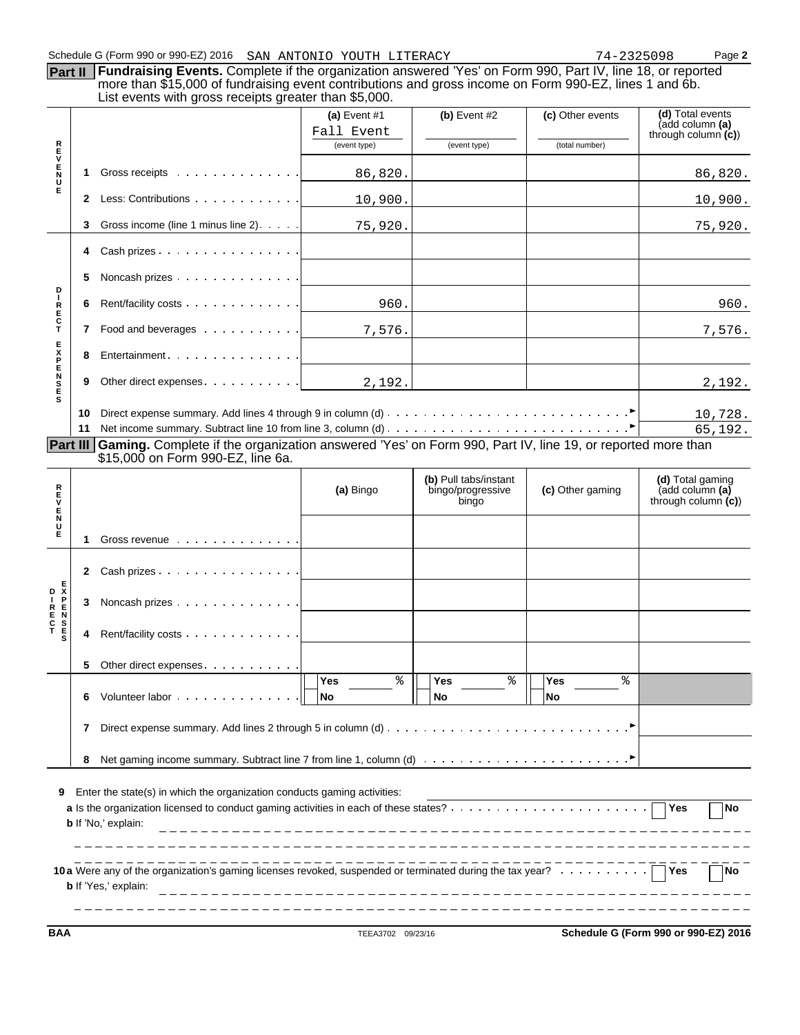**Part II** Fundraising Events. Complete if the organization answered 'Yes' on Form 990, Part IV, line 18, or reported more than \$15,000 of fundraising event contributions and gross income on Form 990-EZ, lines 1 and 6b. List events with gross receipts greater than \$5,000.

|                                                                                                                                                                                                                                                                    |    |                                                                                                                                               | (a) Event $#1$             | $(b)$ Event #2             | (c) Other events | (d) Total events<br>(add column (a)       |  |  |
|--------------------------------------------------------------------------------------------------------------------------------------------------------------------------------------------------------------------------------------------------------------------|----|-----------------------------------------------------------------------------------------------------------------------------------------------|----------------------------|----------------------------|------------------|-------------------------------------------|--|--|
|                                                                                                                                                                                                                                                                    |    |                                                                                                                                               | Fall Event<br>(event type) | (event type)               | (total number)   | through column $(c)$                      |  |  |
| R<br>U<br>V                                                                                                                                                                                                                                                        |    |                                                                                                                                               |                            |                            |                  |                                           |  |  |
| $_{\rm N}^{\rm E}$<br>U                                                                                                                                                                                                                                            | 1  | Gross receipts                                                                                                                                | 86,820.                    |                            |                  | 86,820.                                   |  |  |
| Е                                                                                                                                                                                                                                                                  | 2  | Less: Contributions                                                                                                                           | 10,900.                    |                            |                  | 10,900.                                   |  |  |
|                                                                                                                                                                                                                                                                    | 3  | Gross income (line 1 minus line 2).                                                                                                           | 75,920.                    |                            |                  | 75,920.                                   |  |  |
|                                                                                                                                                                                                                                                                    | 4  |                                                                                                                                               |                            |                            |                  |                                           |  |  |
| D                                                                                                                                                                                                                                                                  | 5  | Noncash prizes                                                                                                                                |                            |                            |                  |                                           |  |  |
| $\mathbf I$                                                                                                                                                                                                                                                        | 6  |                                                                                                                                               | 960.                       |                            |                  | 960.                                      |  |  |
| R<br>E<br>C<br>T                                                                                                                                                                                                                                                   | 7  | Food and beverages $\cdots \cdots \cdots$ 7,576.                                                                                              |                            |                            |                  | 7,576.                                    |  |  |
|                                                                                                                                                                                                                                                                    | 8  | Entertainment                                                                                                                                 |                            |                            |                  |                                           |  |  |
| <b>EXPENSE</b>                                                                                                                                                                                                                                                     | 9  | Other direct expenses                                                                                                                         | 2,192.                     |                            |                  | 2,192.                                    |  |  |
| s                                                                                                                                                                                                                                                                  | 10 |                                                                                                                                               |                            |                            |                  | 10,728.                                   |  |  |
|                                                                                                                                                                                                                                                                    | 11 |                                                                                                                                               |                            |                            |                  | 65,192.                                   |  |  |
| Part III                                                                                                                                                                                                                                                           |    | Gaming. Complete if the organization answered 'Yes' on Form 990, Part IV, line 19, or reported more than<br>\$15,000 on Form 990-EZ, line 6a. |                            |                            |                  |                                           |  |  |
|                                                                                                                                                                                                                                                                    |    |                                                                                                                                               |                            | (b) Pull tabs/instant      |                  | (d) Total gaming                          |  |  |
| R<br>E<br>V<br>Е                                                                                                                                                                                                                                                   |    |                                                                                                                                               | (a) Bingo                  | bingo/progressive<br>bingo | (c) Other gaming | (add column (a)<br>through column $(c)$ ) |  |  |
| $_{\rm U}^{\rm N}$<br>Е                                                                                                                                                                                                                                            | 1  | Gross revenue                                                                                                                                 |                            |                            |                  |                                           |  |  |
|                                                                                                                                                                                                                                                                    |    | 2 Cash prizes                                                                                                                                 |                            |                            |                  |                                           |  |  |
|                                                                                                                                                                                                                                                                    | З  | Noncash prizes                                                                                                                                |                            |                            |                  |                                           |  |  |
|                                                                                                                                                                                                                                                                    | 4  | Rent/facility costs                                                                                                                           |                            |                            |                  |                                           |  |  |
|                                                                                                                                                                                                                                                                    | 5  | Other direct expenses.                                                                                                                        |                            |                            |                  |                                           |  |  |
|                                                                                                                                                                                                                                                                    | 6  |                                                                                                                                               | %<br>Yes<br> No            | နွ<br>Yes<br>No            | နွ<br>Yes<br> No |                                           |  |  |
|                                                                                                                                                                                                                                                                    | 7  |                                                                                                                                               |                            |                            |                  |                                           |  |  |
|                                                                                                                                                                                                                                                                    | 8  |                                                                                                                                               |                            |                            |                  |                                           |  |  |
| Enter the state(s) in which the organization conducts gaming activities:<br>9<br>Yes<br><b>No</b><br>b If 'No,' explain:                                                                                                                                           |    |                                                                                                                                               |                            |                            |                  |                                           |  |  |
| 10 a Were any of the organization's gaming licenses revoked, suspended or terminated during the tax year?<br>10 a Were any of the organization's gaming licenses revoked, suspended or terminated during the tax year?<br>Yes<br><b>No</b><br>b If 'Yes,' explain: |    |                                                                                                                                               |                            |                            |                  |                                           |  |  |

**BAA** TEEA3702 09/23/16 **Schedule G (Form 990 or 990-EZ) 2016**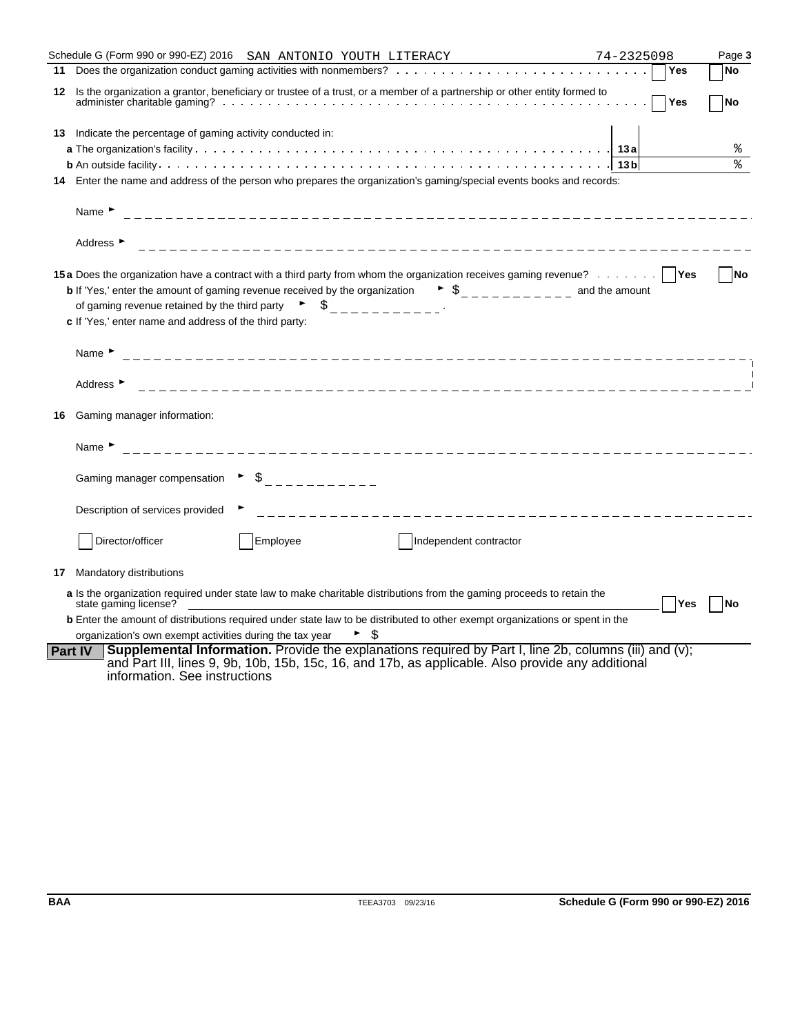|    | Schedule G (Form 990 or 990-EZ) 2016  SAN ANTONIO YOUTH LITERACY                                                                                                                                                                                                                                                                                                                                                                                                                                                                                                                                                                                                                                                                                                                                                                                    | 74-2325098 |     | Page 3    |
|----|-----------------------------------------------------------------------------------------------------------------------------------------------------------------------------------------------------------------------------------------------------------------------------------------------------------------------------------------------------------------------------------------------------------------------------------------------------------------------------------------------------------------------------------------------------------------------------------------------------------------------------------------------------------------------------------------------------------------------------------------------------------------------------------------------------------------------------------------------------|------------|-----|-----------|
|    |                                                                                                                                                                                                                                                                                                                                                                                                                                                                                                                                                                                                                                                                                                                                                                                                                                                     |            | Yes | <b>No</b> |
|    | 12 Is the organization a grantor, beneficiary or trustee of a trust, or a member of a partnership or other entity formed to                                                                                                                                                                                                                                                                                                                                                                                                                                                                                                                                                                                                                                                                                                                         |            | Yes | <b>No</b> |
|    | 13 Indicate the percentage of gaming activity conducted in:                                                                                                                                                                                                                                                                                                                                                                                                                                                                                                                                                                                                                                                                                                                                                                                         |            |     |           |
|    |                                                                                                                                                                                                                                                                                                                                                                                                                                                                                                                                                                                                                                                                                                                                                                                                                                                     |            |     | ఄ         |
|    |                                                                                                                                                                                                                                                                                                                                                                                                                                                                                                                                                                                                                                                                                                                                                                                                                                                     |            |     | °         |
|    | 14 Enter the name and address of the person who prepares the organization's gaming/special events books and records:                                                                                                                                                                                                                                                                                                                                                                                                                                                                                                                                                                                                                                                                                                                                |            |     |           |
|    | Name $\blacktriangleright$                                                                                                                                                                                                                                                                                                                                                                                                                                                                                                                                                                                                                                                                                                                                                                                                                          |            |     |           |
|    | Address ▶                                                                                                                                                                                                                                                                                                                                                                                                                                                                                                                                                                                                                                                                                                                                                                                                                                           |            |     |           |
|    | 15a Does the organization have a contract with a third party from whom the organization receives gaming revenue?   Yes<br><b>b</b> If 'Yes,' enter the amount of gaming revenue received by the organization $\bullet$ $\circ$ $\circ$ $\bullet$ $\circ$ $\circ$ $\circ$ $\circ$ $\circ$ and the amount<br>of gaming revenue retained by the third party $\overrightarrow{S}$ $\overrightarrow{S}$ $\overrightarrow{S}$ $\overrightarrow{S}$ $\overrightarrow{S}$ $\overrightarrow{S}$ $\overrightarrow{S}$ $\overrightarrow{S}$ $\overrightarrow{S}$ $\overrightarrow{S}$ $\overrightarrow{S}$ $\overrightarrow{S}$ $\overrightarrow{S}$ $\overrightarrow{S}$ $\overrightarrow{S}$ $\overrightarrow{S}$ $\overrightarrow{S}$ $\overrightarrow{S}$ $\overrightarrow{S}$ $\overrightarrow$<br>c If 'Yes,' enter name and address of the third party: |            |     | No        |
|    | Name $\blacktriangleright$                                                                                                                                                                                                                                                                                                                                                                                                                                                                                                                                                                                                                                                                                                                                                                                                                          |            |     |           |
|    | Address ►                                                                                                                                                                                                                                                                                                                                                                                                                                                                                                                                                                                                                                                                                                                                                                                                                                           |            |     |           |
| 16 | Gaming manager information:                                                                                                                                                                                                                                                                                                                                                                                                                                                                                                                                                                                                                                                                                                                                                                                                                         |            |     |           |
|    | Name $\blacktriangleright$                                                                                                                                                                                                                                                                                                                                                                                                                                                                                                                                                                                                                                                                                                                                                                                                                          |            |     |           |
|    | $\triangleright$ $\uparrow$ $\downarrow$ $\perp$ $\perp$ $\perp$ $\perp$ $\perp$ $\perp$ $\perp$ $\perp$<br>Gaming manager compensation                                                                                                                                                                                                                                                                                                                                                                                                                                                                                                                                                                                                                                                                                                             |            |     |           |
|    | Description of services provided                                                                                                                                                                                                                                                                                                                                                                                                                                                                                                                                                                                                                                                                                                                                                                                                                    |            |     |           |
|    | Director/officer<br>Employee<br>Independent contractor                                                                                                                                                                                                                                                                                                                                                                                                                                                                                                                                                                                                                                                                                                                                                                                              |            |     |           |
| 17 | Mandatory distributions                                                                                                                                                                                                                                                                                                                                                                                                                                                                                                                                                                                                                                                                                                                                                                                                                             |            |     |           |
|    | a Is the organization required under state law to make charitable distributions from the gaming proceeds to retain the<br>state gaming license?                                                                                                                                                                                                                                                                                                                                                                                                                                                                                                                                                                                                                                                                                                     |            | Yes | <b>No</b> |
|    | <b>b</b> Enter the amount of distributions required under state law to be distributed to other exempt organizations or spent in the                                                                                                                                                                                                                                                                                                                                                                                                                                                                                                                                                                                                                                                                                                                 |            |     |           |
|    | organization's own exempt activities during the tax year<br>\$                                                                                                                                                                                                                                                                                                                                                                                                                                                                                                                                                                                                                                                                                                                                                                                      |            |     |           |
|    | <b>Supplemental Information.</b> Provide the explanations required by Part I, line 2b, columns (iii) and (v);<br><b>Part IV</b><br>and Part III, lines 9, 9b, 10b, 15b, 15c, 16, and 17b, as applicable. Also provide any additional<br>information. See instructions                                                                                                                                                                                                                                                                                                                                                                                                                                                                                                                                                                               |            |     |           |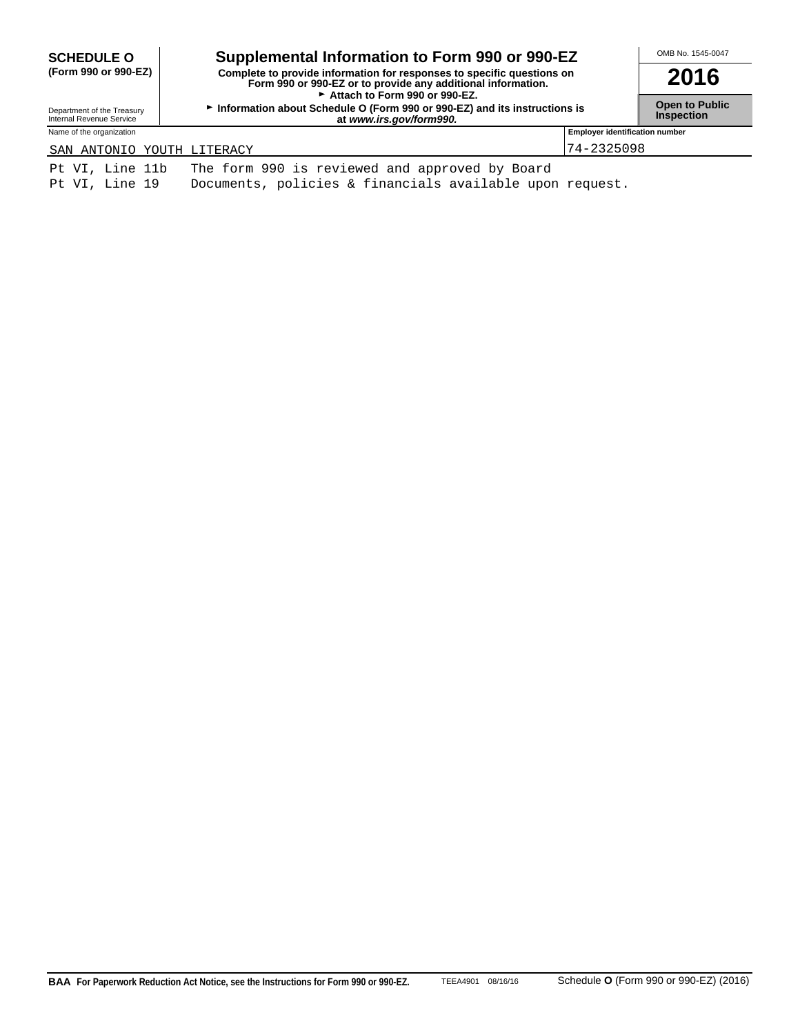| <b>SCHEDULE O</b>                                      | Supplemental Information to Form 990 or 990-EZ                                                                                                                          |                                       | OMB No. 1545-0047                          |  |
|--------------------------------------------------------|-------------------------------------------------------------------------------------------------------------------------------------------------------------------------|---------------------------------------|--------------------------------------------|--|
| (Form 990 or 990-EZ)                                   | Complete to provide information for responses to specific questions on<br>Form 990 or 990-EZ or to provide any additional information.<br>Attach to Form 990 or 990-EZ. |                                       | 2016                                       |  |
| Department of the Treasury<br>Internal Revenue Service | Information about Schedule O (Form 990 or 990-EZ) and its instructions is<br>at www.irs.gov/form990.                                                                    |                                       | <b>Open to Public</b><br><b>Inspection</b> |  |
| Name of the organization                               |                                                                                                                                                                         | <b>Employer identification number</b> |                                            |  |
| SAN ANTONIO YOUTH LITERACY                             |                                                                                                                                                                         | $74 - 2325098$                        |                                            |  |
| Pt VI, Line 11b                                        | The form 990 is reviewed and approved by Board                                                                                                                          |                                       |                                            |  |

Pt VI, Line 19 Documents, policies & financials available upon request.